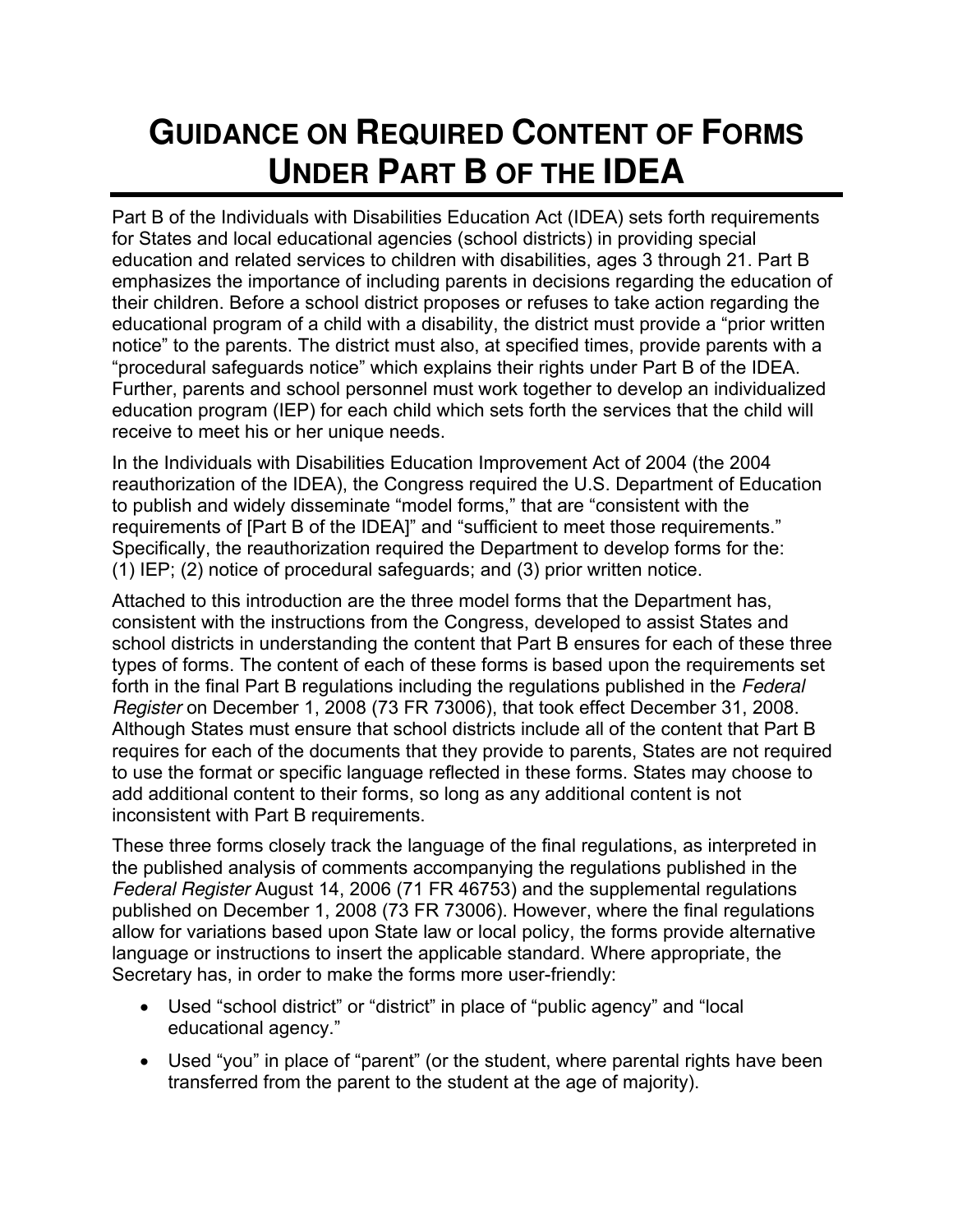## **GUIDANCE ON REQUIRED CONTENT OF FORMS UNDER PART B OF THE IDEA**

Part B of the Individuals with Disabilities Education Act (IDEA) sets forth requirements for States and local educational agencies (school districts) in providing special education and related services to children with disabilities, ages 3 through 21. Part B emphasizes the importance of including parents in decisions regarding the education of their children. Before a school district proposes or refuses to take action regarding the educational program of a child with a disability, the district must provide a "prior written notice" to the parents. The district must also, at specified times, provide parents with a "procedural safeguards notice" which explains their rights under Part B of the IDEA. Further, parents and school personnel must work together to develop an individualized education program (IEP) for each child which sets forth the services that the child will receive to meet his or her unique needs.

In the Individuals with Disabilities Education Improvement Act of 2004 (the 2004 reauthorization of the IDEA), the Congress required the U.S. Department of Education to publish and widely disseminate "model forms," that are "consistent with the requirements of [Part B of the IDEA]" and "sufficient to meet those requirements." Specifically, the reauthorization required the Department to develop forms for the: (1) IEP; (2) notice of procedural safeguards; and (3) prior written notice.

Attached to this introduction are the three model forms that the Department has, consistent with the instructions from the Congress, developed to assist States and school districts in understanding the content that Part B ensures for each of these three types of forms. The content of each of these forms is based upon the requirements set forth in the final Part B regulations including the regulations published in the *Federal Register* on December 1, 2008 (73 FR 73006), that took effect December 31, 2008. Although States must ensure that school districts include all of the content that Part B requires for each of the documents that they provide to parents, States are not required to use the format or specific language reflected in these forms. States may choose to add additional content to their forms, so long as any additional content is not inconsistent with Part B requirements.

These three forms closely track the language of the final regulations, as interpreted in the published analysis of comments accompanying the regulations published in the *Federal Register* August 14, 2006 (71 FR 46753) and the supplemental regulations published on December 1, 2008 (73 FR 73006). However, where the final regulations allow for variations based upon State law or local policy, the forms provide alternative language or instructions to insert the applicable standard. Where appropriate, the Secretary has, in order to make the forms more user-friendly:

- Used "school district" or "district" in place of "public agency" and "local educational agency."
- Used "you" in place of "parent" (or the student, where parental rights have been transferred from the parent to the student at the age of majority).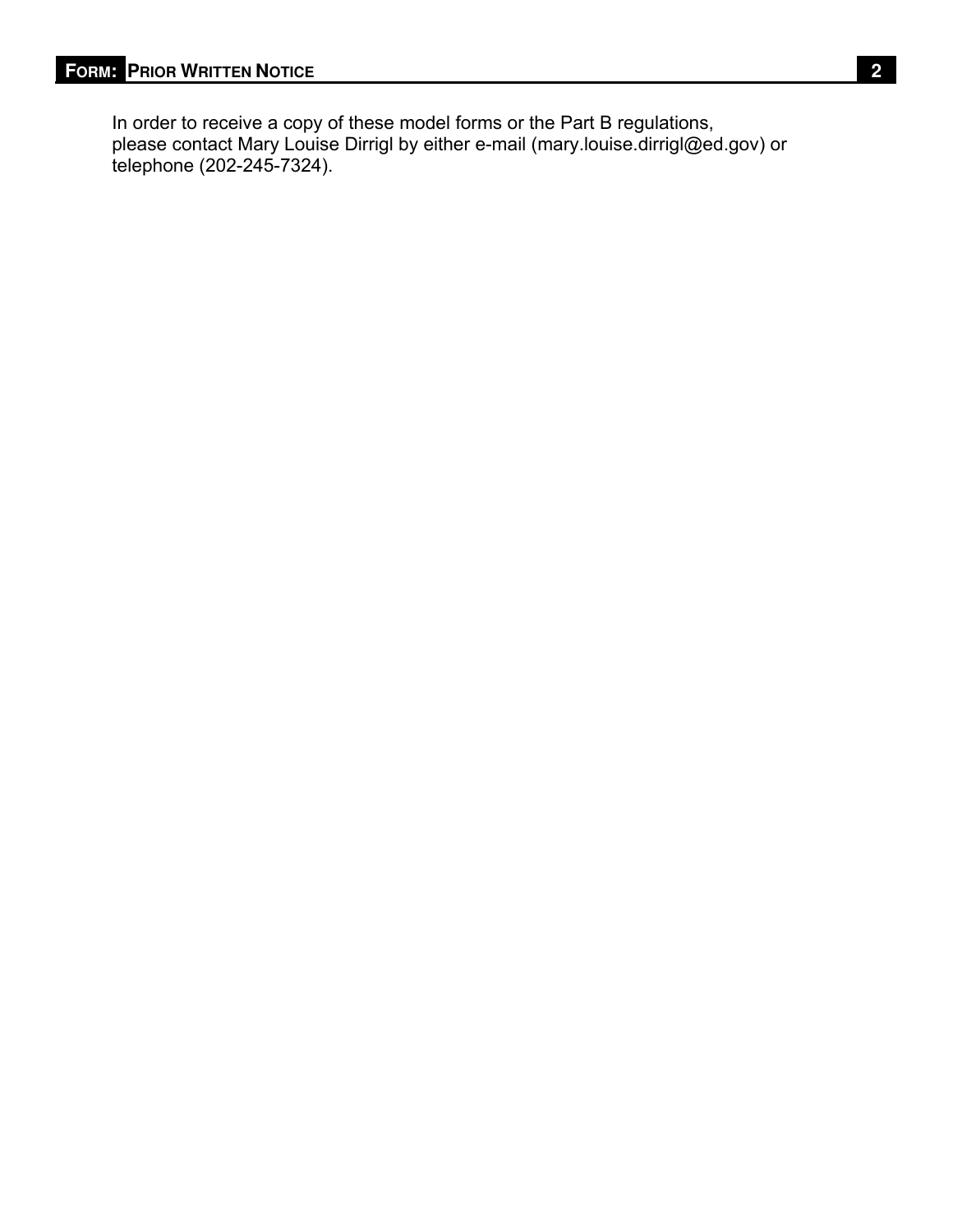In order to receive a copy of these model forms or the Part B regulations, please contact Mary Louise Dirrigl by either e-mail (mary.louise.dirrigl@ed.gov) or telephone (202-245-7324).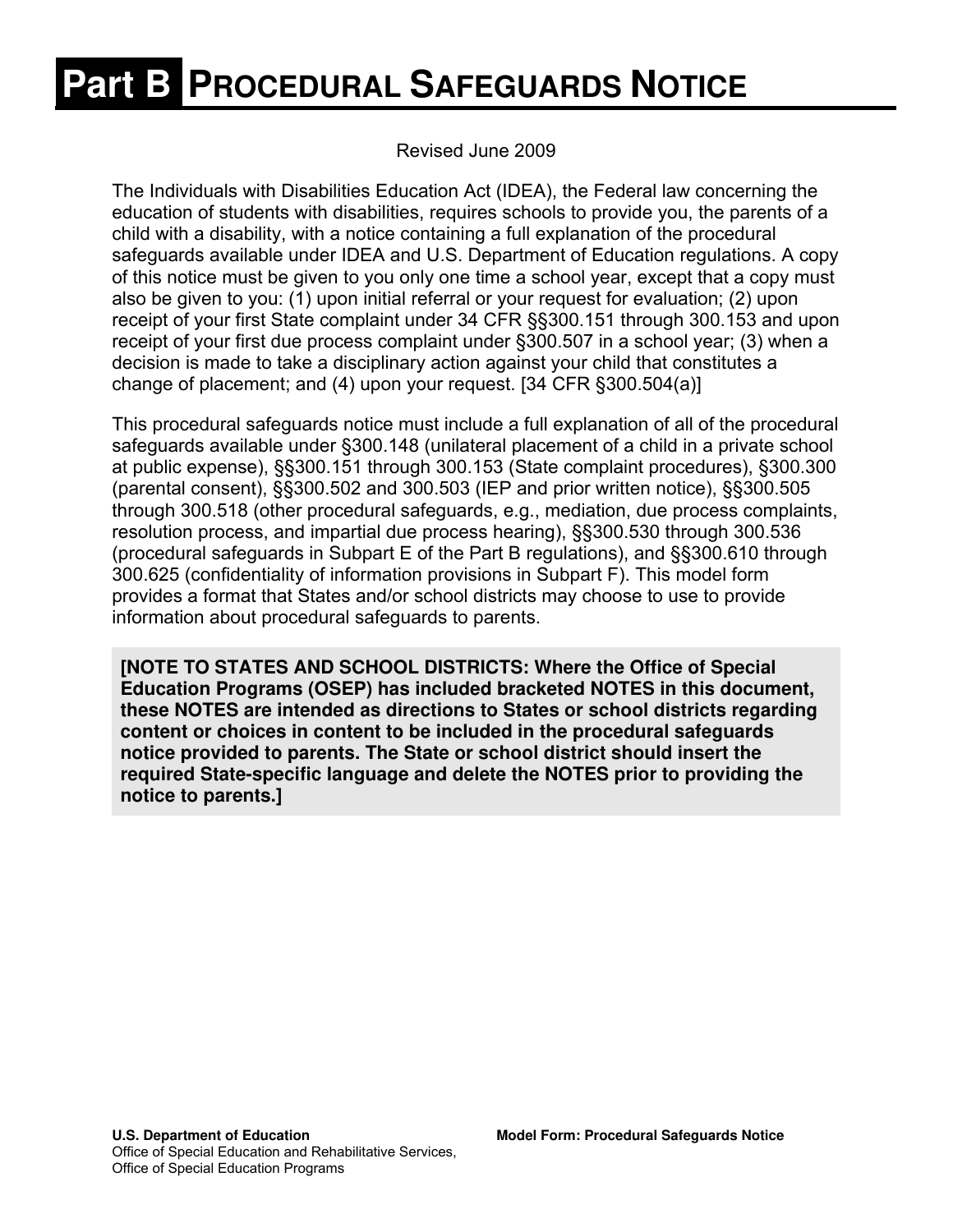# **Part B PROCEDURAL SAFEGUARDS NOTICE**

Revised June 2009

The Individuals with Disabilities Education Act (IDEA), the Federal law concerning the education of students with disabilities, requires schools to provide you, the parents of a child with a disability, with a notice containing a full explanation of the procedural safeguards available under IDEA and U.S. Department of Education regulations. A copy of this notice must be given to you only one time a school year, except that a copy must also be given to you: (1) upon initial referral or your request for evaluation; (2) upon receipt of your first State complaint under 34 CFR §§300.151 through 300.153 and upon receipt of your first due process complaint under §300.507 in a school year; (3) when a decision is made to take a disciplinary action against your child that constitutes a change of placement; and (4) upon your request. [34 CFR §300.504(a)]

This procedural safeguards notice must include a full explanation of all of the procedural safeguards available under §300.148 (unilateral placement of a child in a private school at public expense), §§300.151 through 300.153 (State complaint procedures), §300.300 (parental consent), §§300.502 and 300.503 (IEP and prior written notice), §§300.505 through 300.518 (other procedural safeguards, e.g., mediation, due process complaints, resolution process, and impartial due process hearing), §§300.530 through 300.536 (procedural safeguards in Subpart E of the Part B regulations), and §§300.610 through 300.625 (confidentiality of information provisions in Subpart F). This model form provides a format that States and/or school districts may choose to use to provide information about procedural safeguards to parents.

**[NOTE TO STATES AND SCHOOL DISTRICTS: Where the Office of Special Education Programs (OSEP) has included bracketed NOTES in this document, these NOTES are intended as directions to States or school districts regarding content or choices in content to be included in the procedural safeguards notice provided to parents. The State or school district should insert the required State-specific language and delete the NOTES prior to providing the notice to parents.]**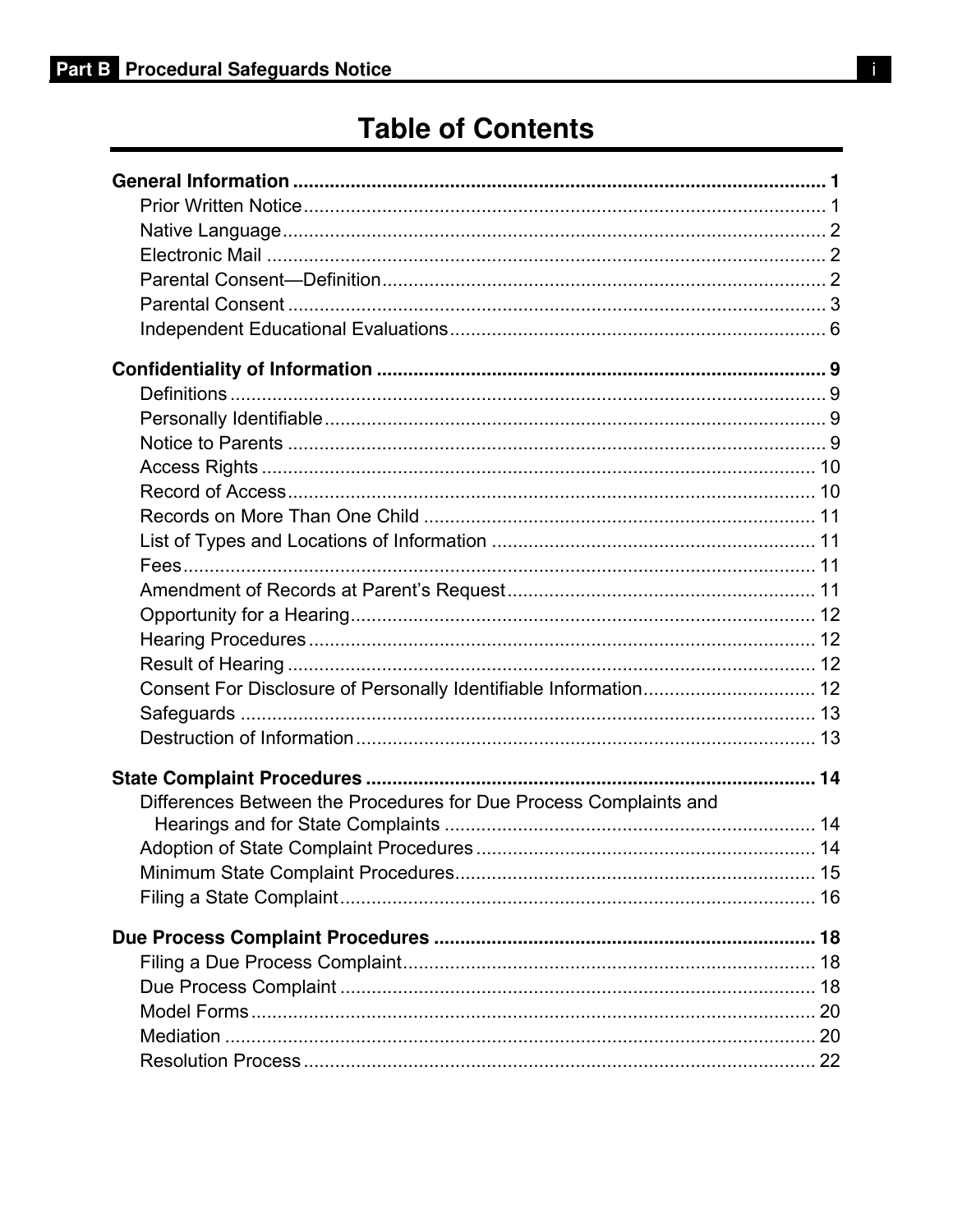## **Table of Contents**

| Consent For Disclosure of Personally Identifiable Information 12  |  |
|-------------------------------------------------------------------|--|
|                                                                   |  |
|                                                                   |  |
|                                                                   |  |
| Differences Between the Procedures for Due Process Complaints and |  |
|                                                                   |  |
|                                                                   |  |
|                                                                   |  |
|                                                                   |  |
|                                                                   |  |
|                                                                   |  |
|                                                                   |  |
|                                                                   |  |
|                                                                   |  |
|                                                                   |  |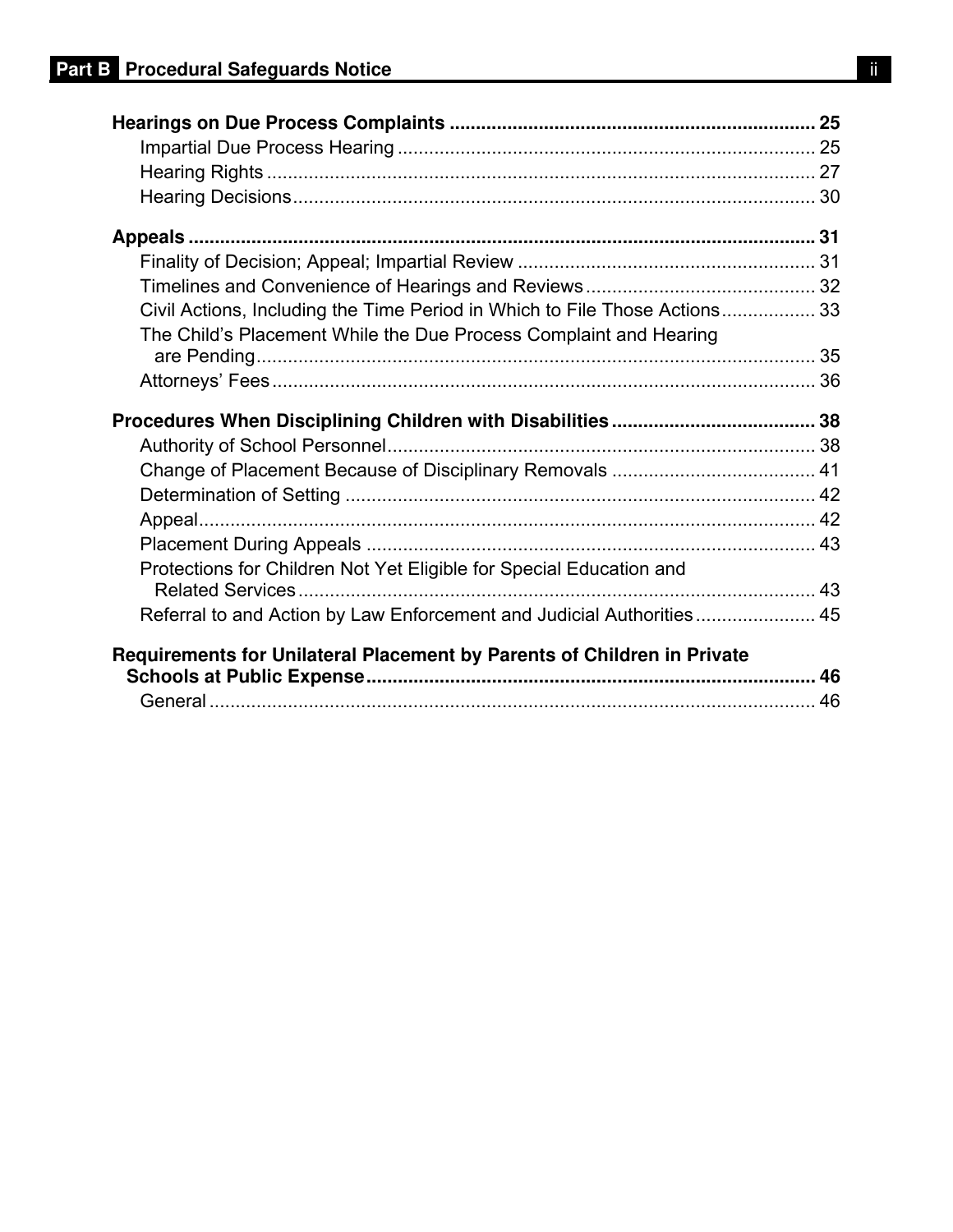| Civil Actions, Including the Time Period in Which to File Those Actions 33 |  |
|----------------------------------------------------------------------------|--|
| The Child's Placement While the Due Process Complaint and Hearing          |  |
|                                                                            |  |
|                                                                            |  |
|                                                                            |  |
|                                                                            |  |
|                                                                            |  |
|                                                                            |  |
|                                                                            |  |
|                                                                            |  |
| Protections for Children Not Yet Eligible for Special Education and        |  |
| Referral to and Action by Law Enforcement and Judicial Authorities 45      |  |
|                                                                            |  |
| Requirements for Unilateral Placement by Parents of Children in Private    |  |
|                                                                            |  |
|                                                                            |  |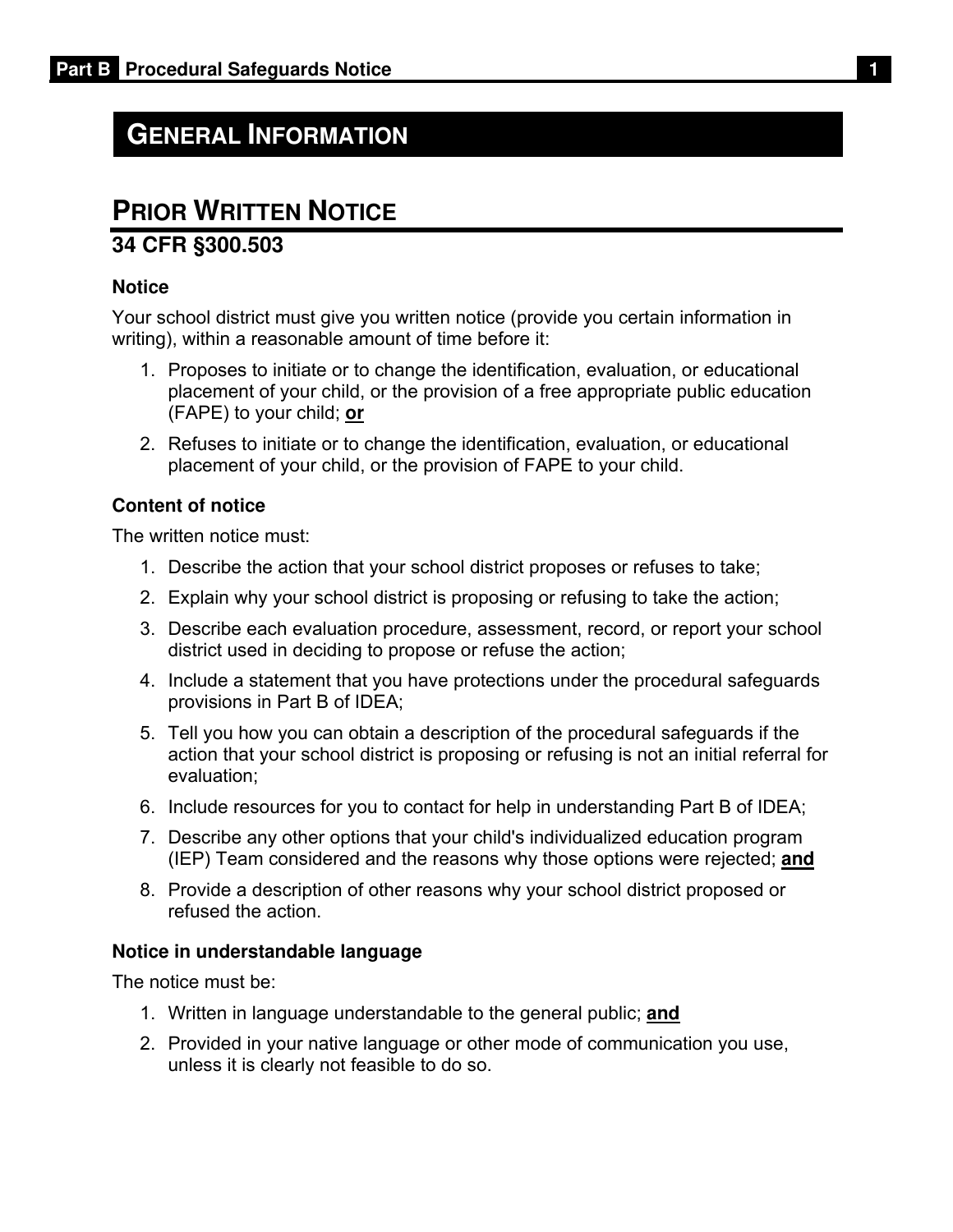## <span id="page-5-0"></span>**GENERAL INFORMATION**

## **PRIOR WRITTEN NOTICE**

### **34 CFR §300.503**

#### **Notice**

Your school district must give you written notice (provide you certain information in writing), within a reasonable amount of time before it:

- 1. Proposes to initiate or to change the identification, evaluation, or educational placement of your child, or the provision of a free appropriate public education (FAPE) to your child; **or**
- 2. Refuses to initiate or to change the identification, evaluation, or educational placement of your child, or the provision of FAPE to your child.

#### **Content of notice**

The written notice must:

- 1. Describe the action that your school district proposes or refuses to take;
- 2. Explain why your school district is proposing or refusing to take the action;
- 3. Describe each evaluation procedure, assessment, record, or report your school district used in deciding to propose or refuse the action;
- 4. Include a statement that you have protections under the procedural safeguards provisions in Part B of IDEA;
- 5. Tell you how you can obtain a description of the procedural safeguards if the action that your school district is proposing or refusing is not an initial referral for evaluation;
- 6. Include resources for you to contact for help in understanding Part B of IDEA;
- 7. Describe any other options that your child's individualized education program (IEP) Team considered and the reasons why those options were rejected; **and**
- 8. Provide a description of other reasons why your school district proposed or refused the action.

#### **Notice in understandable language**

The notice must be:

- 1. Written in language understandable to the general public; **and**
- 2. Provided in your native language or other mode of communication you use, unless it is clearly not feasible to do so.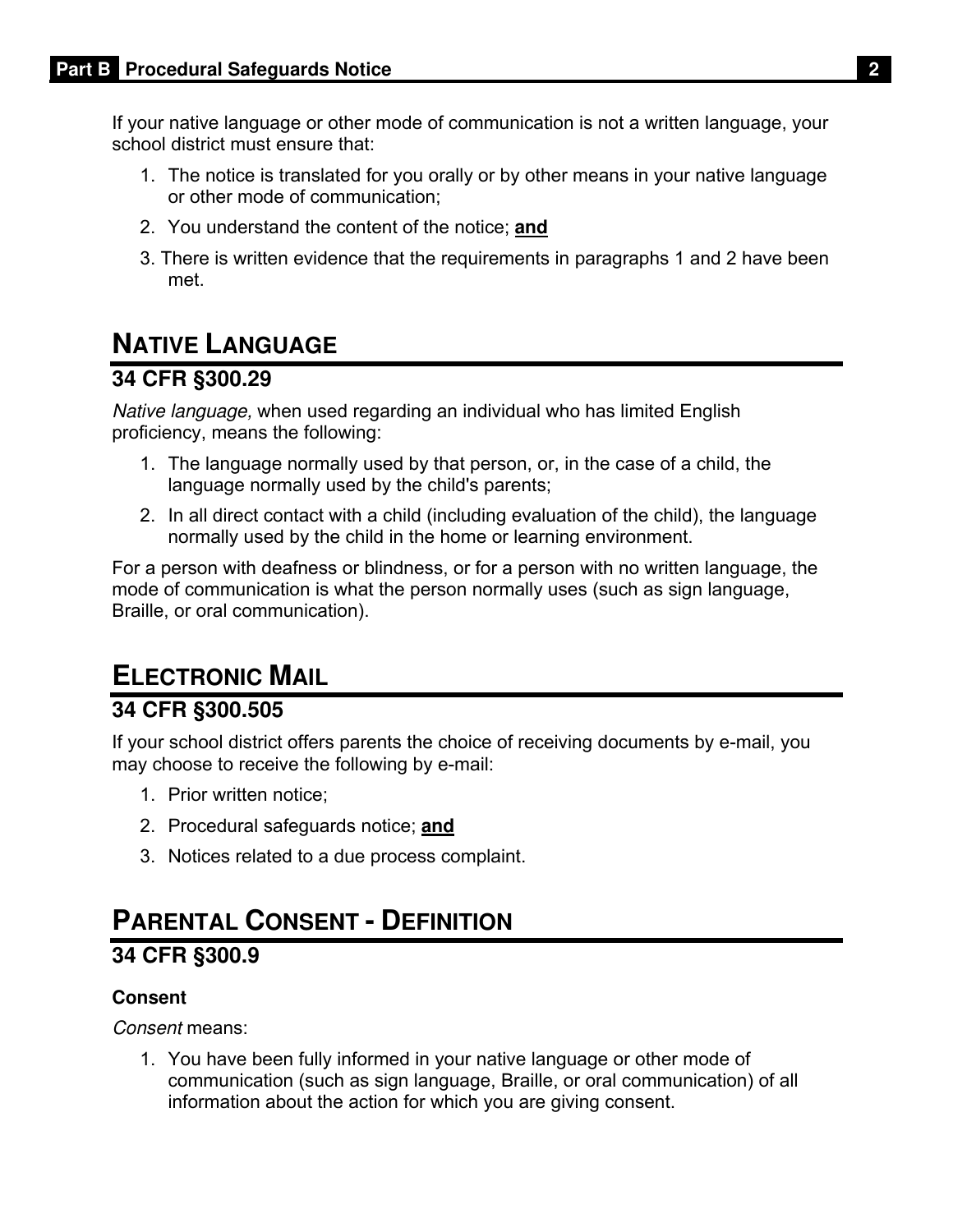<span id="page-6-0"></span>If your native language or other mode of communication is not a written language, your school district must ensure that:

- 1. The notice is translated for you orally or by other means in your native language or other mode of communication;
- 2. You understand the content of the notice; **and**
- 3. There is written evidence that the requirements in paragraphs 1 and 2 have been met.

## **NATIVE LANGUAGE**

### **34 CFR §300.29**

*Native language,* when used regarding an individual who has limited English proficiency, means the following:

- 1. The language normally used by that person, or, in the case of a child, the language normally used by the child's parents;
- 2. In all direct contact with a child (including evaluation of the child), the language normally used by the child in the home or learning environment.

For a person with deafness or blindness, or for a person with no written language, the mode of communication is what the person normally uses (such as sign language, Braille, or oral communication).

## **ELECTRONIC MAIL**

### **34 CFR §300.505**

If your school district offers parents the choice of receiving documents by e-mail, you may choose to receive the following by e-mail:

- 1. Prior written notice;
- 2. Procedural safeguards notice; **and**
- 3. Notices related to a due process complaint.

## **PARENTAL CONSENT - DEFINITION**

### **34 CFR §300.9**

### **Consent**

*Consent* means:

1. You have been fully informed in your native language or other mode of communication (such as sign language, Braille, or oral communication) of all information about the action for which you are giving consent.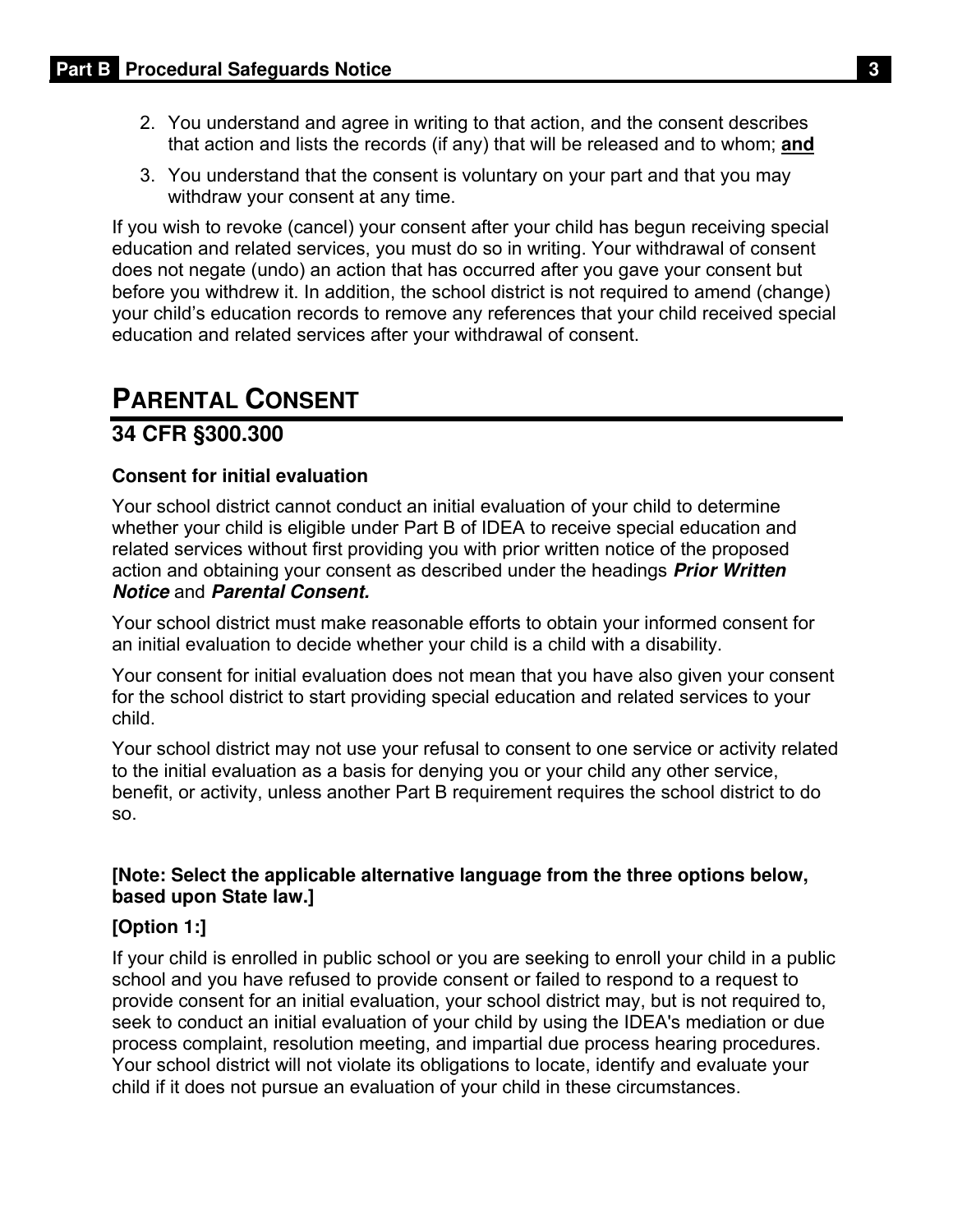- <span id="page-7-0"></span>2. You understand and agree in writing to that action, and the consent describes that action and lists the records (if any) that will be released and to whom; **and**
- 3. You understand that the consent is voluntary on your part and that you may withdraw your consent at any time.

If you wish to revoke (cancel) your consent after your child has begun receiving special education and related services, you must do so in writing. Your withdrawal of consent does not negate (undo) an action that has occurred after you gave your consent but before you withdrew it. In addition, the school district is not required to amend (change) your child's education records to remove any references that your child received special education and related services after your withdrawal of consent.

## **PARENTAL CONSENT**

### **34 CFR §300.300**

#### **Consent for initial evaluation**

Your school district cannot conduct an initial evaluation of your child to determine whether your child is eligible under Part B of IDEA to receive special education and related services without first providing you with prior written notice of the proposed action and obtaining your consent as described under the headings *Prior Written Notice* and *Parental Consent.*

Your school district must make reasonable efforts to obtain your informed consent for an initial evaluation to decide whether your child is a child with a disability.

Your consent for initial evaluation does not mean that you have also given your consent for the school district to start providing special education and related services to your child.

Your school district may not use your refusal to consent to one service or activity related to the initial evaluation as a basis for denying you or your child any other service, benefit, or activity, unless another Part B requirement requires the school district to do so.

#### **[Note: Select the applicable alternative language from the three options below, based upon State law.]**

### **[Option 1:]**

If your child is enrolled in public school or you are seeking to enroll your child in a public school and you have refused to provide consent or failed to respond to a request to provide consent for an initial evaluation, your school district may, but is not required to, seek to conduct an initial evaluation of your child by using the IDEA's mediation or due process complaint, resolution meeting, and impartial due process hearing procedures. Your school district will not violate its obligations to locate, identify and evaluate your child if it does not pursue an evaluation of your child in these circumstances.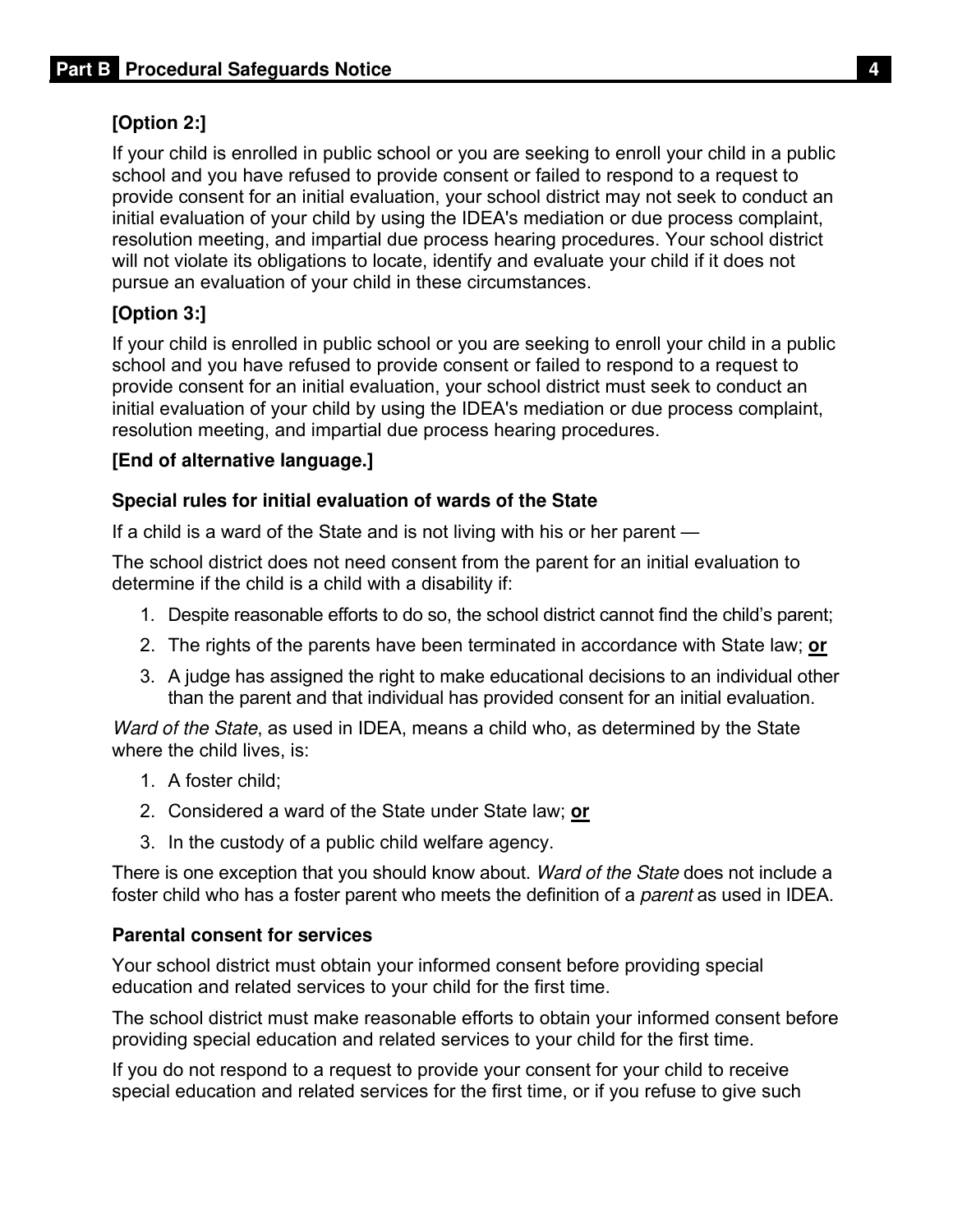### **[Option 2:]**

If your child is enrolled in public school or you are seeking to enroll your child in a public school and you have refused to provide consent or failed to respond to a request to provide consent for an initial evaluation, your school district may not seek to conduct an initial evaluation of your child by using the IDEA's mediation or due process complaint, resolution meeting, and impartial due process hearing procedures. Your school district will not violate its obligations to locate, identify and evaluate your child if it does not pursue an evaluation of your child in these circumstances.

### **[Option 3:]**

If your child is enrolled in public school or you are seeking to enroll your child in a public school and you have refused to provide consent or failed to respond to a request to provide consent for an initial evaluation, your school district must seek to conduct an initial evaluation of your child by using the IDEA's mediation or due process complaint, resolution meeting, and impartial due process hearing procedures.

#### **[End of alternative language.]**

#### **Special rules for initial evaluation of wards of the State**

If a child is a ward of the State and is not living with his or her parent —

The school district does not need consent from the parent for an initial evaluation to determine if the child is a child with a disability if:

- 1. Despite reasonable efforts to do so, the school district cannot find the child's parent;
- 2. The rights of the parents have been terminated in accordance with State law; **or**
- 3. A judge has assigned the right to make educational decisions to an individual other than the parent and that individual has provided consent for an initial evaluation.

*Ward of the State*, as used in IDEA, means a child who, as determined by the State where the child lives, is:

- 1. A foster child;
- 2. Considered a ward of the State under State law; **or**
- 3. In the custody of a public child welfare agency.

There is one exception that you should know about. *Ward of the State* does not include a foster child who has a foster parent who meets the definition of a *parent* as used in IDEA.

### **Parental consent for services**

Your school district must obtain your informed consent before providing special education and related services to your child for the first time.

The school district must make reasonable efforts to obtain your informed consent before providing special education and related services to your child for the first time.

If you do not respond to a request to provide your consent for your child to receive special education and related services for the first time, or if you refuse to give such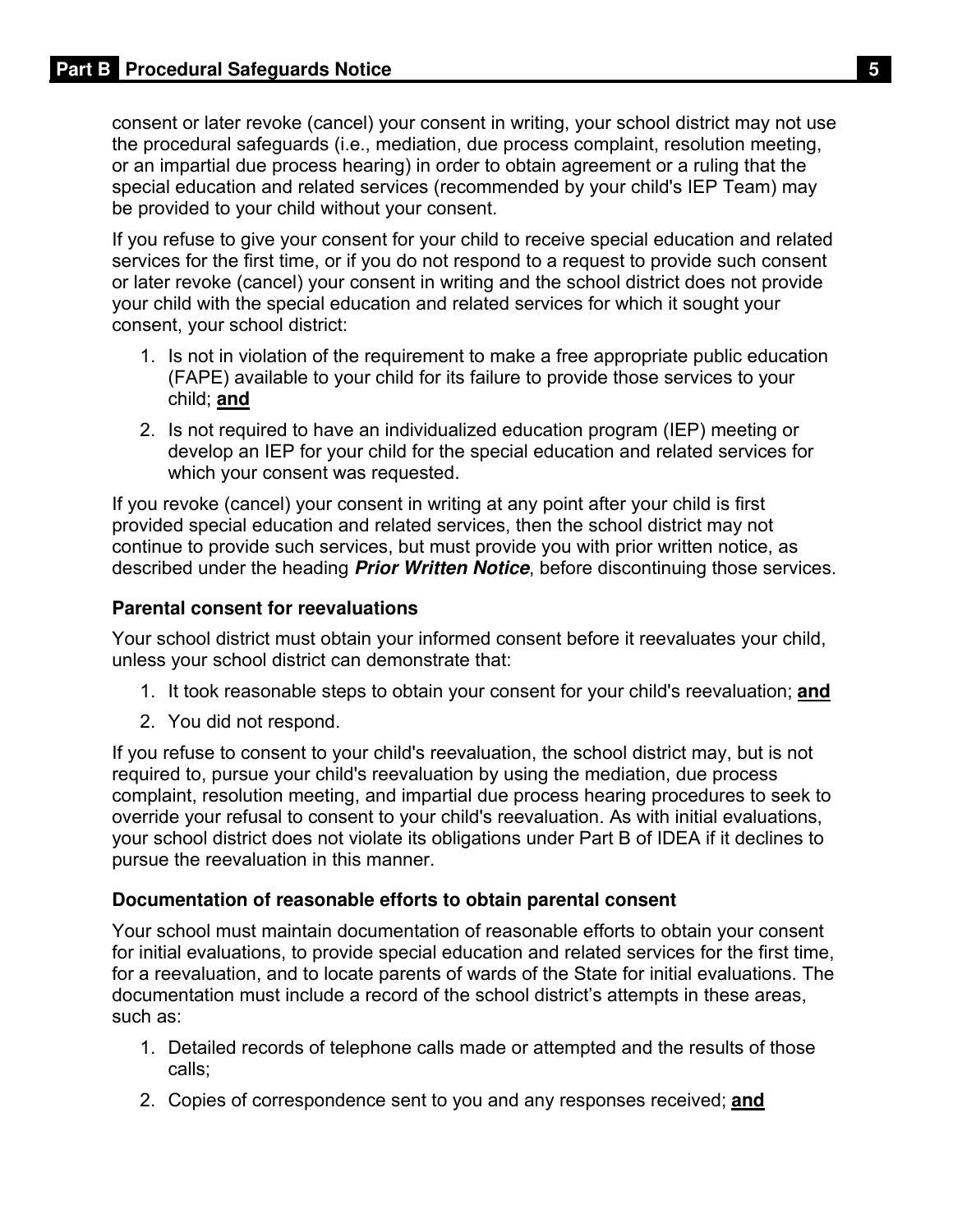consent or later revoke (cancel) your consent in writing, your school district may not use the procedural safeguards (i.e., mediation, due process complaint, resolution meeting, or an impartial due process hearing) in order to obtain agreement or a ruling that the special education and related services (recommended by your child's IEP Team) may be provided to your child without your consent.

If you refuse to give your consent for your child to receive special education and related services for the first time, or if you do not respond to a request to provide such consent or later revoke (cancel) your consent in writing and the school district does not provide your child with the special education and related services for which it sought your consent, your school district:

- 1. Is not in violation of the requirement to make a free appropriate public education (FAPE) available to your child for its failure to provide those services to your child; **and**
- 2. Is not required to have an individualized education program (IEP) meeting or develop an IEP for your child for the special education and related services for which your consent was requested.

If you revoke (cancel) your consent in writing at any point after your child is first provided special education and related services, then the school district may not continue to provide such services, but must provide you with prior written notice, as described under the heading *Prior Written Notice*, before discontinuing those services.

#### **Parental consent for reevaluations**

Your school district must obtain your informed consent before it reevaluates your child, unless your school district can demonstrate that:

- 1. It took reasonable steps to obtain your consent for your child's reevaluation; **and**
- 2. You did not respond.

If you refuse to consent to your child's reevaluation, the school district may, but is not required to, pursue your child's reevaluation by using the mediation, due process complaint, resolution meeting, and impartial due process hearing procedures to seek to override your refusal to consent to your child's reevaluation. As with initial evaluations, your school district does not violate its obligations under Part B of IDEA if it declines to pursue the reevaluation in this manner.

#### **Documentation of reasonable efforts to obtain parental consent**

Your school must maintain documentation of reasonable efforts to obtain your consent for initial evaluations, to provide special education and related services for the first time, for a reevaluation, and to locate parents of wards of the State for initial evaluations. The documentation must include a record of the school district's attempts in these areas, such as:

- 1. Detailed records of telephone calls made or attempted and the results of those calls;
- 2. Copies of correspondence sent to you and any responses received; **and**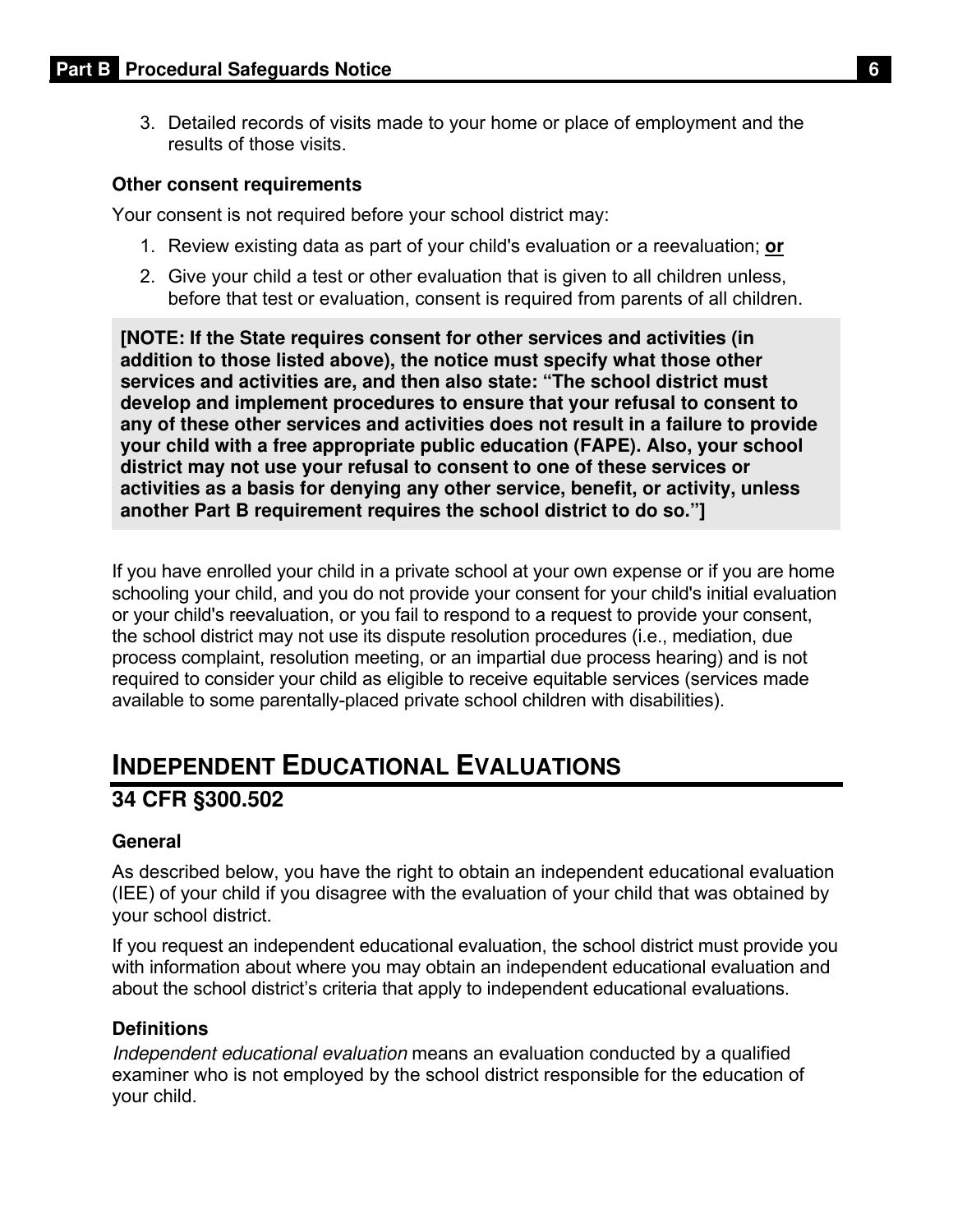<span id="page-10-0"></span>3. Detailed records of visits made to your home or place of employment and the results of those visits.

#### **Other consent requirements**

Your consent is not required before your school district may:

- 1. Review existing data as part of your child's evaluation or a reevaluation; **or**
- 2. Give your child a test or other evaluation that is given to all children unless, before that test or evaluation, consent is required from parents of all children.

**[NOTE: If the State requires consent for other services and activities (in addition to those listed above), the notice must specify what those other services and activities are, and then also state: "The school district must develop and implement procedures to ensure that your refusal to consent to any of these other services and activities does not result in a failure to provide your child with a free appropriate public education (FAPE). Also, your school district may not use your refusal to consent to one of these services or activities as a basis for denying any other service, benefit, or activity, unless another Part B requirement requires the school district to do so."]** 

If you have enrolled your child in a private school at your own expense or if you are home schooling your child, and you do not provide your consent for your child's initial evaluation or your child's reevaluation, or you fail to respond to a request to provide your consent, the school district may not use its dispute resolution procedures (i.e., mediation, due process complaint, resolution meeting, or an impartial due process hearing) and is not required to consider your child as eligible to receive equitable services (services made available to some parentally-placed private school children with disabilities).

## **INDEPENDENT EDUCATIONAL EVALUATIONS**

### **34 CFR §300.502**

#### **General**

As described below, you have the right to obtain an independent educational evaluation (IEE) of your child if you disagree with the evaluation of your child that was obtained by your school district.

If you request an independent educational evaluation, the school district must provide you with information about where you may obtain an independent educational evaluation and about the school district's criteria that apply to independent educational evaluations.

#### **Definitions**

*Independent educational evaluation* means an evaluation conducted by a qualified examiner who is not employed by the school district responsible for the education of your child.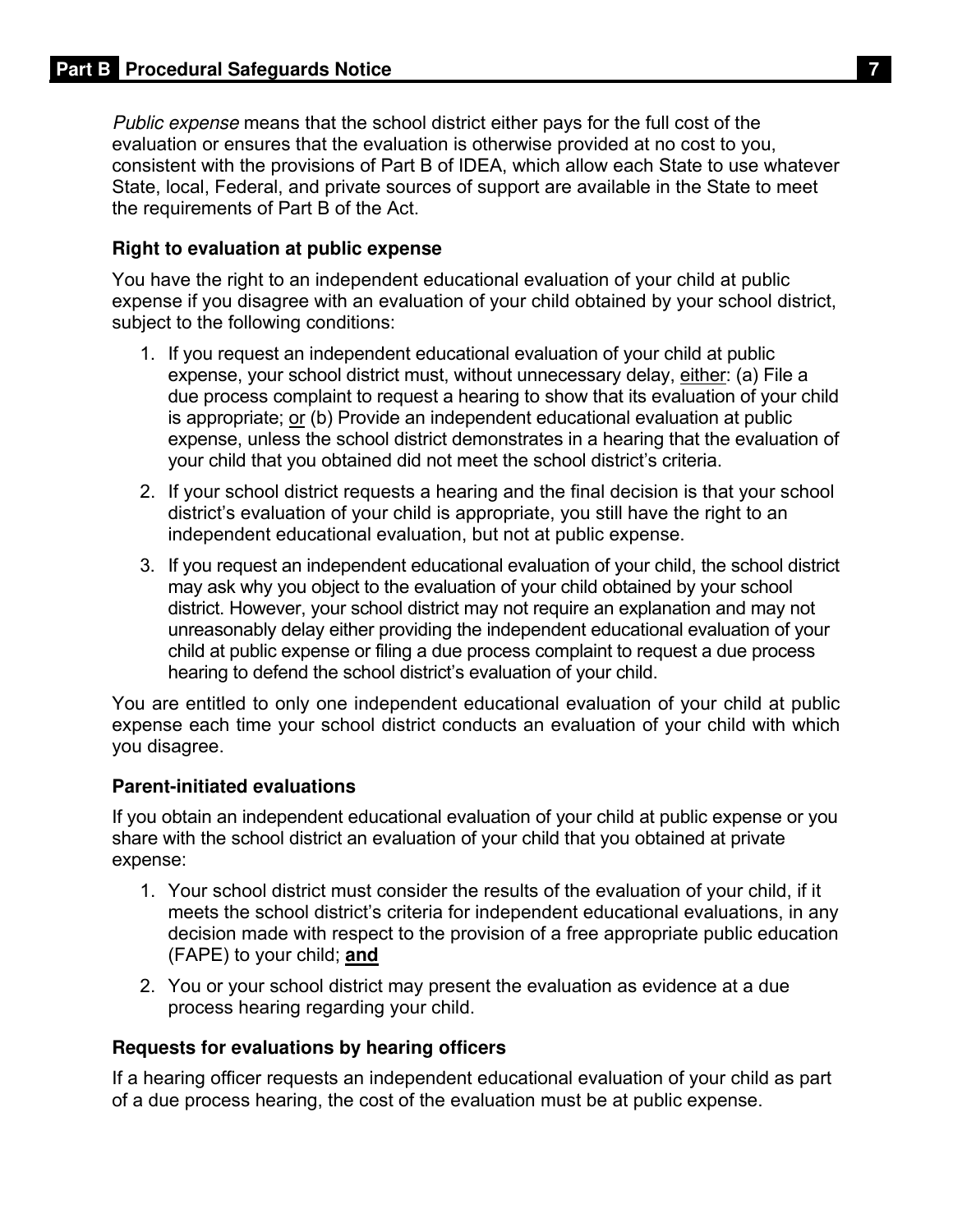*Public expense* means that the school district either pays for the full cost of the evaluation or ensures that the evaluation is otherwise provided at no cost to you, consistent with the provisions of Part B of IDEA, which allow each State to use whatever State, local, Federal, and private sources of support are available in the State to meet the requirements of Part B of the Act.

#### **Right to evaluation at public expense**

You have the right to an independent educational evaluation of your child at public expense if you disagree with an evaluation of your child obtained by your school district, subject to the following conditions:

- 1. If you request an independent educational evaluation of your child at public expense, your school district must, without unnecessary delay, either: (a) File a due process complaint to request a hearing to show that its evaluation of your child is appropriate; or (b) Provide an independent educational evaluation at public expense, unless the school district demonstrates in a hearing that the evaluation of your child that you obtained did not meet the school district's criteria.
- 2. If your school district requests a hearing and the final decision is that your school district's evaluation of your child is appropriate, you still have the right to an independent educational evaluation, but not at public expense.
- 3. If you request an independent educational evaluation of your child, the school district may ask why you object to the evaluation of your child obtained by your school district. However, your school district may not require an explanation and may not unreasonably delay either providing the independent educational evaluation of your child at public expense or filing a due process complaint to request a due process hearing to defend the school district's evaluation of your child.

You are entitled to only one independent educational evaluation of your child at public expense each time your school district conducts an evaluation of your child with which you disagree.

#### **Parent-initiated evaluations**

If you obtain an independent educational evaluation of your child at public expense or you share with the school district an evaluation of your child that you obtained at private expense:

- 1. Your school district must consider the results of the evaluation of your child, if it meets the school district's criteria for independent educational evaluations, in any decision made with respect to the provision of a free appropriate public education (FAPE) to your child; **and**
- 2. You or your school district may present the evaluation as evidence at a due process hearing regarding your child.

#### **Requests for evaluations by hearing officers**

If a hearing officer requests an independent educational evaluation of your child as part of a due process hearing, the cost of the evaluation must be at public expense.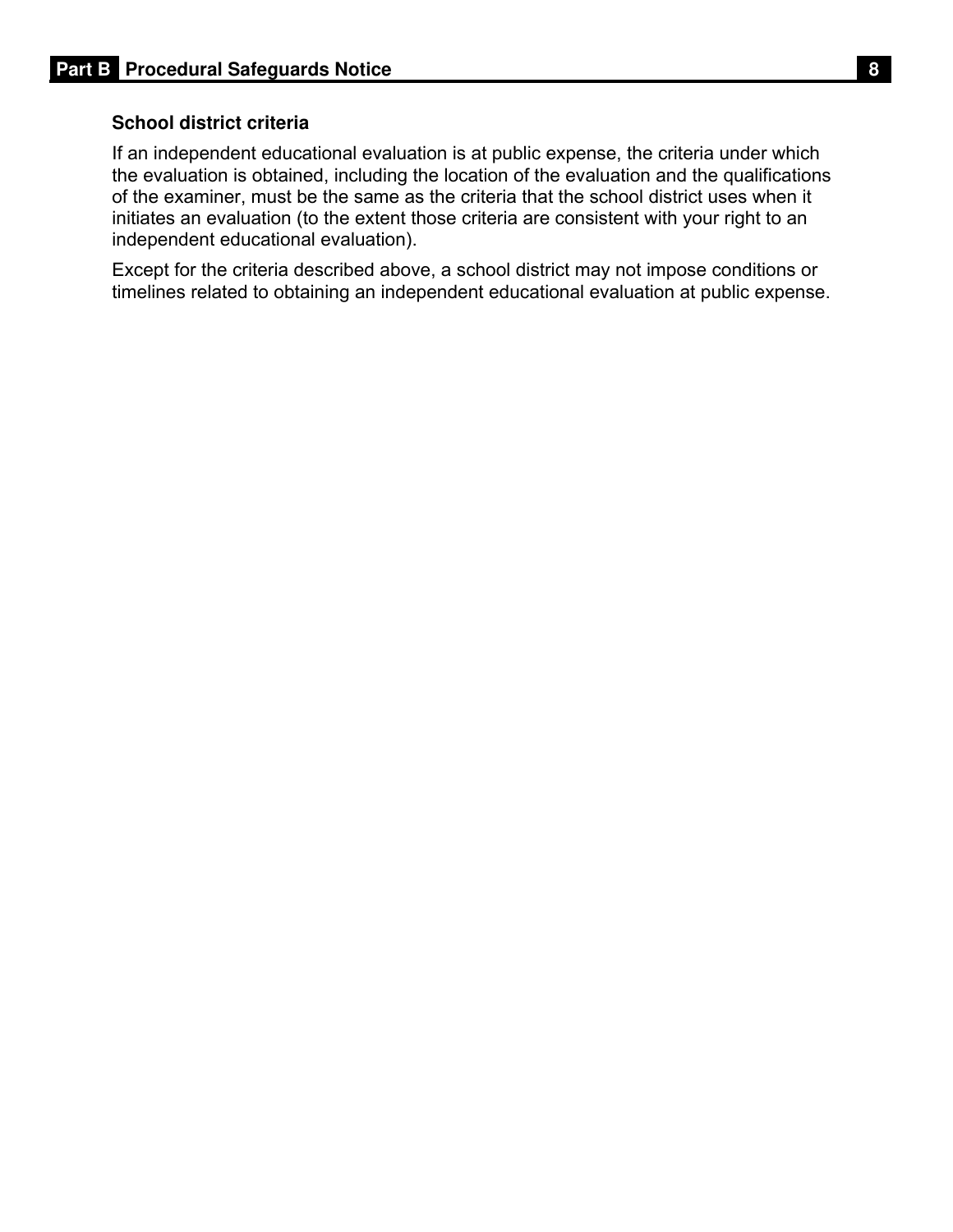#### **School district criteria**

If an independent educational evaluation is at public expense, the criteria under which the evaluation is obtained, including the location of the evaluation and the qualifications of the examiner, must be the same as the criteria that the school district uses when it initiates an evaluation (to the extent those criteria are consistent with your right to an independent educational evaluation).

Except for the criteria described above, a school district may not impose conditions or timelines related to obtaining an independent educational evaluation at public expense.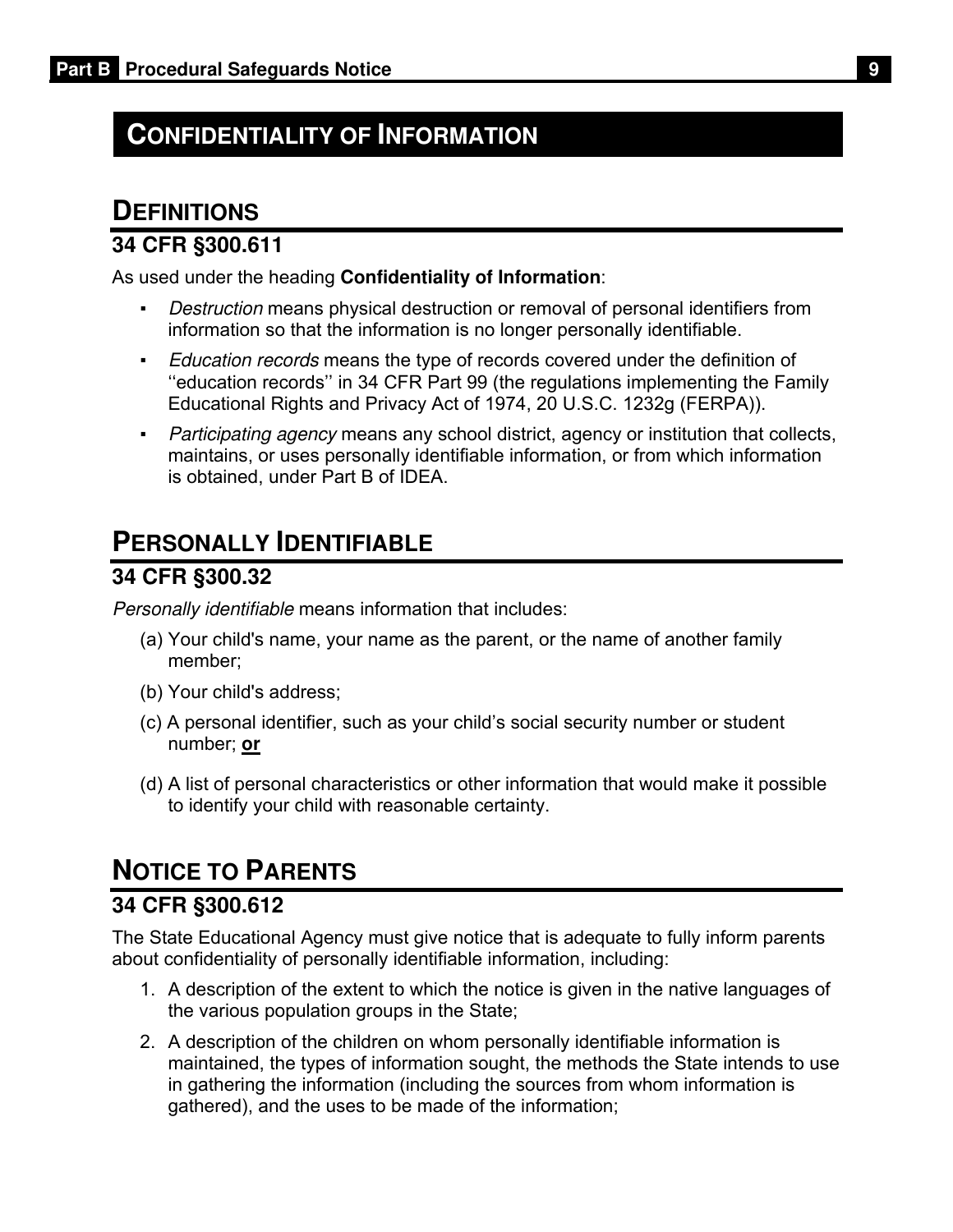## <span id="page-13-0"></span>**CONFIDENTIALITY OF INFORMATION**

## **DEFINITIONS**

### **34 CFR §300.611**

As used under the heading **Confidentiality of Information**:

- *Destruction* means physical destruction or removal of personal identifiers from information so that the information is no longer personally identifiable.
- *Education records* means the type of records covered under the definition of ''education records'' in 34 CFR Part 99 (the regulations implementing the Family Educational Rights and Privacy Act of 1974, 20 U.S.C. 1232g (FERPA)).
- *Participating agency* means any school district, agency or institution that collects, maintains, or uses personally identifiable information, or from which information is obtained, under Part B of IDEA.

## **PERSONALLY IDENTIFIABLE**

### **34 CFR §300.32**

*Personally identifiable* means information that includes:

- (a) Your child's name, your name as the parent, or the name of another family member;
- (b) Your child's address;
- (c) A personal identifier, such as your child's social security number or student number; **or**
- (d) A list of personal characteristics or other information that would make it possible to identify your child with reasonable certainty.

## **NOTICE TO PARENTS**

### **34 CFR §300.612**

The State Educational Agency must give notice that is adequate to fully inform parents about confidentiality of personally identifiable information, including:

- 1. A description of the extent to which the notice is given in the native languages of the various population groups in the State;
- 2. A description of the children on whom personally identifiable information is maintained, the types of information sought, the methods the State intends to use in gathering the information (including the sources from whom information is gathered), and the uses to be made of the information;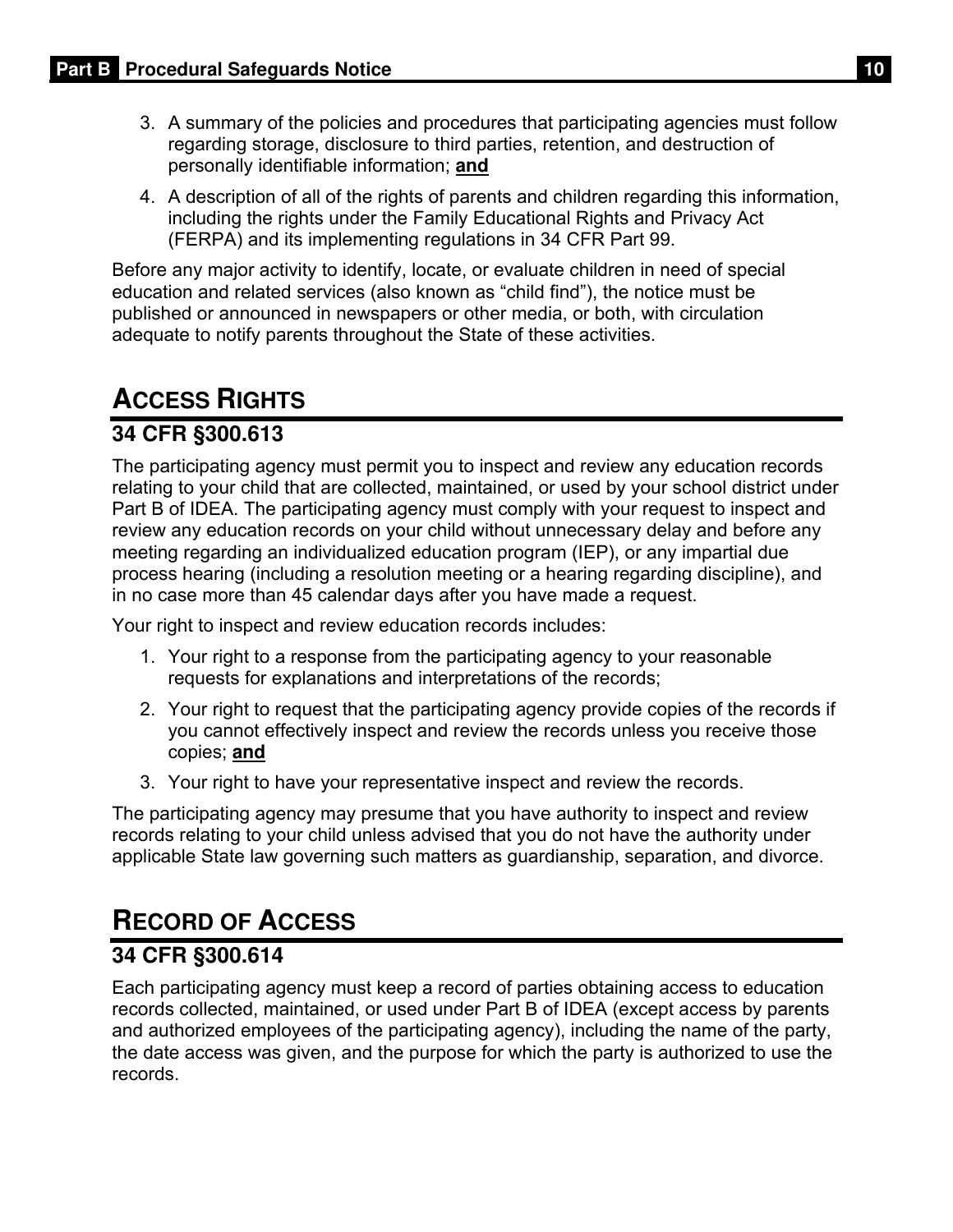- <span id="page-14-0"></span>3. A summary of the policies and procedures that participating agencies must follow regarding storage, disclosure to third parties, retention, and destruction of personally identifiable information; **and**
- 4. A description of all of the rights of parents and children regarding this information, including the rights under the Family Educational Rights and Privacy Act (FERPA) and its implementing regulations in 34 CFR Part 99.

Before any major activity to identify, locate, or evaluate children in need of special education and related services (also known as "child find"), the notice must be published or announced in newspapers or other media, or both, with circulation adequate to notify parents throughout the State of these activities.

## **ACCESS RIGHTS**

## **34 CFR §300.613**

The participating agency must permit you to inspect and review any education records relating to your child that are collected, maintained, or used by your school district under Part B of IDEA. The participating agency must comply with your request to inspect and review any education records on your child without unnecessary delay and before any meeting regarding an individualized education program (IEP), or any impartial due process hearing (including a resolution meeting or a hearing regarding discipline), and in no case more than 45 calendar days after you have made a request.

Your right to inspect and review education records includes:

- 1. Your right to a response from the participating agency to your reasonable requests for explanations and interpretations of the records;
- 2. Your right to request that the participating agency provide copies of the records if you cannot effectively inspect and review the records unless you receive those copies; **and**
- 3. Your right to have your representative inspect and review the records.

The participating agency may presume that you have authority to inspect and review records relating to your child unless advised that you do not have the authority under applicable State law governing such matters as guardianship, separation, and divorce.

## **RECORD OF ACCESS**

### **34 CFR §300.614**

Each participating agency must keep a record of parties obtaining access to education records collected, maintained, or used under Part B of IDEA (except access by parents and authorized employees of the participating agency), including the name of the party, the date access was given, and the purpose for which the party is authorized to use the records.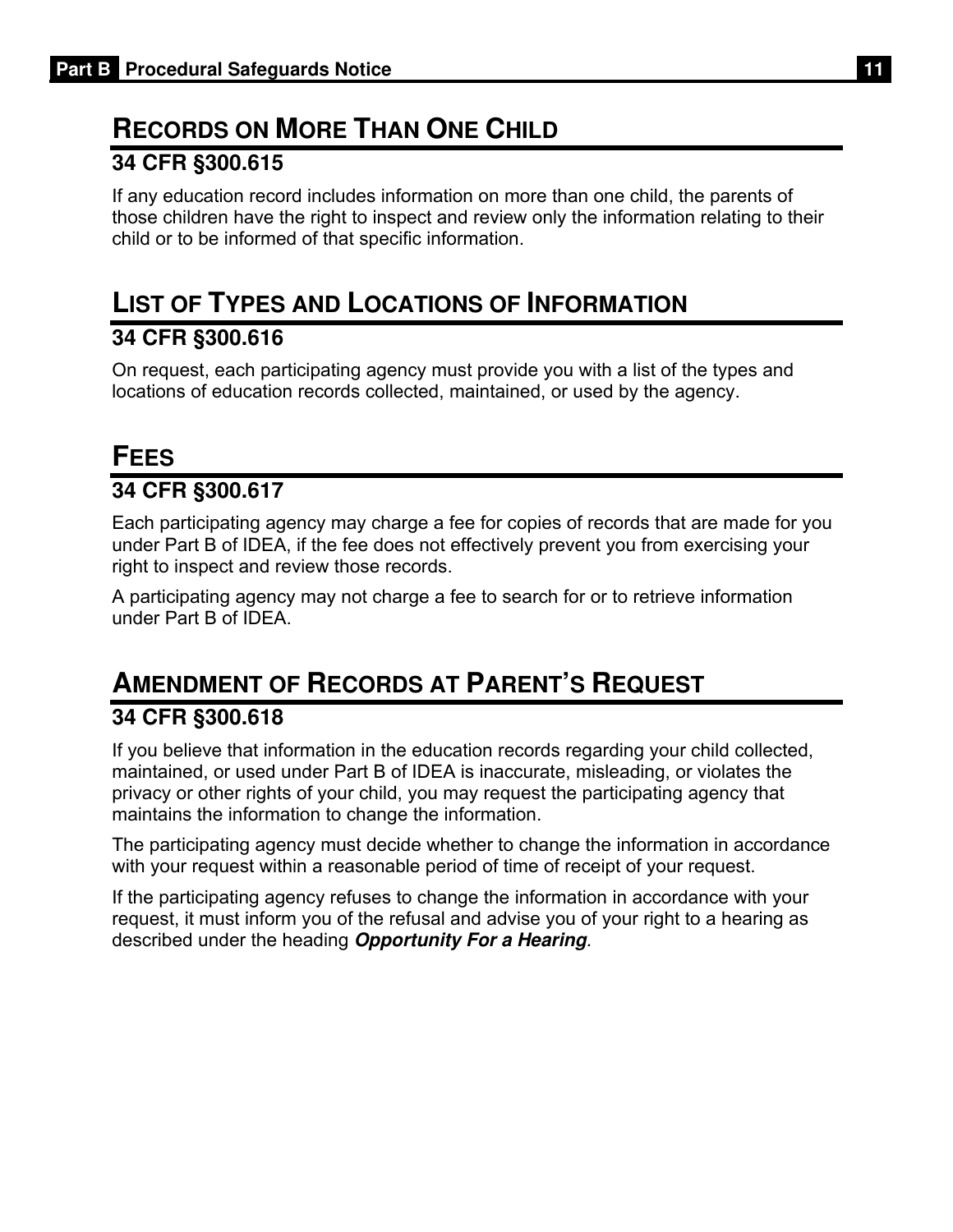## <span id="page-15-0"></span>**RECORDS ON MORE THAN ONE CHILD**

### **34 CFR §300.615**

If any education record includes information on more than one child, the parents of those children have the right to inspect and review only the information relating to their child or to be informed of that specific information.

## **LIST OF TYPES AND LOCATIONS OF INFORMATION**

### **34 CFR §300.616**

On request, each participating agency must provide you with a list of the types and locations of education records collected, maintained, or used by the agency.

## **FEES**

### **34 CFR §300.617**

Each participating agency may charge a fee for copies of records that are made for you under Part B of IDEA, if the fee does not effectively prevent you from exercising your right to inspect and review those records.

A participating agency may not charge a fee to search for or to retrieve information under Part B of IDEA.

## **AMENDMENT OF RECORDS AT PARENT'S REQUEST 34 CFR §300.618**

If you believe that information in the education records regarding your child collected, maintained, or used under Part B of IDEA is inaccurate, misleading, or violates the privacy or other rights of your child, you may request the participating agency that maintains the information to change the information.

The participating agency must decide whether to change the information in accordance with your request within a reasonable period of time of receipt of your request.

If the participating agency refuses to change the information in accordance with your request, it must inform you of the refusal and advise you of your right to a hearing as described under the heading *Opportunity For a Hearing.*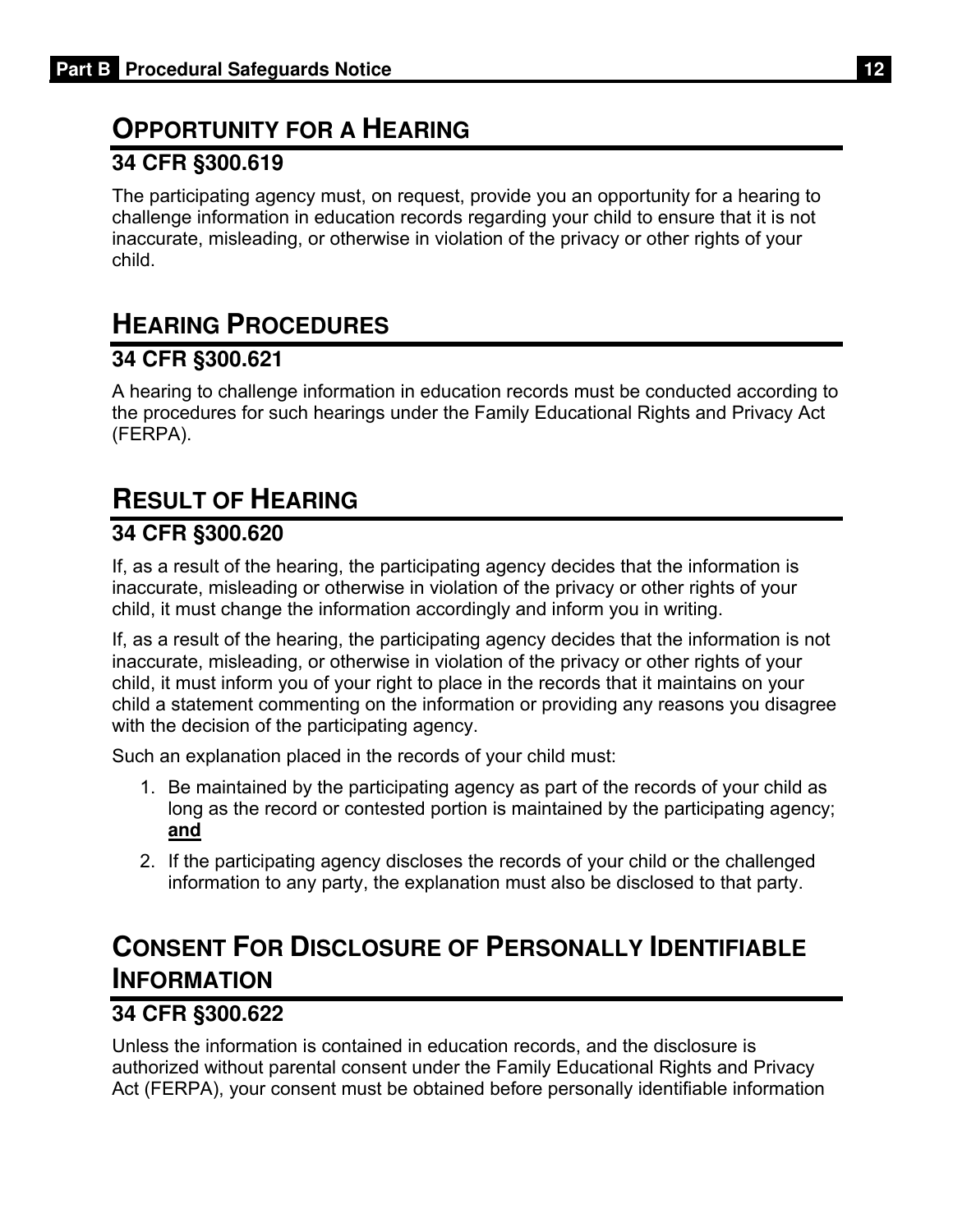## <span id="page-16-0"></span>**OPPORTUNITY FOR A HEARING**

## **34 CFR §300.619**

The participating agency must, on request, provide you an opportunity for a hearing to challenge information in education records regarding your child to ensure that it is not inaccurate, misleading, or otherwise in violation of the privacy or other rights of your child.

## **HEARING PROCEDURES**

### **34 CFR §300.621**

A hearing to challenge information in education records must be conducted according to the procedures for such hearings under the Family Educational Rights and Privacy Act (FERPA).

## **RESULT OF HEARING**

## **34 CFR §300.620**

If, as a result of the hearing, the participating agency decides that the information is inaccurate, misleading or otherwise in violation of the privacy or other rights of your child, it must change the information accordingly and inform you in writing.

If, as a result of the hearing, the participating agency decides that the information is not inaccurate, misleading, or otherwise in violation of the privacy or other rights of your child, it must inform you of your right to place in the records that it maintains on your child a statement commenting on the information or providing any reasons you disagree with the decision of the participating agency.

Such an explanation placed in the records of your child must:

- 1. Be maintained by the participating agency as part of the records of your child as long as the record or contested portion is maintained by the participating agency; **and**
- 2. If the participating agency discloses the records of your child or the challenged information to any party, the explanation must also be disclosed to that party.

## **CONSENT FOR DISCLOSURE OF PERSONALLY IDENTIFIABLE INFORMATION**

### **34 CFR §300.622**

Unless the information is contained in education records, and the disclosure is authorized without parental consent under the Family Educational Rights and Privacy Act (FERPA), your consent must be obtained before personally identifiable information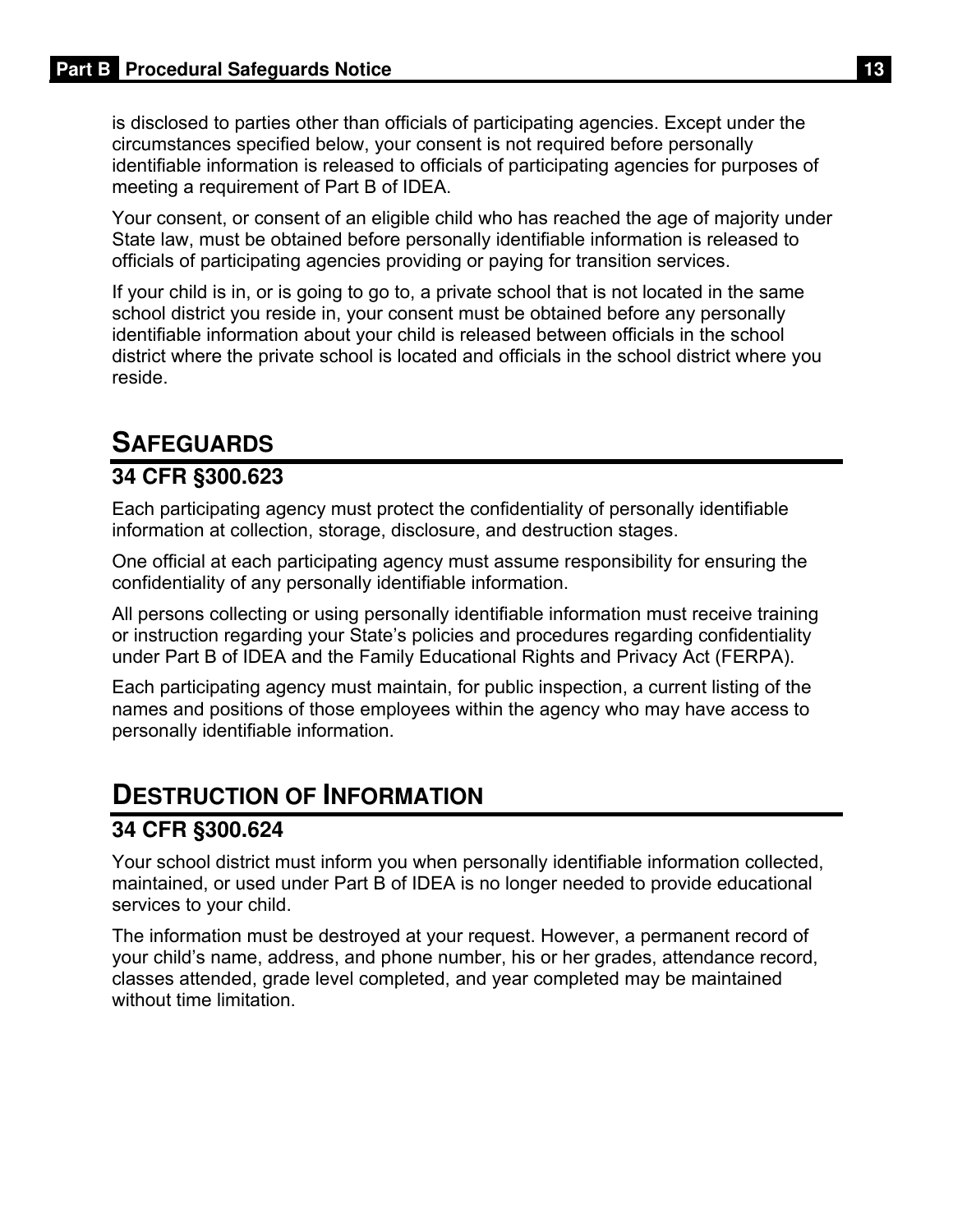<span id="page-17-0"></span>is disclosed to parties other than officials of participating agencies. Except under the circumstances specified below, your consent is not required before personally identifiable information is released to officials of participating agencies for purposes of meeting a requirement of Part B of IDEA.

Your consent, or consent of an eligible child who has reached the age of majority under State law, must be obtained before personally identifiable information is released to officials of participating agencies providing or paying for transition services.

If your child is in, or is going to go to, a private school that is not located in the same school district you reside in, your consent must be obtained before any personally identifiable information about your child is released between officials in the school district where the private school is located and officials in the school district where you reside.

## **SAFEGUARDS**

### **34 CFR §300.623**

Each participating agency must protect the confidentiality of personally identifiable information at collection, storage, disclosure, and destruction stages.

One official at each participating agency must assume responsibility for ensuring the confidentiality of any personally identifiable information.

All persons collecting or using personally identifiable information must receive training or instruction regarding your State's policies and procedures regarding confidentiality under Part B of IDEA and the Family Educational Rights and Privacy Act (FERPA).

Each participating agency must maintain, for public inspection, a current listing of the names and positions of those employees within the agency who may have access to personally identifiable information.

## **DESTRUCTION OF INFORMATION**

### **34 CFR §300.624**

Your school district must inform you when personally identifiable information collected, maintained, or used under Part B of IDEA is no longer needed to provide educational services to your child.

The information must be destroyed at your request. However, a permanent record of your child's name, address, and phone number, his or her grades, attendance record, classes attended, grade level completed, and year completed may be maintained without time limitation.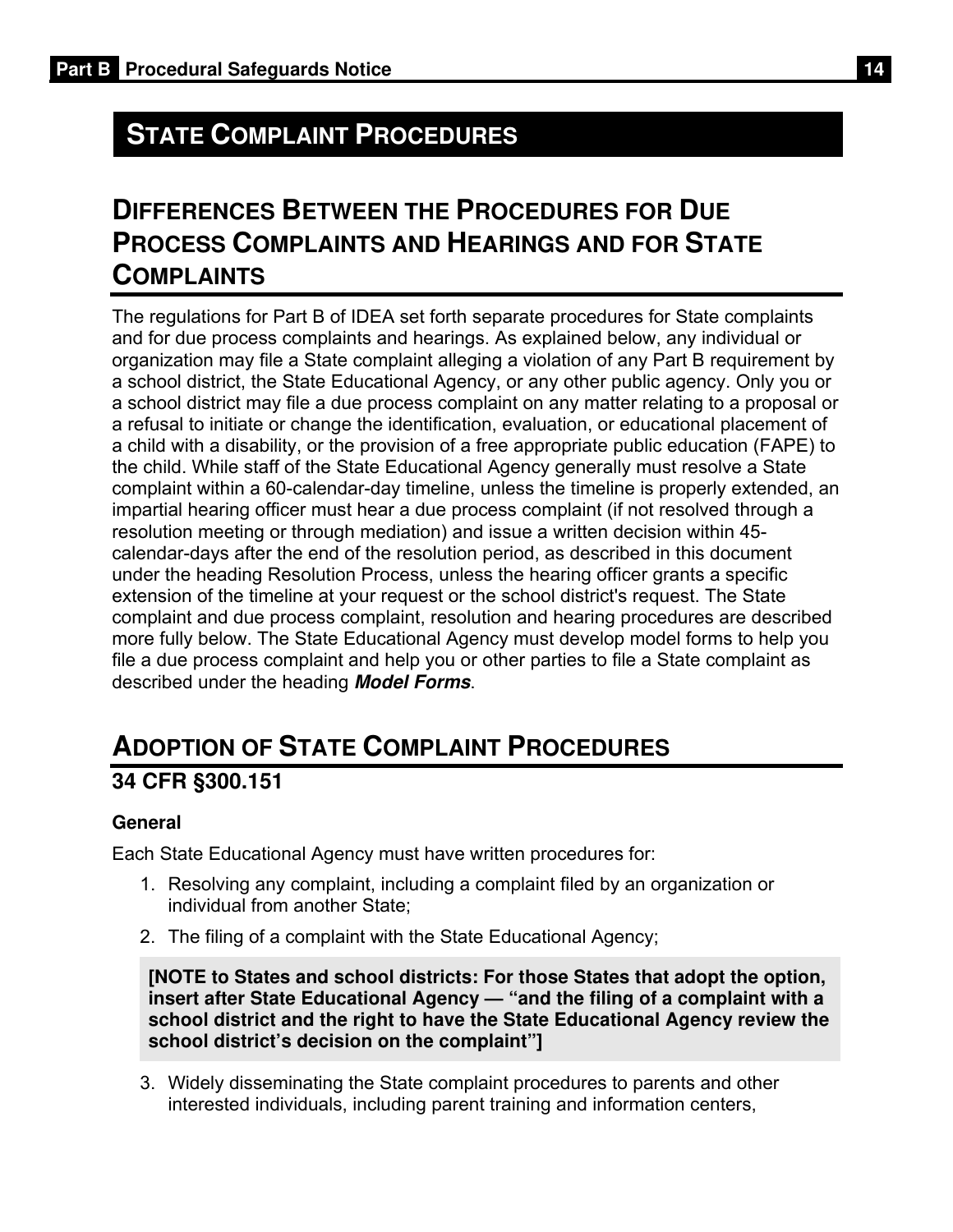## <span id="page-18-0"></span>**STATE COMPLAINT PROCEDURES**

## **DIFFERENCES BETWEEN THE PROCEDURES FOR DUE PROCESS COMPLAINTS AND HEARINGS AND FOR STATE COMPLAINTS**

The regulations for Part B of IDEA set forth separate procedures for State complaints and for due process complaints and hearings. As explained below, any individual or organization may file a State complaint alleging a violation of any Part B requirement by a school district, the State Educational Agency, or any other public agency. Only you or a school district may file a due process complaint on any matter relating to a proposal or a refusal to initiate or change the identification, evaluation, or educational placement of a child with a disability, or the provision of a free appropriate public education (FAPE) to the child. While staff of the State Educational Agency generally must resolve a State complaint within a 60-calendar-day timeline, unless the timeline is properly extended, an impartial hearing officer must hear a due process complaint (if not resolved through a resolution meeting or through mediation) and issue a written decision within 45 calendar-days after the end of the resolution period, as described in this document under the heading Resolution Process, unless the hearing officer grants a specific extension of the timeline at your request or the school district's request. The State complaint and due process complaint, resolution and hearing procedures are described more fully below. The State Educational Agency must develop model forms to help you file a due process complaint and help you or other parties to file a State complaint as described under the heading *Model Forms*.

## **ADOPTION OF STATE COMPLAINT PROCEDURES**

## **34 CFR §300.151**

#### **General**

Each State Educational Agency must have written procedures for:

- 1. Resolving any complaint, including a complaint filed by an organization or individual from another State;
- 2. The filing of a complaint with the State Educational Agency;

**[NOTE to States and school districts: For those States that adopt the option, insert after State Educational Agency — "and the filing of a complaint with a school district and the right to have the State Educational Agency review the school district's decision on the complaint"]** 

3. Widely disseminating the State complaint procedures to parents and other interested individuals, including parent training and information centers,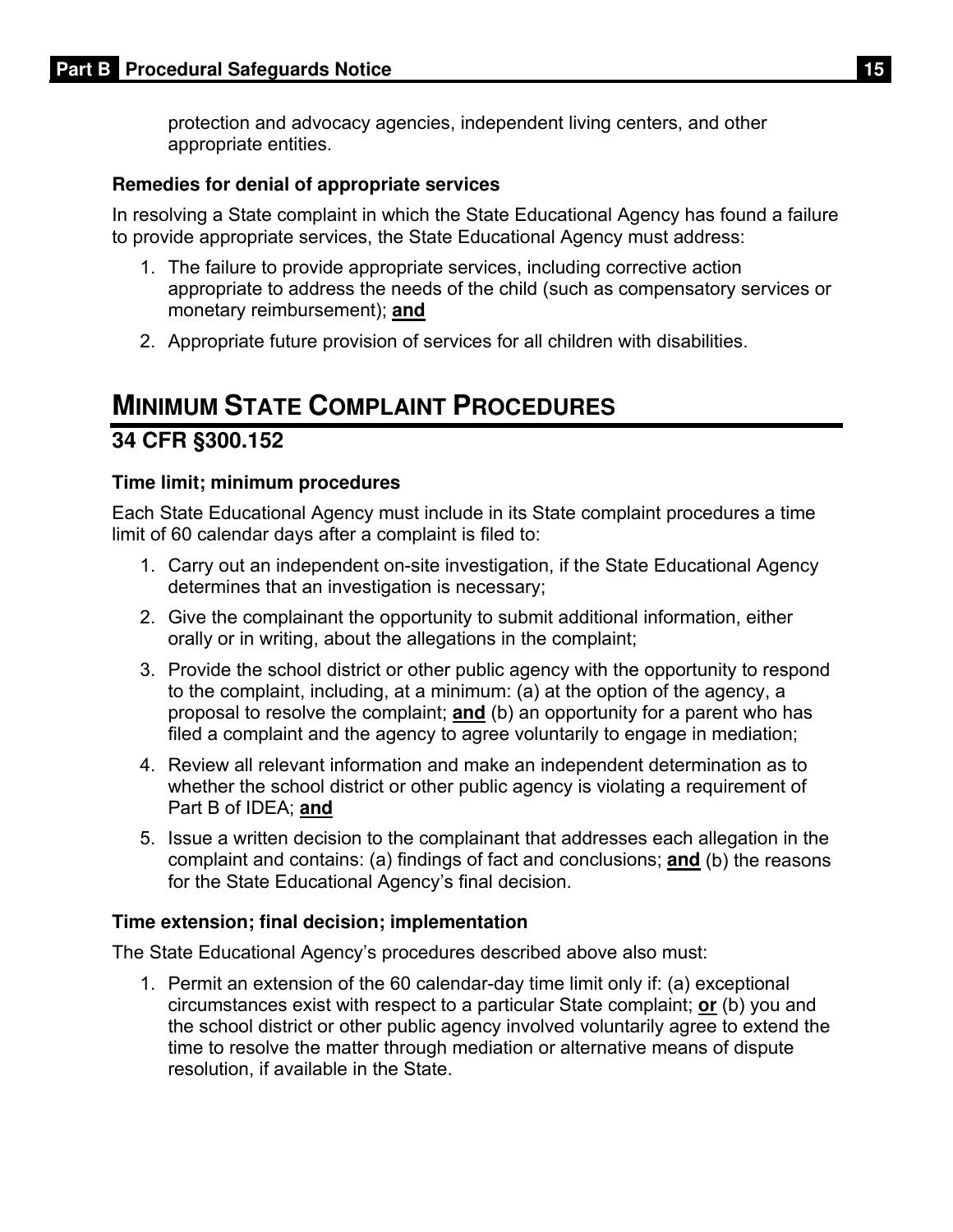<span id="page-19-0"></span>protection and advocacy agencies, independent living centers, and other appropriate entities.

#### **Remedies for denial of appropriate services**

In resolving a State complaint in which the State Educational Agency has found a failure to provide appropriate services, the State Educational Agency must address:

- 1. The failure to provide appropriate services, including corrective action appropriate to address the needs of the child (such as compensatory services or monetary reimbursement); **and**
- 2. Appropriate future provision of services for all children with disabilities.

## **MINIMUM STATE COMPLAINT PROCEDURES**

### **34 CFR §300.152**

#### **Time limit; minimum procedures**

Each State Educational Agency must include in its State complaint procedures a time limit of 60 calendar days after a complaint is filed to:

- 1. Carry out an independent on-site investigation, if the State Educational Agency determines that an investigation is necessary;
- 2. Give the complainant the opportunity to submit additional information, either orally or in writing, about the allegations in the complaint;
- 3. Provide the school district or other public agency with the opportunity to respond to the complaint, including, at a minimum: (a) at the option of the agency, a proposal to resolve the complaint; **and** (b) an opportunity for a parent who has filed a complaint and the agency to agree voluntarily to engage in mediation;
- 4. Review all relevant information and make an independent determination as to whether the school district or other public agency is violating a requirement of Part B of IDEA; **and**
- 5. Issue a written decision to the complainant that addresses each allegation in the complaint and contains: (a) findings of fact and conclusions; **and** (b) the reasons for the State Educational Agency's final decision.

#### **Time extension; final decision; implementation**

The State Educational Agency's procedures described above also must:

1. Permit an extension of the 60 calendar-day time limit only if: (a) exceptional circumstances exist with respect to a particular State complaint; **or** (b) you and the school district or other public agency involved voluntarily agree to extend the time to resolve the matter through mediation or alternative means of dispute resolution, if available in the State.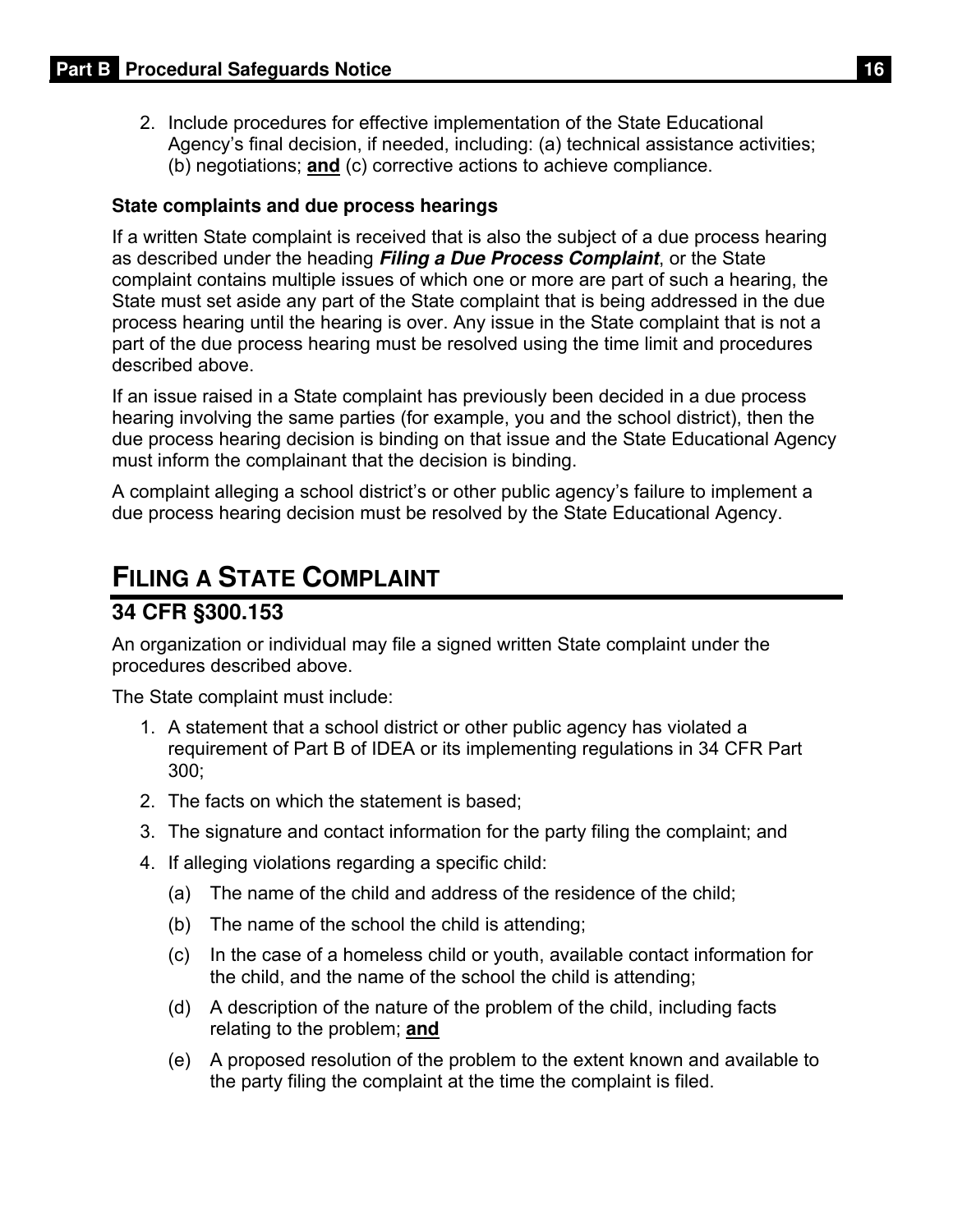<span id="page-20-0"></span>2. Include procedures for effective implementation of the State Educational Agency's final decision, if needed, including: (a) technical assistance activities; (b) negotiations; **and** (c) corrective actions to achieve compliance.

#### **State complaints and due process hearings**

If a written State complaint is received that is also the subject of a due process hearing as described under the heading *Filing a Due Process Complaint*, or the State complaint contains multiple issues of which one or more are part of such a hearing, the State must set aside any part of the State complaint that is being addressed in the due process hearing until the hearing is over. Any issue in the State complaint that is not a part of the due process hearing must be resolved using the time limit and procedures described above.

If an issue raised in a State complaint has previously been decided in a due process hearing involving the same parties (for example, you and the school district), then the due process hearing decision is binding on that issue and the State Educational Agency must inform the complainant that the decision is binding.

A complaint alleging a school district's or other public agency's failure to implement a due process hearing decision must be resolved by the State Educational Agency.

## **FILING A STATE COMPLAINT**

### **34 CFR §300.153**

An organization or individual may file a signed written State complaint under the procedures described above.

The State complaint must include:

- 1. A statement that a school district or other public agency has violated a requirement of Part B of IDEA or its implementing regulations in 34 CFR Part 300;
- 2. The facts on which the statement is based;
- 3. The signature and contact information for the party filing the complaint; and
- 4. If alleging violations regarding a specific child:
	- (a) The name of the child and address of the residence of the child;
	- (b) The name of the school the child is attending;
	- (c) In the case of a homeless child or youth, available contact information for the child, and the name of the school the child is attending;
	- (d) A description of the nature of the problem of the child, including facts relating to the problem; **and**
	- (e) A proposed resolution of the problem to the extent known and available to the party filing the complaint at the time the complaint is filed.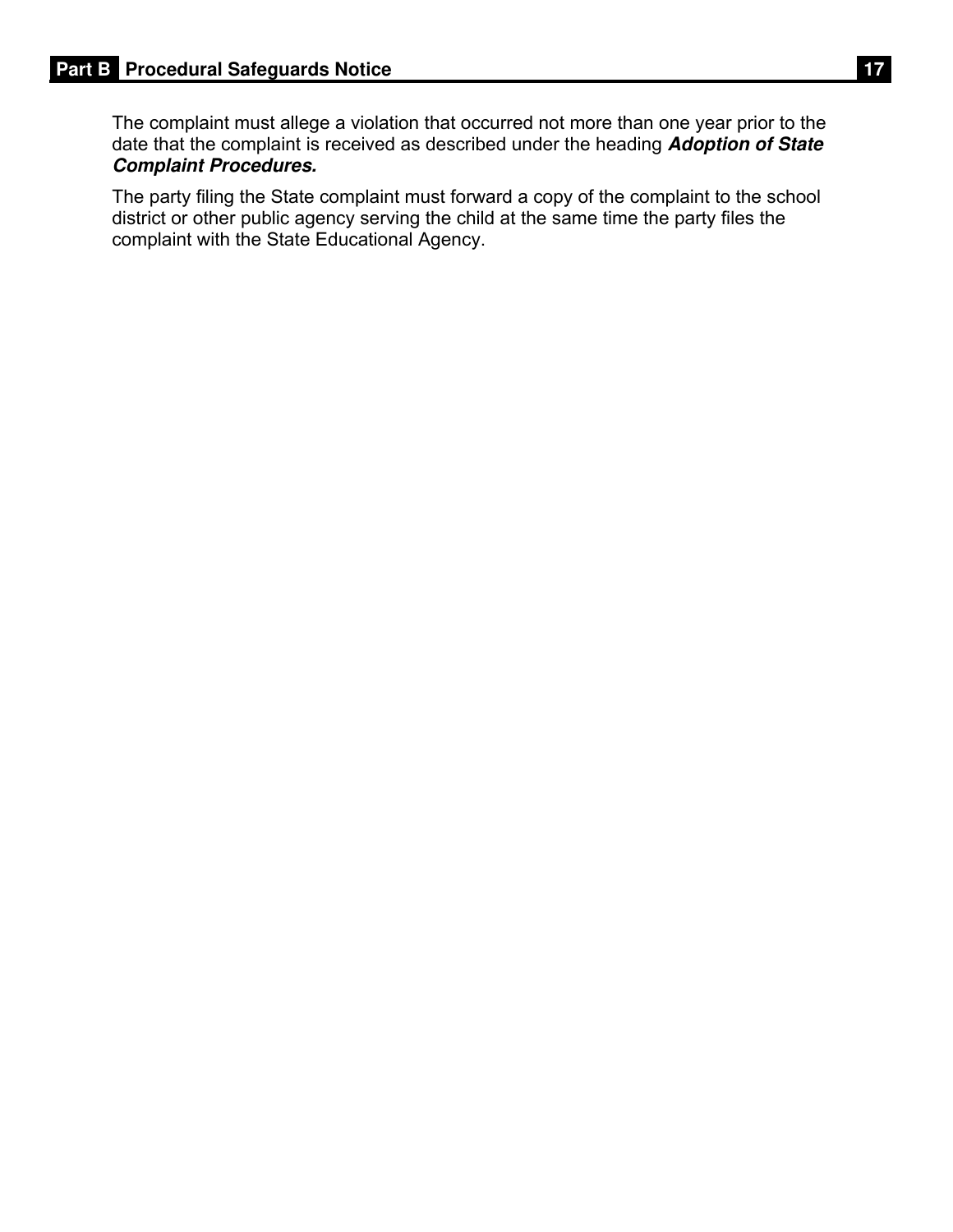The complaint must allege a violation that occurred not more than one year prior to the date that the complaint is received as described under the heading *Adoption of State Complaint Procedures.* 

The party filing the State complaint must forward a copy of the complaint to the school district or other public agency serving the child at the same time the party files the complaint with the State Educational Agency.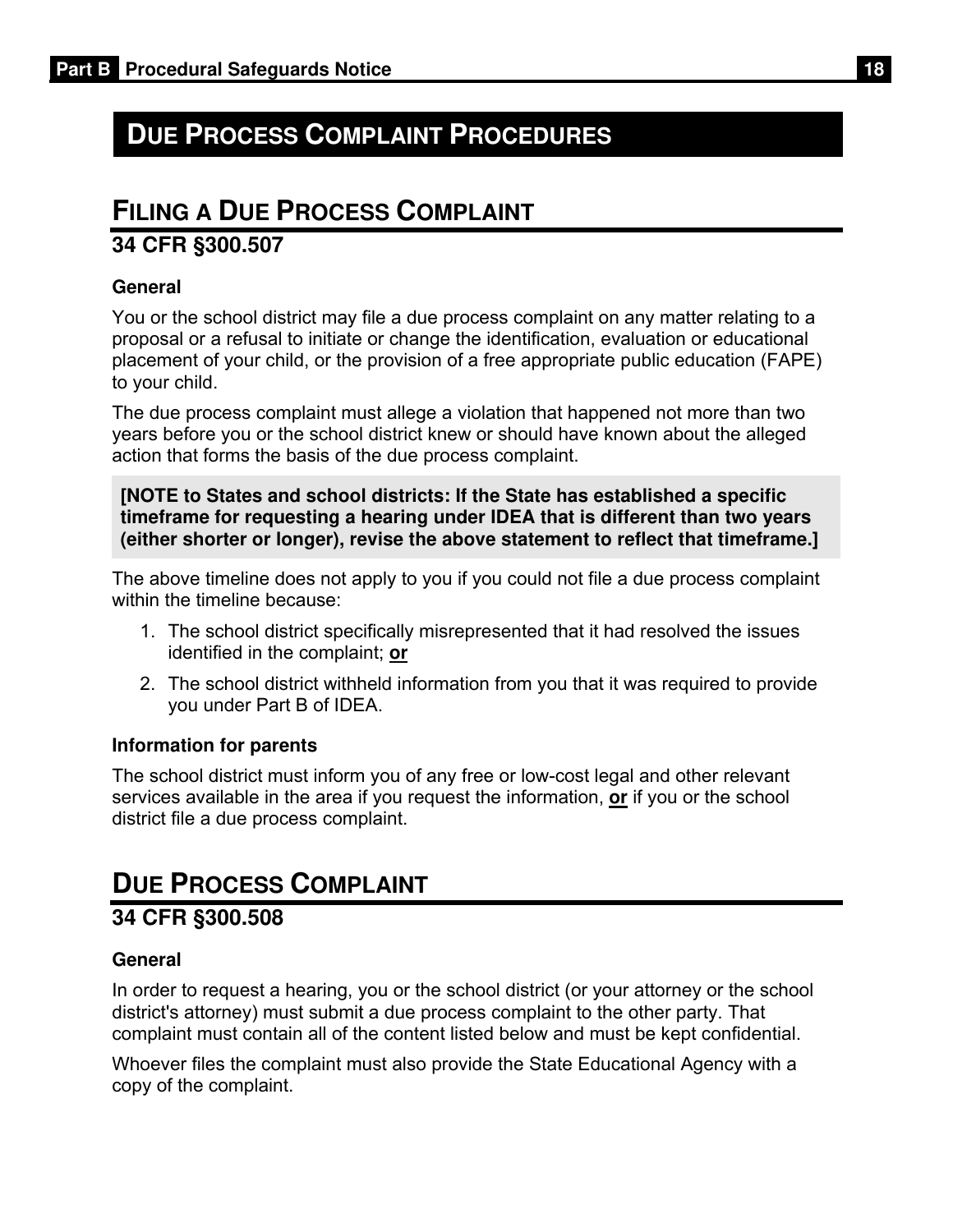## <span id="page-22-0"></span>**DUE PROCESS COMPLAINT PROCEDURES**

## **FILING A DUE PROCESS COMPLAINT**

### **34 CFR §300.507**

#### **General**

You or the school district may file a due process complaint on any matter relating to a proposal or a refusal to initiate or change the identification, evaluation or educational placement of your child, or the provision of a free appropriate public education (FAPE) to your child.

The due process complaint must allege a violation that happened not more than two years before you or the school district knew or should have known about the alleged action that forms the basis of the due process complaint.

**[NOTE to States and school districts: If the State has established a specific timeframe for requesting a hearing under IDEA that is different than two years (either shorter or longer), revise the above statement to reflect that timeframe.]** 

The above timeline does not apply to you if you could not file a due process complaint within the timeline because:

- 1. The school district specifically misrepresented that it had resolved the issues identified in the complaint; **or**
- 2. The school district withheld information from you that it was required to provide you under Part B of IDEA.

#### **Information for parents**

The school district must inform you of any free or low-cost legal and other relevant services available in the area if you request the information, **or** if you or the school district file a due process complaint.

## **DUE PROCESS COMPLAINT**

### **34 CFR §300.508**

#### **General**

In order to request a hearing, you or the school district (or your attorney or the school district's attorney) must submit a due process complaint to the other party. That complaint must contain all of the content listed below and must be kept confidential.

Whoever files the complaint must also provide the State Educational Agency with a copy of the complaint.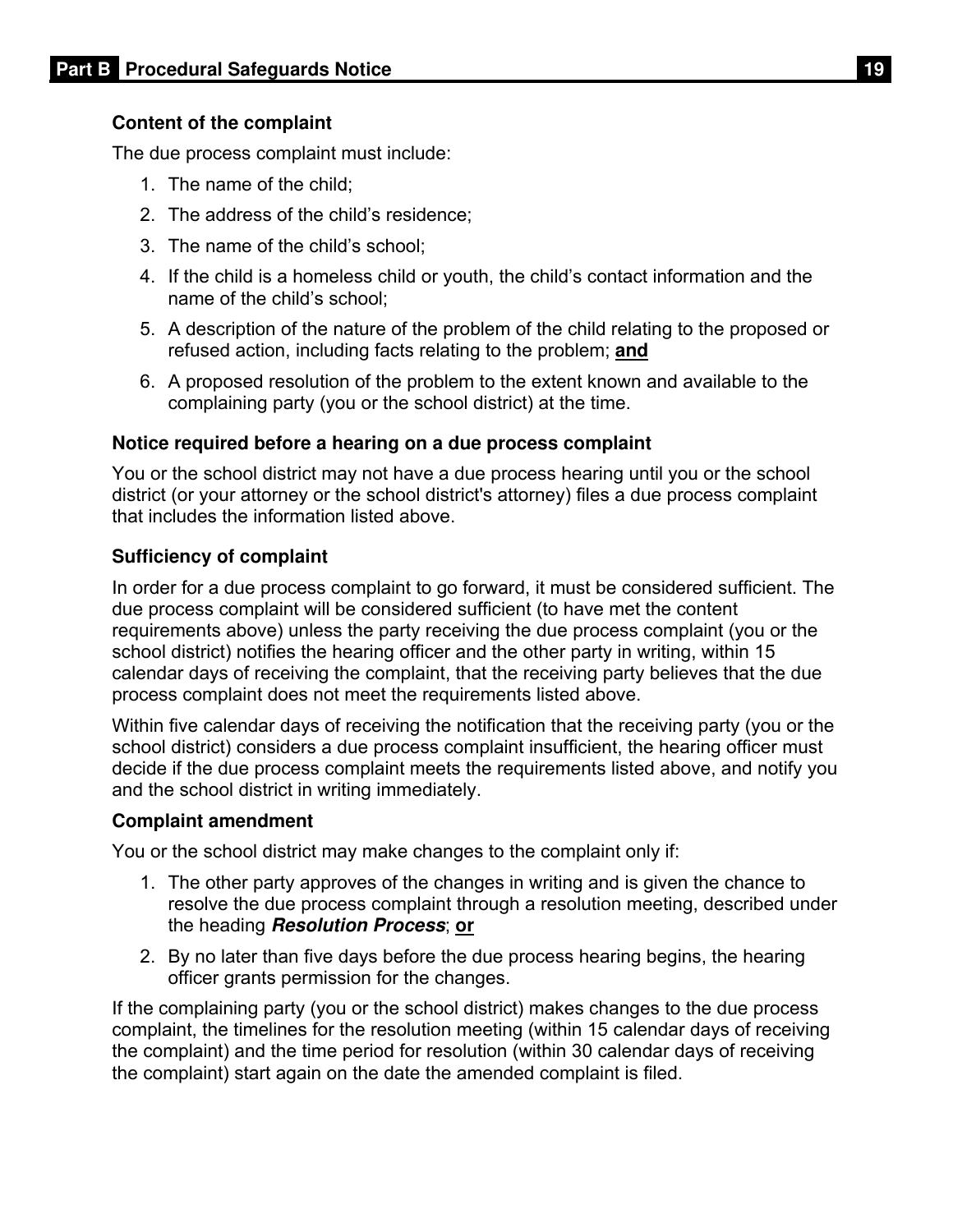#### **Content of the complaint**

The due process complaint must include:

- 1. The name of the child;
- 2. The address of the child's residence;
- 3. The name of the child's school;
- 4. If the child is a homeless child or youth, the child's contact information and the name of the child's school;
- 5. A description of the nature of the problem of the child relating to the proposed or refused action, including facts relating to the problem; **and**
- 6. A proposed resolution of the problem to the extent known and available to the complaining party (you or the school district) at the time.

#### **Notice required before a hearing on a due process complaint**

You or the school district may not have a due process hearing until you or the school district (or your attorney or the school district's attorney) files a due process complaint that includes the information listed above.

#### **Sufficiency of complaint**

In order for a due process complaint to go forward, it must be considered sufficient. The due process complaint will be considered sufficient (to have met the content requirements above) unless the party receiving the due process complaint (you or the school district) notifies the hearing officer and the other party in writing, within 15 calendar days of receiving the complaint, that the receiving party believes that the due process complaint does not meet the requirements listed above.

Within five calendar days of receiving the notification that the receiving party (you or the school district) considers a due process complaint insufficient, the hearing officer must decide if the due process complaint meets the requirements listed above, and notify you and the school district in writing immediately.

#### **Complaint amendment**

You or the school district may make changes to the complaint only if:

- 1. The other party approves of the changes in writing and is given the chance to resolve the due process complaint through a resolution meeting, described under the heading *Resolution Process*; **or**
- 2. By no later than five days before the due process hearing begins, the hearing officer grants permission for the changes.

If the complaining party (you or the school district) makes changes to the due process complaint, the timelines for the resolution meeting (within 15 calendar days of receiving the complaint) and the time period for resolution (within 30 calendar days of receiving the complaint) start again on the date the amended complaint is filed.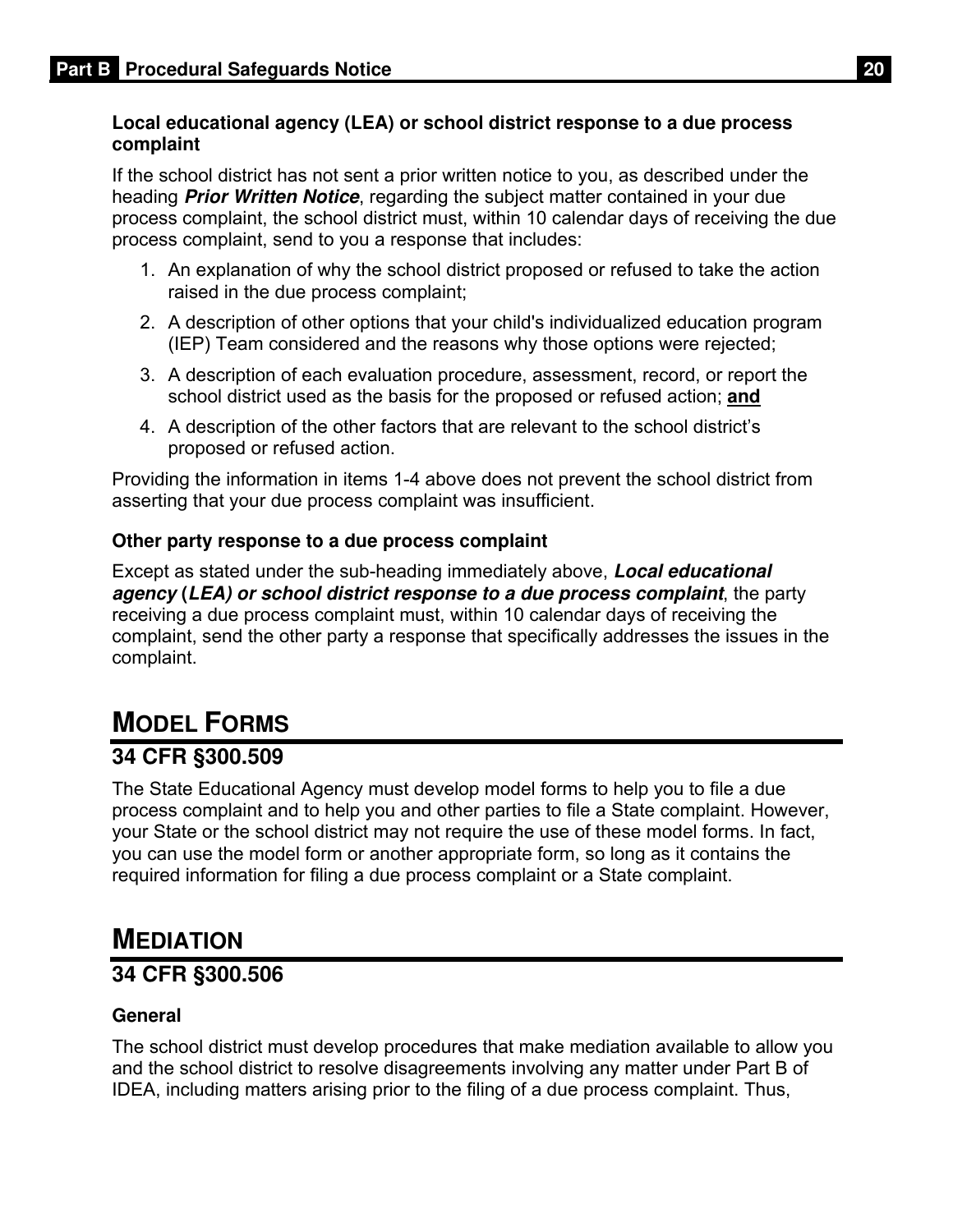#### <span id="page-24-0"></span>**Local educational agency (LEA) or school district response to a due process complaint**

If the school district has not sent a prior written notice to you, as described under the heading *Prior Written Notice*, regarding the subject matter contained in your due process complaint, the school district must, within 10 calendar days of receiving the due process complaint, send to you a response that includes:

- 1. An explanation of why the school district proposed or refused to take the action raised in the due process complaint;
- 2. A description of other options that your child's individualized education program (IEP) Team considered and the reasons why those options were rejected;
- 3. A description of each evaluation procedure, assessment, record, or report the school district used as the basis for the proposed or refused action; **and**
- 4. A description of the other factors that are relevant to the school district's proposed or refused action.

Providing the information in items 1-4 above does not prevent the school district from asserting that your due process complaint was insufficient.

#### **Other party response to a due process complaint**

Except as stated under the sub-heading immediately above, *Local educational agency* **(***LEA) or school district response to a due process complaint*, the party receiving a due process complaint must, within 10 calendar days of receiving the complaint, send the other party a response that specifically addresses the issues in the complaint.

## **MODEL FORMS**

### **34 CFR §300.509**

The State Educational Agency must develop model forms to help you to file a due process complaint and to help you and other parties to file a State complaint. However, your State or the school district may not require the use of these model forms. In fact, you can use the model form or another appropriate form, so long as it contains the required information for filing a due process complaint or a State complaint.

## **MEDIATION**

### **34 CFR §300.506**

### **General**

The school district must develop procedures that make mediation available to allow you and the school district to resolve disagreements involving any matter under Part B of IDEA, including matters arising prior to the filing of a due process complaint. Thus,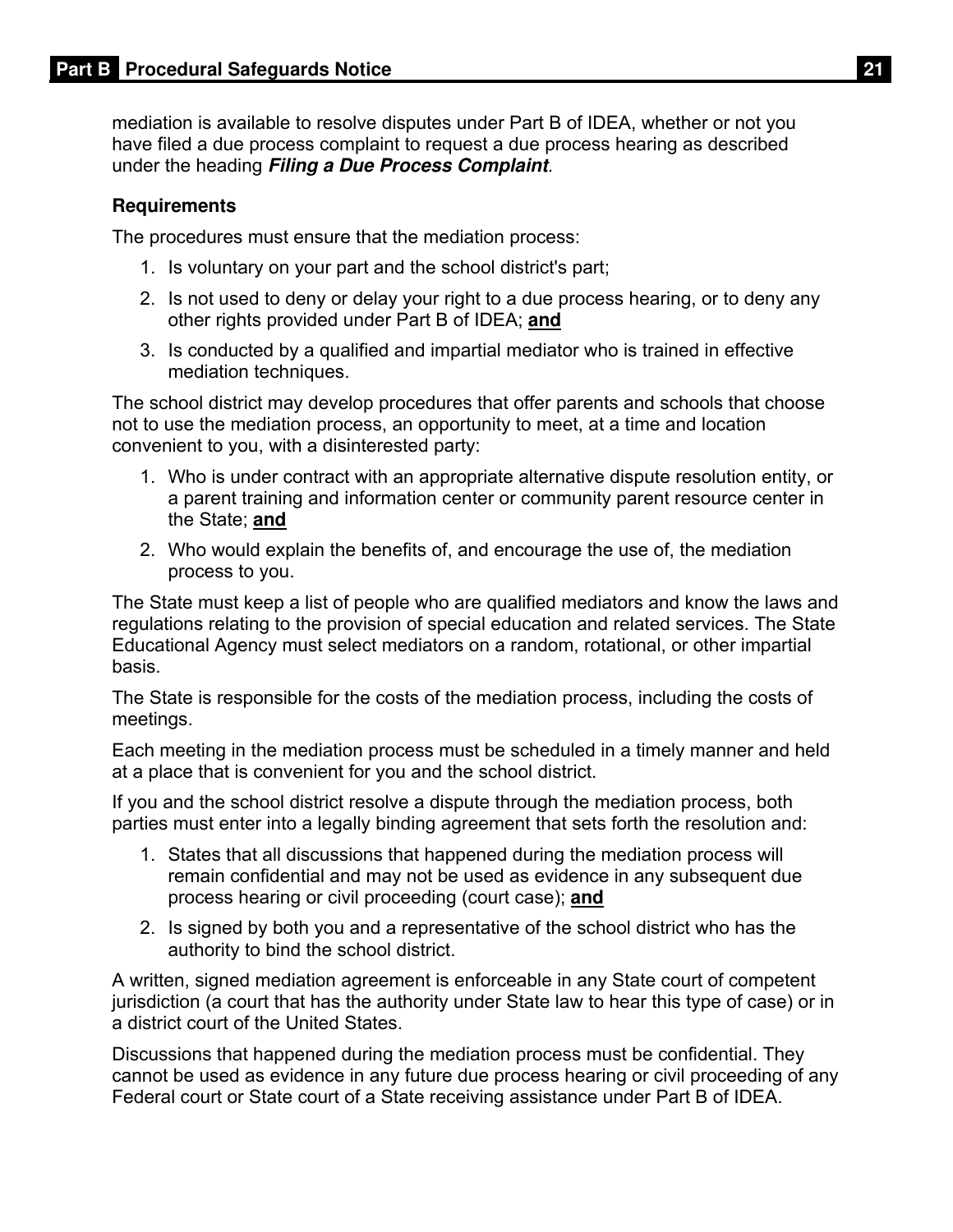mediation is available to resolve disputes under Part B of IDEA, whether or not you have filed a due process complaint to request a due process hearing as described under the heading *Filing a Due Process Complaint*.

#### **Requirements**

The procedures must ensure that the mediation process:

- 1. Is voluntary on your part and the school district's part;
- 2. Is not used to deny or delay your right to a due process hearing, or to deny any other rights provided under Part B of IDEA; **and**
- 3. Is conducted by a qualified and impartial mediator who is trained in effective mediation techniques.

The school district may develop procedures that offer parents and schools that choose not to use the mediation process, an opportunity to meet, at a time and location convenient to you, with a disinterested party:

- 1. Who is under contract with an appropriate alternative dispute resolution entity, or a parent training and information center or community parent resource center in the State; **and**
- 2. Who would explain the benefits of, and encourage the use of, the mediation process to you.

The State must keep a list of people who are qualified mediators and know the laws and regulations relating to the provision of special education and related services. The State Educational Agency must select mediators on a random, rotational, or other impartial basis.

The State is responsible for the costs of the mediation process, including the costs of meetings.

Each meeting in the mediation process must be scheduled in a timely manner and held at a place that is convenient for you and the school district.

If you and the school district resolve a dispute through the mediation process, both parties must enter into a legally binding agreement that sets forth the resolution and:

- 1. States that all discussions that happened during the mediation process will remain confidential and may not be used as evidence in any subsequent due process hearing or civil proceeding (court case); **and**
- 2. Is signed by both you and a representative of the school district who has the authority to bind the school district.

A written, signed mediation agreement is enforceable in any State court of competent jurisdiction (a court that has the authority under State law to hear this type of case) or in a district court of the United States.

Discussions that happened during the mediation process must be confidential. They cannot be used as evidence in any future due process hearing or civil proceeding of any Federal court or State court of a State receiving assistance under Part B of IDEA.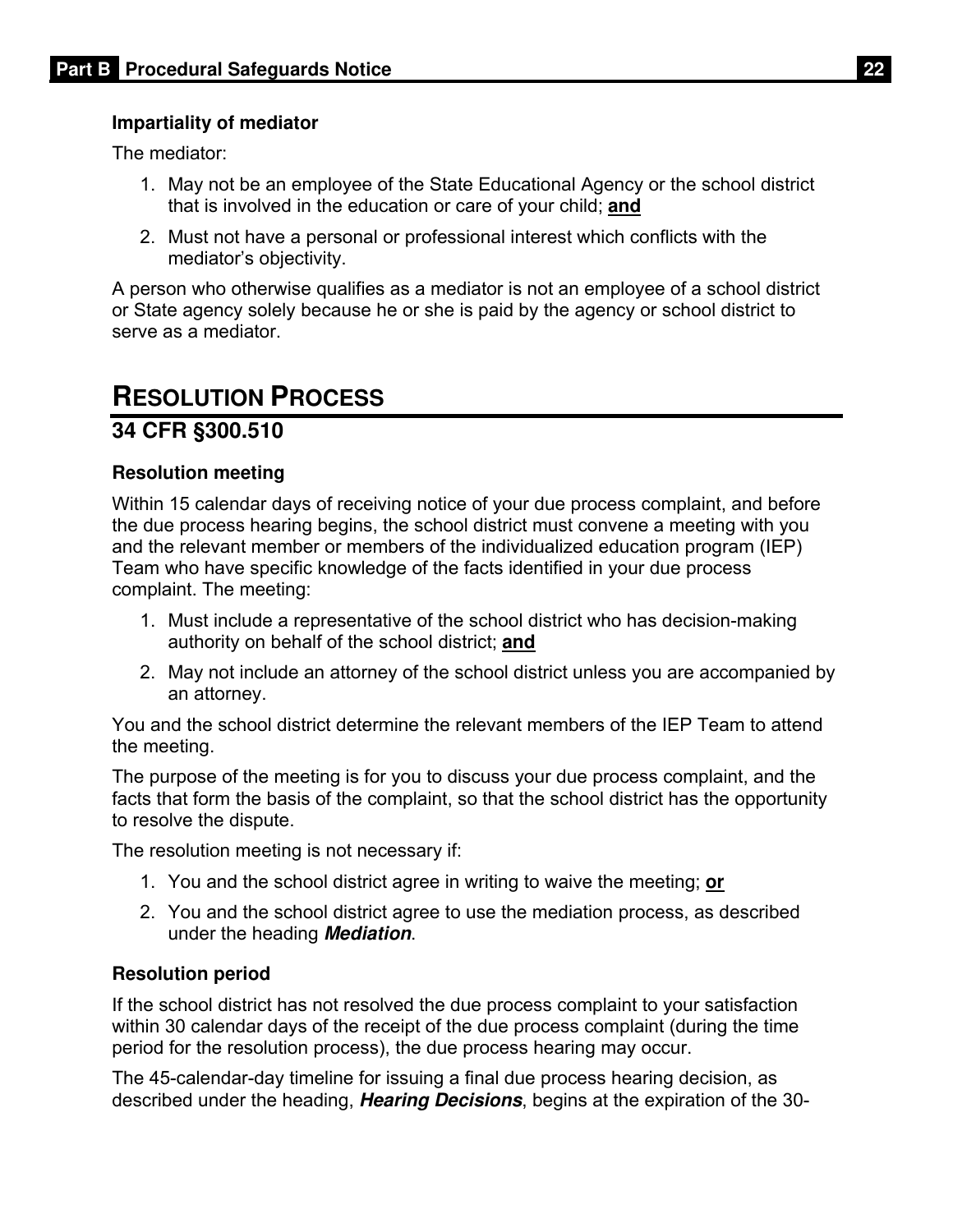#### <span id="page-26-0"></span>**Impartiality of mediator**

The mediator:

- 1. May not be an employee of the State Educational Agency or the school district that is involved in the education or care of your child; **and**
- 2. Must not have a personal or professional interest which conflicts with the mediator's objectivity.

A person who otherwise qualifies as a mediator is not an employee of a school district or State agency solely because he or she is paid by the agency or school district to serve as a mediator.

## **RESOLUTION PROCESS**

### **34 CFR §300.510**

#### **Resolution meeting**

Within 15 calendar days of receiving notice of your due process complaint, and before the due process hearing begins, the school district must convene a meeting with you and the relevant member or members of the individualized education program (IEP) Team who have specific knowledge of the facts identified in your due process complaint. The meeting:

- 1. Must include a representative of the school district who has decision-making authority on behalf of the school district; **and**
- 2. May not include an attorney of the school district unless you are accompanied by an attorney.

You and the school district determine the relevant members of the IEP Team to attend the meeting.

The purpose of the meeting is for you to discuss your due process complaint, and the facts that form the basis of the complaint, so that the school district has the opportunity to resolve the dispute.

The resolution meeting is not necessary if:

- 1. You and the school district agree in writing to waive the meeting; **or**
- 2. You and the school district agree to use the mediation process, as described under the heading *Mediation*.

#### **Resolution period**

If the school district has not resolved the due process complaint to your satisfaction within 30 calendar days of the receipt of the due process complaint (during the time period for the resolution process), the due process hearing may occur.

The 45-calendar-day timeline for issuing a final due process hearing decision, as described under the heading, *Hearing Decisions*, begins at the expiration of the 30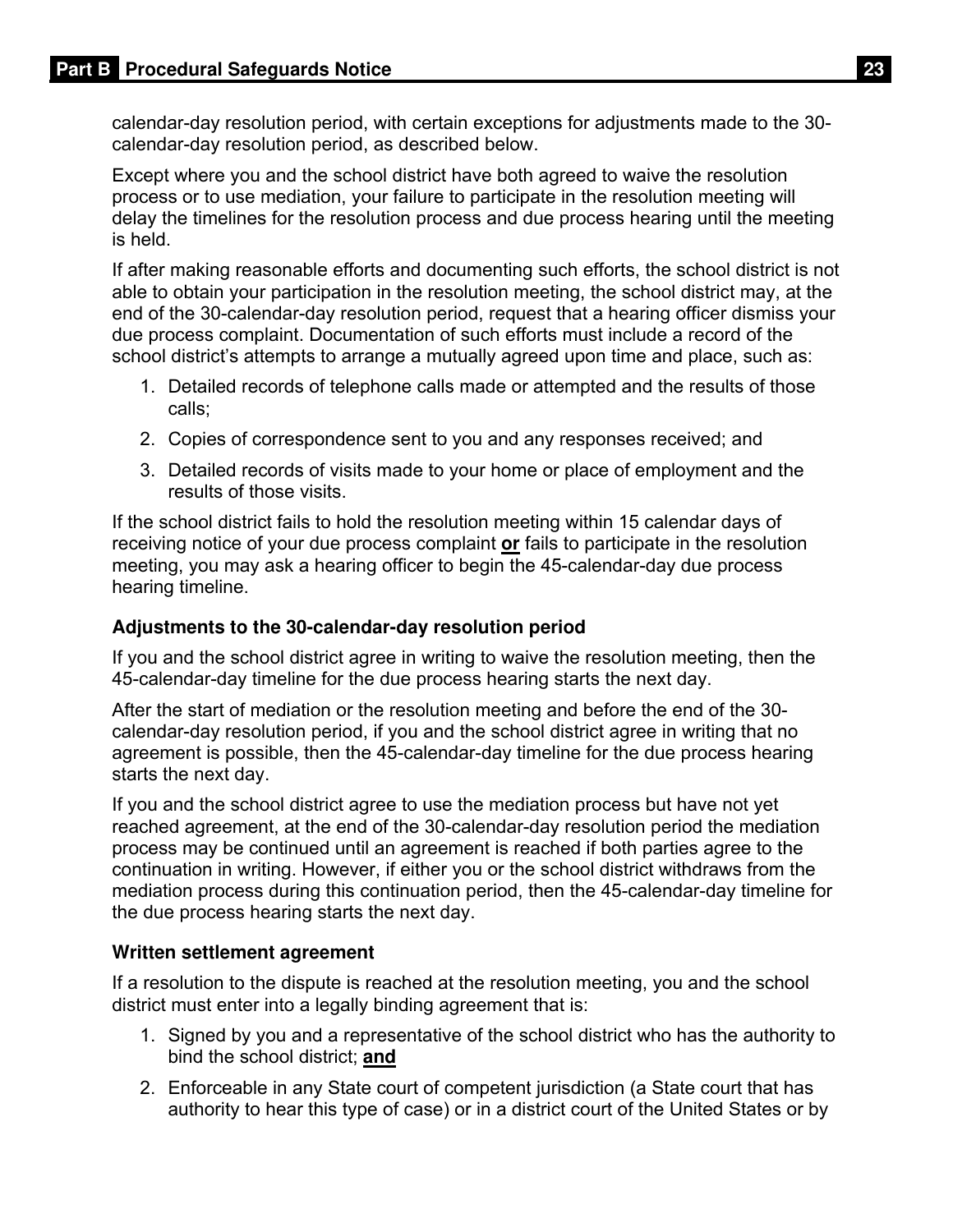calendar-day resolution period, with certain exceptions for adjustments made to the 30 calendar-day resolution period, as described below.

Except where you and the school district have both agreed to waive the resolution process or to use mediation, your failure to participate in the resolution meeting will delay the timelines for the resolution process and due process hearing until the meeting is held.

If after making reasonable efforts and documenting such efforts, the school district is not able to obtain your participation in the resolution meeting, the school district may, at the end of the 30-calendar-day resolution period, request that a hearing officer dismiss your due process complaint. Documentation of such efforts must include a record of the school district's attempts to arrange a mutually agreed upon time and place, such as:

- 1. Detailed records of telephone calls made or attempted and the results of those calls;
- 2. Copies of correspondence sent to you and any responses received; and
- 3. Detailed records of visits made to your home or place of employment and the results of those visits.

If the school district fails to hold the resolution meeting within 15 calendar days of receiving notice of your due process complaint **or** fails to participate in the resolution meeting, you may ask a hearing officer to begin the 45-calendar-day due process hearing timeline.

#### **Adjustments to the 30-calendar-day resolution period**

If you and the school district agree in writing to waive the resolution meeting, then the 45-calendar-day timeline for the due process hearing starts the next day.

After the start of mediation or the resolution meeting and before the end of the 30 calendar-day resolution period, if you and the school district agree in writing that no agreement is possible, then the 45-calendar-day timeline for the due process hearing starts the next day.

If you and the school district agree to use the mediation process but have not yet reached agreement, at the end of the 30-calendar-day resolution period the mediation process may be continued until an agreement is reached if both parties agree to the continuation in writing. However, if either you or the school district withdraws from the mediation process during this continuation period, then the 45-calendar-day timeline for the due process hearing starts the next day.

#### **Written settlement agreement**

If a resolution to the dispute is reached at the resolution meeting, you and the school district must enter into a legally binding agreement that is:

- 1. Signed by you and a representative of the school district who has the authority to bind the school district; **and**
- 2. Enforceable in any State court of competent jurisdiction (a State court that has authority to hear this type of case) or in a district court of the United States or by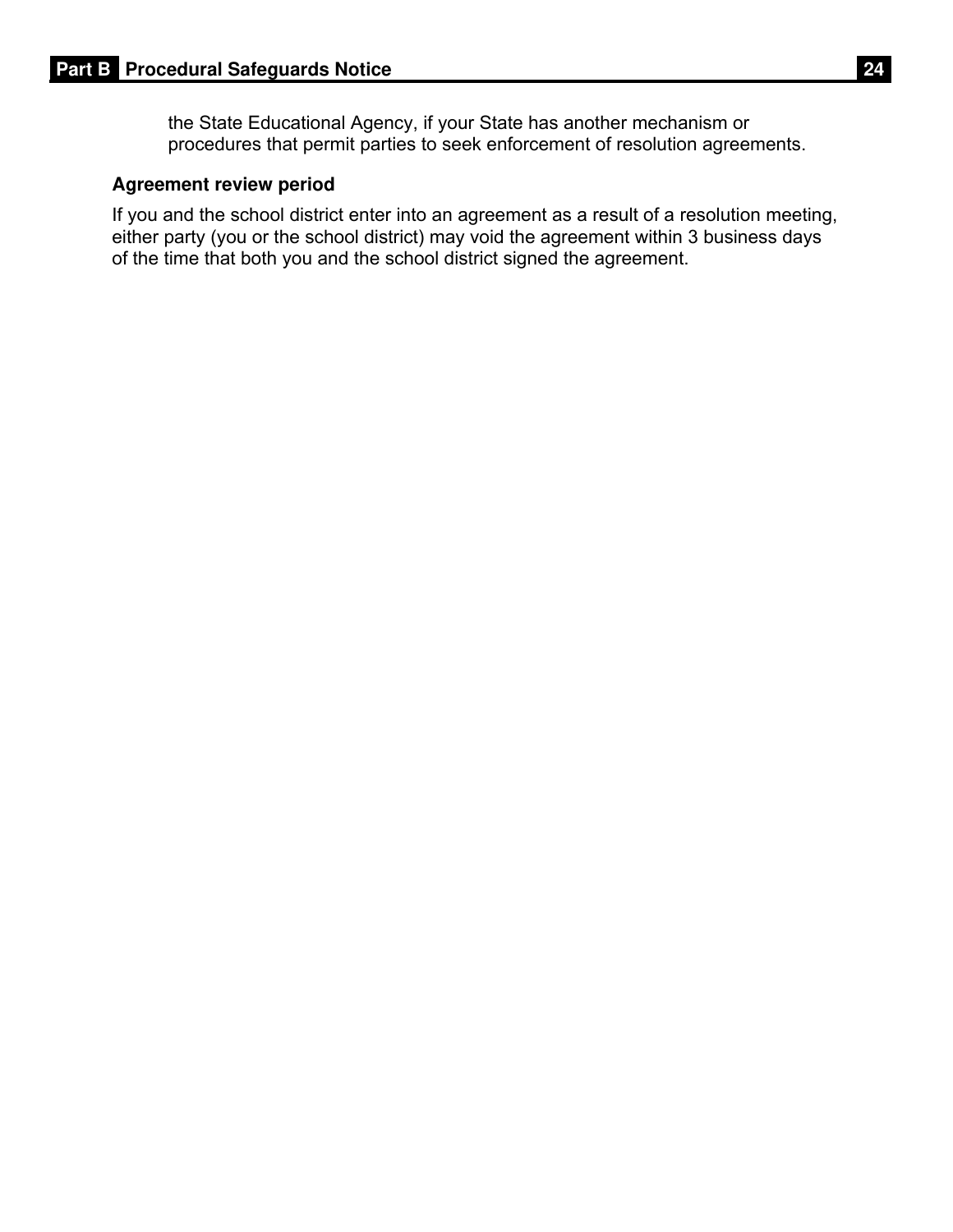the State Educational Agency, if your State has another mechanism or procedures that permit parties to seek enforcement of resolution agreements.

#### **Agreement review period**

If you and the school district enter into an agreement as a result of a resolution meeting, either party (you or the school district) may void the agreement within 3 business days of the time that both you and the school district signed the agreement.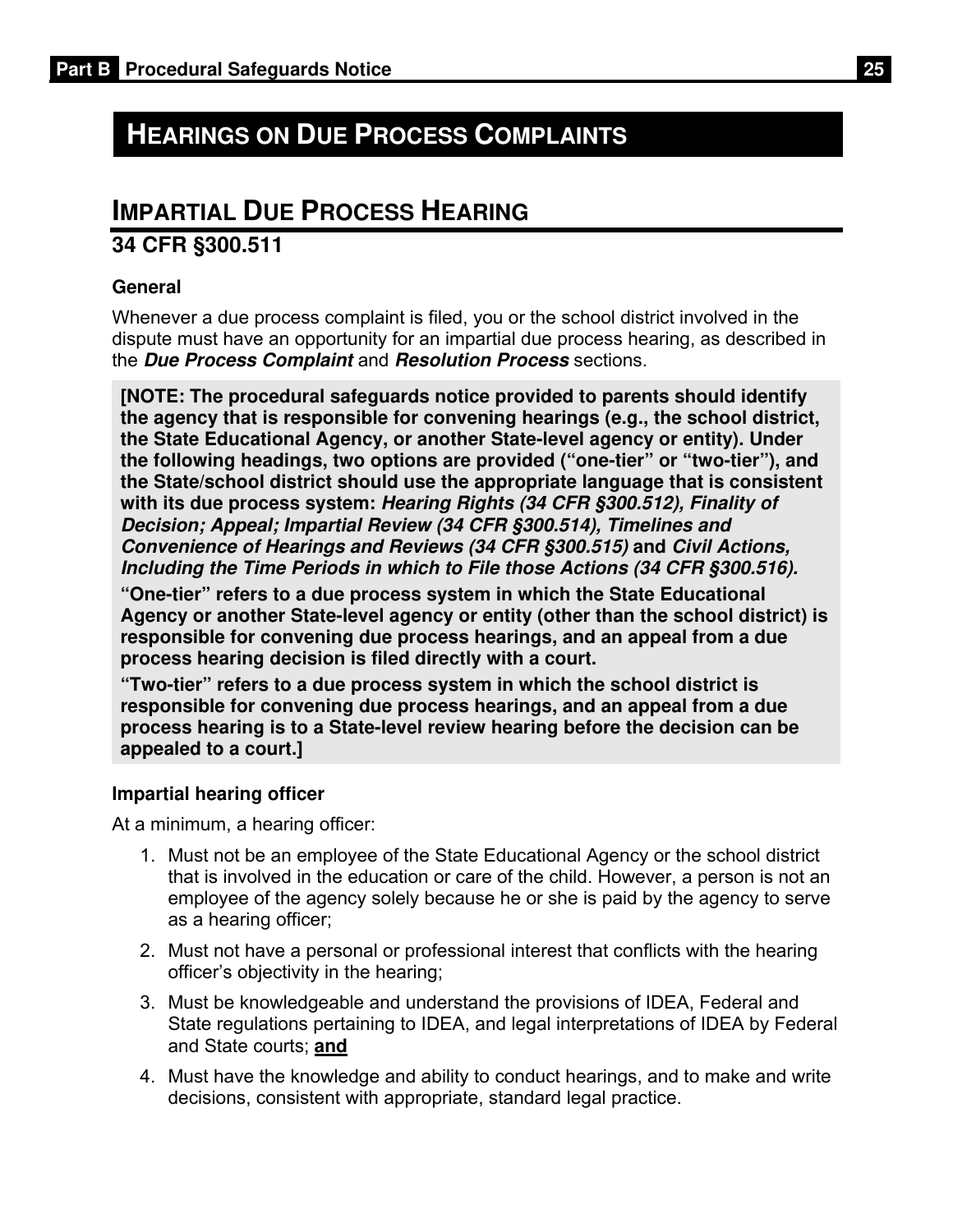## <span id="page-29-0"></span>**HEARINGS ON DUE PROCESS COMPLAINTS**

## **IMPARTIAL DUE PROCESS HEARING**

### **34 CFR §300.511**

#### **General**

Whenever a due process complaint is filed, you or the school district involved in the dispute must have an opportunity for an impartial due process hearing, as described in the *Due Process Complaint* and *Resolution Process* sections.

**[NOTE: The procedural safeguards notice provided to parents should identify the agency that is responsible for convening hearings (e.g., the school district, the State Educational Agency, or another State-level agency or entity). Under the following headings, two options are provided ("one-tier" or "two-tier"), and the State/school district should use the appropriate language that is consistent with its due process system:** *Hearing Rights (34 CFR §300.512), Finality of Decision; Appeal; Impartial Review (34 CFR §300.514), Timelines and Convenience of Hearings and Reviews (34 CFR §300.515)* **and** *Civil Actions, Including the Time Periods in which to File those Actions (34 CFR §300.516).* 

**"One-tier" refers to a due process system in which the State Educational Agency or another State-level agency or entity (other than the school district) is responsible for convening due process hearings, and an appeal from a due process hearing decision is filed directly with a court.** 

**"Two-tier" refers to a due process system in which the school district is responsible for convening due process hearings, and an appeal from a due process hearing is to a State-level review hearing before the decision can be appealed to a court.]** 

#### **Impartial hearing officer**

At a minimum, a hearing officer:

- 1. Must not be an employee of the State Educational Agency or the school district that is involved in the education or care of the child. However, a person is not an employee of the agency solely because he or she is paid by the agency to serve as a hearing officer;
- 2. Must not have a personal or professional interest that conflicts with the hearing officer's objectivity in the hearing;
- 3. Must be knowledgeable and understand the provisions of IDEA, Federal and State regulations pertaining to IDEA, and legal interpretations of IDEA by Federal and State courts; **and**
- 4. Must have the knowledge and ability to conduct hearings, and to make and write decisions, consistent with appropriate, standard legal practice.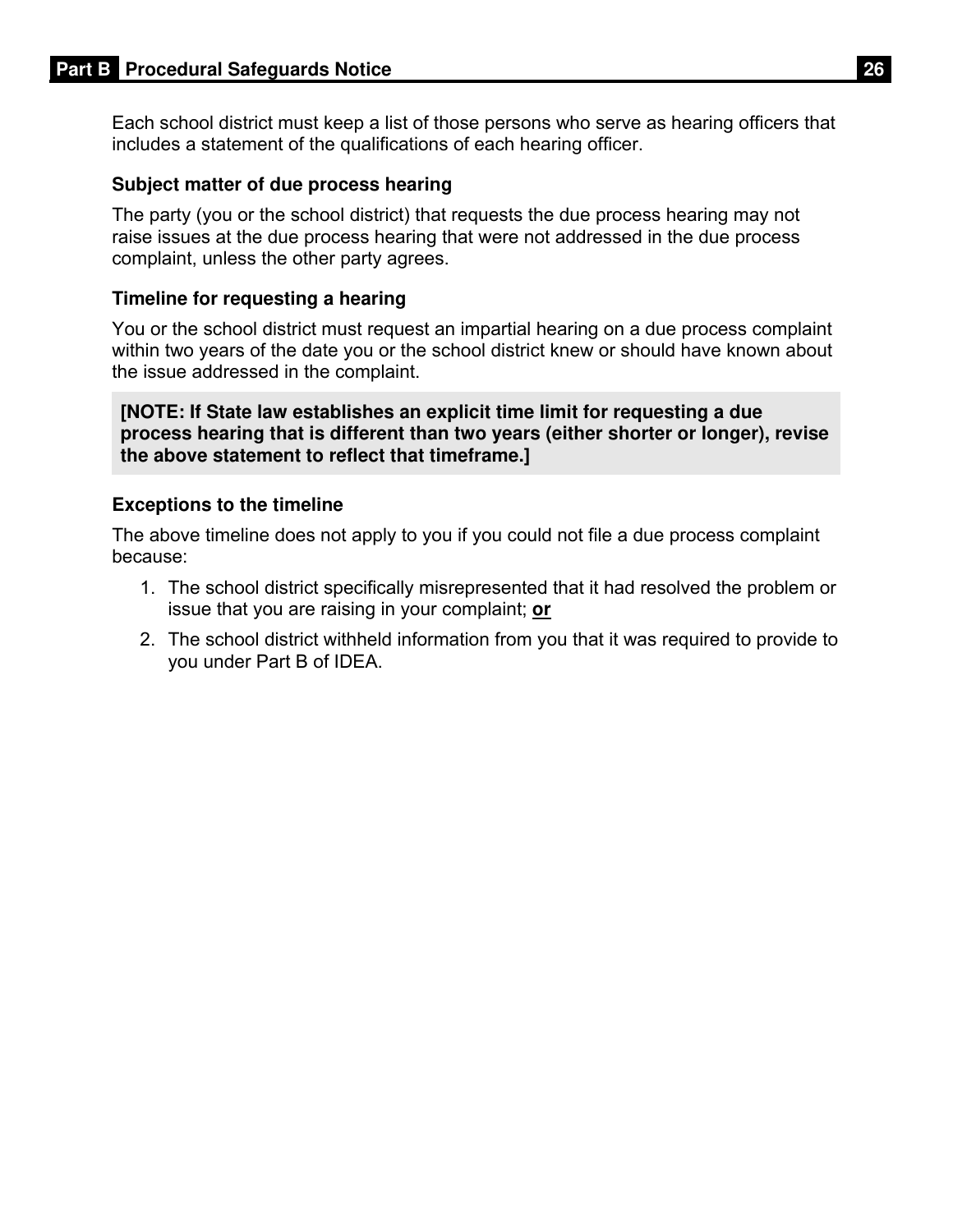Each school district must keep a list of those persons who serve as hearing officers that includes a statement of the qualifications of each hearing officer.

#### **Subject matter of due process hearing**

The party (you or the school district) that requests the due process hearing may not raise issues at the due process hearing that were not addressed in the due process complaint, unless the other party agrees.

#### **Timeline for requesting a hearing**

You or the school district must request an impartial hearing on a due process complaint within two years of the date you or the school district knew or should have known about the issue addressed in the complaint.

**[NOTE: If State law establishes an explicit time limit for requesting a due process hearing that is different than two years (either shorter or longer), revise the above statement to reflect that timeframe.]** 

#### **Exceptions to the timeline**

The above timeline does not apply to you if you could not file a due process complaint because:

- 1. The school district specifically misrepresented that it had resolved the problem or issue that you are raising in your complaint; **or**
- 2. The school district withheld information from you that it was required to provide to you under Part B of IDEA.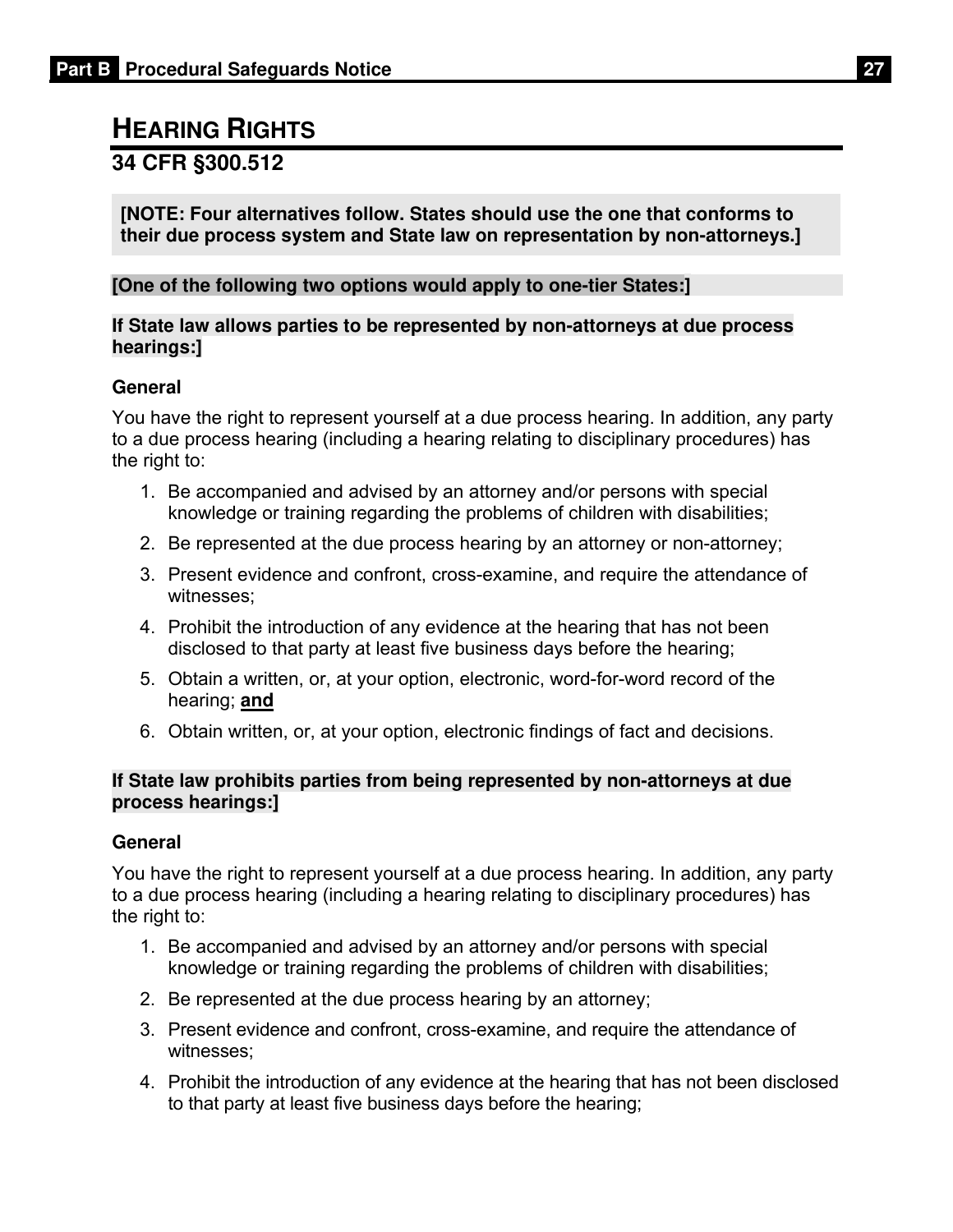## <span id="page-31-0"></span>**HEARING RIGHTS**

### **34 CFR §300.512**

**[NOTE: Four alternatives follow. States should use the one that conforms to their due process system and State law on representation by non-attorneys.]** 

#### **[One of the following two options would apply to one-tier States:]**

#### **If State law allows parties to be represented by non-attorneys at due process hearings:]**

#### **General**

You have the right to represent yourself at a due process hearing. In addition, any party to a due process hearing (including a hearing relating to disciplinary procedures) has the right to:

- 1. Be accompanied and advised by an attorney and/or persons with special knowledge or training regarding the problems of children with disabilities;
- 2. Be represented at the due process hearing by an attorney or non-attorney;
- 3. Present evidence and confront, cross-examine, and require the attendance of witnesses;
- 4. Prohibit the introduction of any evidence at the hearing that has not been disclosed to that party at least five business days before the hearing;
- 5. Obtain a written, or, at your option, electronic, word-for-word record of the hearing; **and**
- 6. Obtain written, or, at your option, electronic findings of fact and decisions.

#### **If State law prohibits parties from being represented by non-attorneys at due process hearings:]**

#### **General**

You have the right to represent yourself at a due process hearing. In addition, any party to a due process hearing (including a hearing relating to disciplinary procedures) has the right to:

- 1. Be accompanied and advised by an attorney and/or persons with special knowledge or training regarding the problems of children with disabilities;
- 2. Be represented at the due process hearing by an attorney;
- 3. Present evidence and confront, cross-examine, and require the attendance of witnesses;
- 4. Prohibit the introduction of any evidence at the hearing that has not been disclosed to that party at least five business days before the hearing;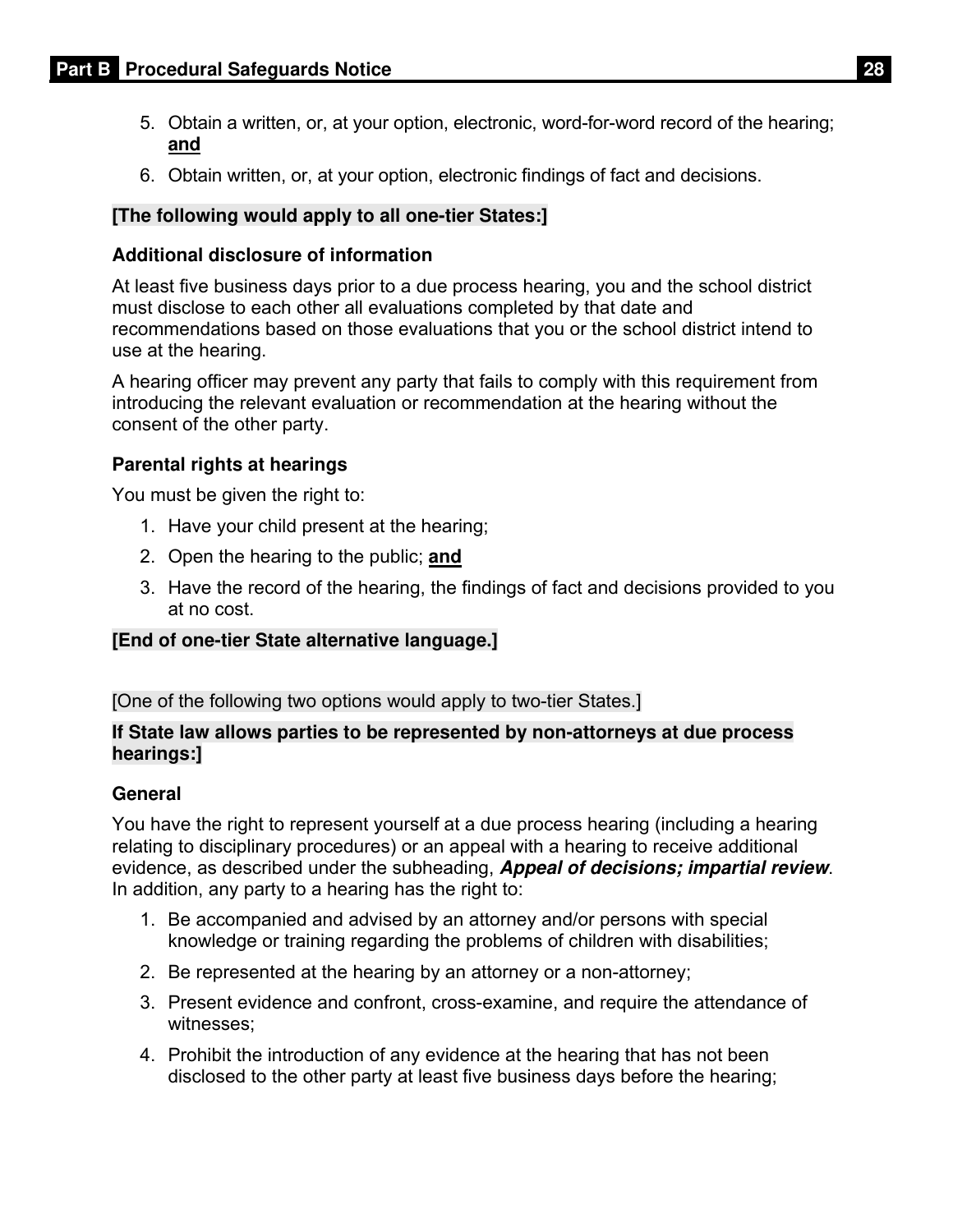- 5. Obtain a written, or, at your option, electronic, word-for-word record of the hearing; **and**
- 6. Obtain written, or, at your option, electronic findings of fact and decisions.

#### **[The following would apply to all one-tier States:]**

#### **Additional disclosure of information**

At least five business days prior to a due process hearing, you and the school district must disclose to each other all evaluations completed by that date and recommendations based on those evaluations that you or the school district intend to use at the hearing.

A hearing officer may prevent any party that fails to comply with this requirement from introducing the relevant evaluation or recommendation at the hearing without the consent of the other party.

#### **Parental rights at hearings**

You must be given the right to:

- 1. Have your child present at the hearing;
- 2. Open the hearing to the public; **and**
- 3. Have the record of the hearing, the findings of fact and decisions provided to you at no cost.

### **[End of one-tier State alternative language.]**

[One of the following two options would apply to two-tier States.]

#### **If State law allows parties to be represented by non-attorneys at due process hearings:]**

### **General**

You have the right to represent yourself at a due process hearing (including a hearing relating to disciplinary procedures) or an appeal with a hearing to receive additional evidence, as described under the subheading, *Appeal of decisions; impartial review*. In addition, any party to a hearing has the right to:

- 1. Be accompanied and advised by an attorney and/or persons with special knowledge or training regarding the problems of children with disabilities;
- 2. Be represented at the hearing by an attorney or a non-attorney;
- 3. Present evidence and confront, cross-examine, and require the attendance of witnesses;
- 4. Prohibit the introduction of any evidence at the hearing that has not been disclosed to the other party at least five business days before the hearing;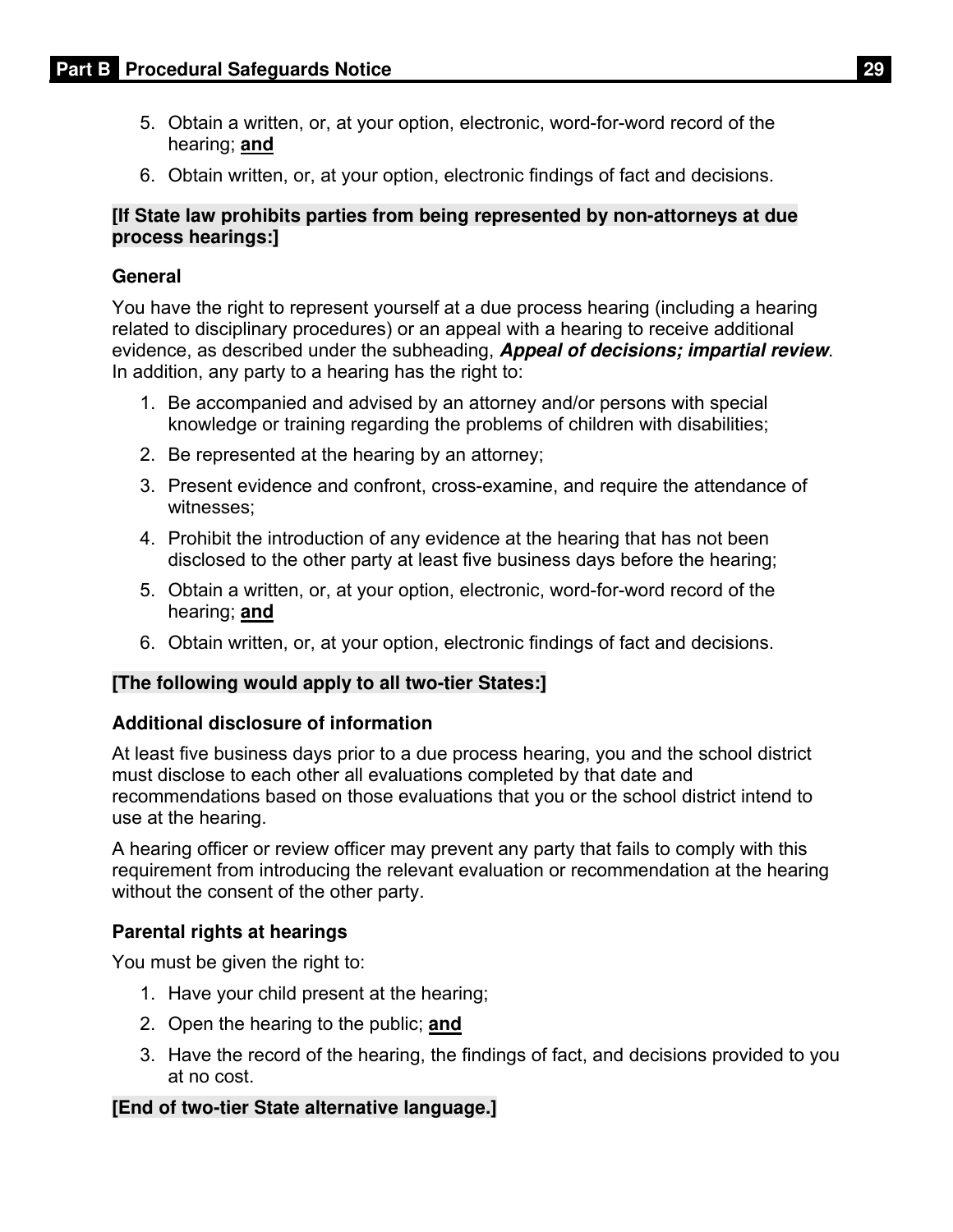- 5. Obtain a written, or, at your option, electronic, word-for-word record of the hearing; **and**
- 6. Obtain written, or, at your option, electronic findings of fact and decisions.

#### **[If State law prohibits parties from being represented by non-attorneys at due process hearings:]**

#### **General**

You have the right to represent yourself at a due process hearing (including a hearing related to disciplinary procedures) or an appeal with a hearing to receive additional evidence, as described under the subheading, *Appeal of decisions; impartial review*. In addition, any party to a hearing has the right to:

- 1. Be accompanied and advised by an attorney and/or persons with special knowledge or training regarding the problems of children with disabilities;
- 2. Be represented at the hearing by an attorney;
- 3. Present evidence and confront, cross-examine, and require the attendance of witnesses;
- 4. Prohibit the introduction of any evidence at the hearing that has not been disclosed to the other party at least five business days before the hearing;
- 5. Obtain a written, or, at your option, electronic, word-for-word record of the hearing; **and**
- 6. Obtain written, or, at your option, electronic findings of fact and decisions.

### **[The following would apply to all two-tier States:]**

#### **Additional disclosure of information**

At least five business days prior to a due process hearing, you and the school district must disclose to each other all evaluations completed by that date and recommendations based on those evaluations that you or the school district intend to use at the hearing.

A hearing officer or review officer may prevent any party that fails to comply with this requirement from introducing the relevant evaluation or recommendation at the hearing without the consent of the other party.

### **Parental rights at hearings**

You must be given the right to:

- 1. Have your child present at the hearing;
- 2. Open the hearing to the public; **and**
- 3. Have the record of the hearing, the findings of fact, and decisions provided to you at no cost.

### **[End of two-tier State alternative language.]**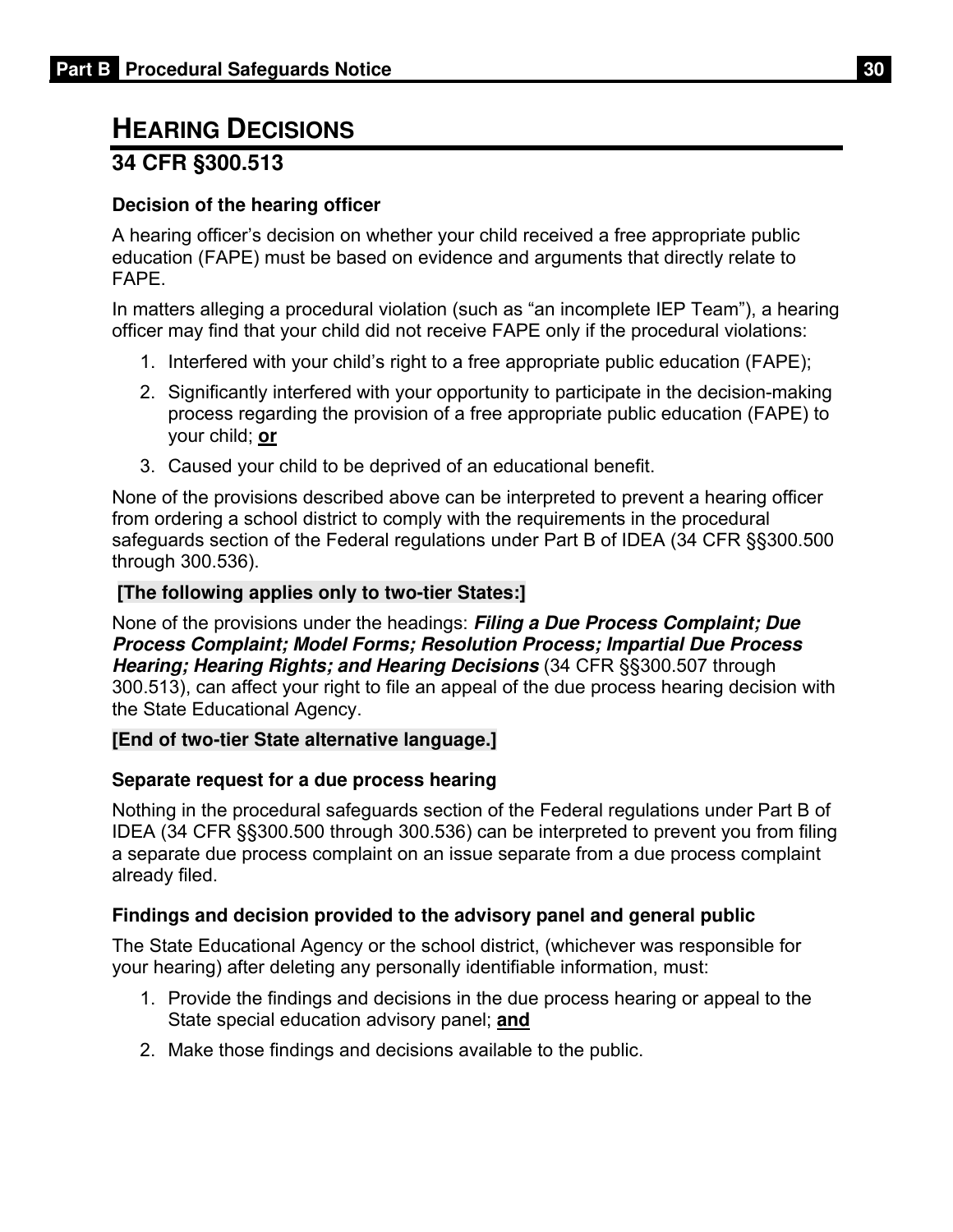## <span id="page-34-0"></span>**HEARING DECISIONS**

### **34 CFR §300.513**

#### **Decision of the hearing officer**

A hearing officer's decision on whether your child received a free appropriate public education (FAPE) must be based on evidence and arguments that directly relate to FAPE.

In matters alleging a procedural violation (such as "an incomplete IEP Team"), a hearing officer may find that your child did not receive FAPE only if the procedural violations:

- 1. Interfered with your child's right to a free appropriate public education (FAPE);
- 2. Significantly interfered with your opportunity to participate in the decision-making process regarding the provision of a free appropriate public education (FAPE) to your child; **or**
- 3. Caused your child to be deprived of an educational benefit.

None of the provisions described above can be interpreted to prevent a hearing officer from ordering a school district to comply with the requirements in the procedural safeguards section of the Federal regulations under Part B of IDEA (34 CFR §§300.500 through 300.536).

#### **[The following applies only to two-tier States:]**

None of the provisions under the headings: *Filing a Due Process Complaint; Due Process Complaint; Model Forms; Resolution Process; Impartial Due Process Hearing; Hearing Rights; and Hearing Decisions* (34 CFR §§300.507 through 300.513), can affect your right to file an appeal of the due process hearing decision with the State Educational Agency.

#### **[End of two-tier State alternative language.]**

#### **Separate request for a due process hearing**

Nothing in the procedural safeguards section of the Federal regulations under Part B of IDEA (34 CFR §§300.500 through 300.536) can be interpreted to prevent you from filing a separate due process complaint on an issue separate from a due process complaint already filed.

#### **Findings and decision provided to the advisory panel and general public**

The State Educational Agency or the school district, (whichever was responsible for your hearing) after deleting any personally identifiable information, must:

- 1. Provide the findings and decisions in the due process hearing or appeal to the State special education advisory panel; **and**
- 2. Make those findings and decisions available to the public.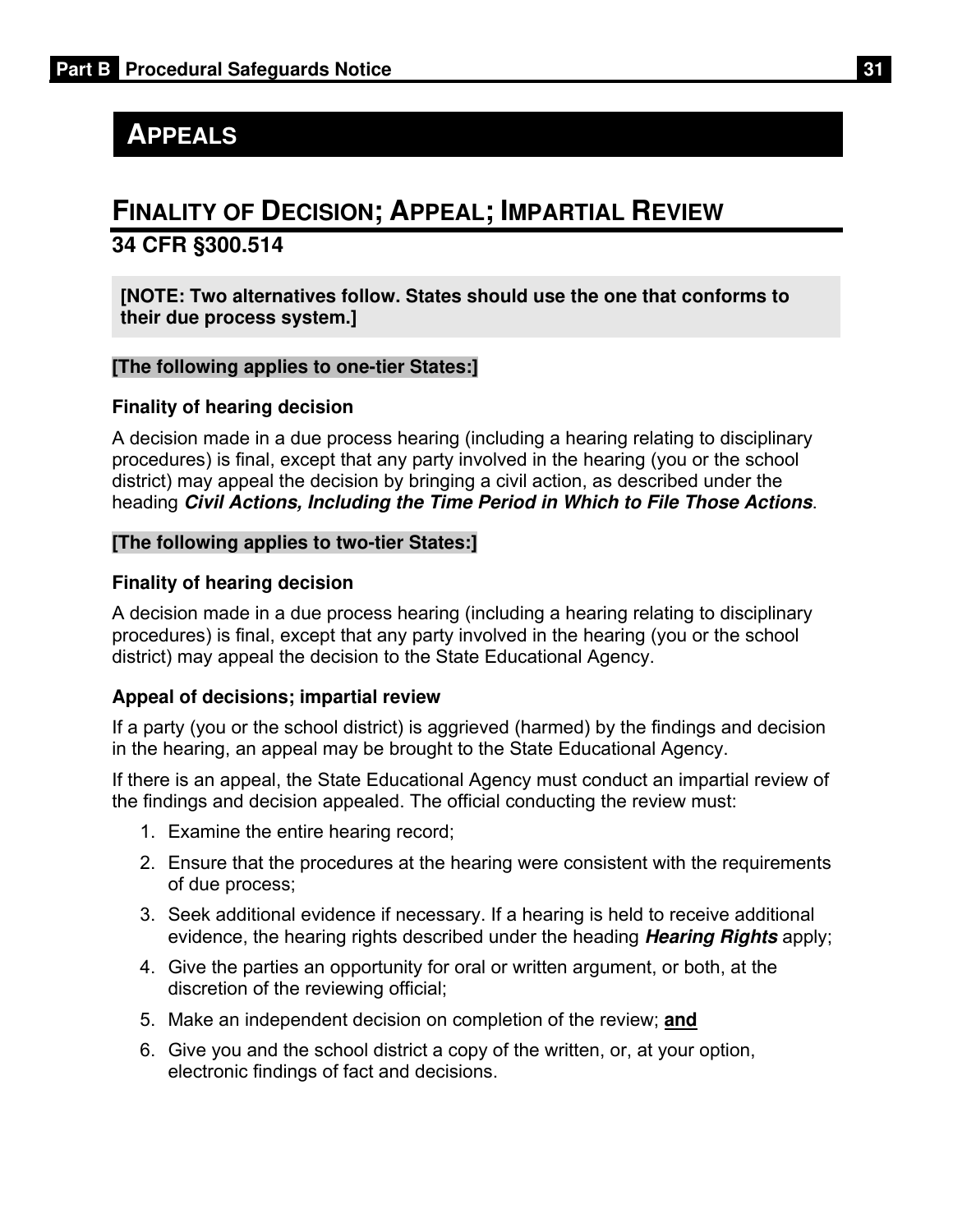## <span id="page-35-0"></span>**APPEALS**

## **FINALITY OF DECISION; APPEAL; IMPARTIAL REVIEW**

### **34 CFR §300.514**

**[NOTE: Two alternatives follow. States should use the one that conforms to their due process system.]** 

#### **[The following applies to one-tier States:]**

#### **Finality of hearing decision**

A decision made in a due process hearing (including a hearing relating to disciplinary procedures) is final, except that any party involved in the hearing (you or the school district) may appeal the decision by bringing a civil action, as described under the heading *Civil Actions, Including the Time Period in Which to File Those Actions*.

#### **[The following applies to two-tier States:]**

#### **Finality of hearing decision**

A decision made in a due process hearing (including a hearing relating to disciplinary procedures) is final, except that any party involved in the hearing (you or the school district) may appeal the decision to the State Educational Agency.

#### **Appeal of decisions; impartial review**

If a party (you or the school district) is aggrieved (harmed) by the findings and decision in the hearing, an appeal may be brought to the State Educational Agency.

If there is an appeal, the State Educational Agency must conduct an impartial review of the findings and decision appealed. The official conducting the review must:

- 1. Examine the entire hearing record;
- 2. Ensure that the procedures at the hearing were consistent with the requirements of due process;
- 3. Seek additional evidence if necessary. If a hearing is held to receive additional evidence, the hearing rights described under the heading *Hearing Rights* apply;
- 4. Give the parties an opportunity for oral or written argument, or both, at the discretion of the reviewing official;
- 5. Make an independent decision on completion of the review; **and**
- 6. Give you and the school district a copy of the written, or, at your option, electronic findings of fact and decisions.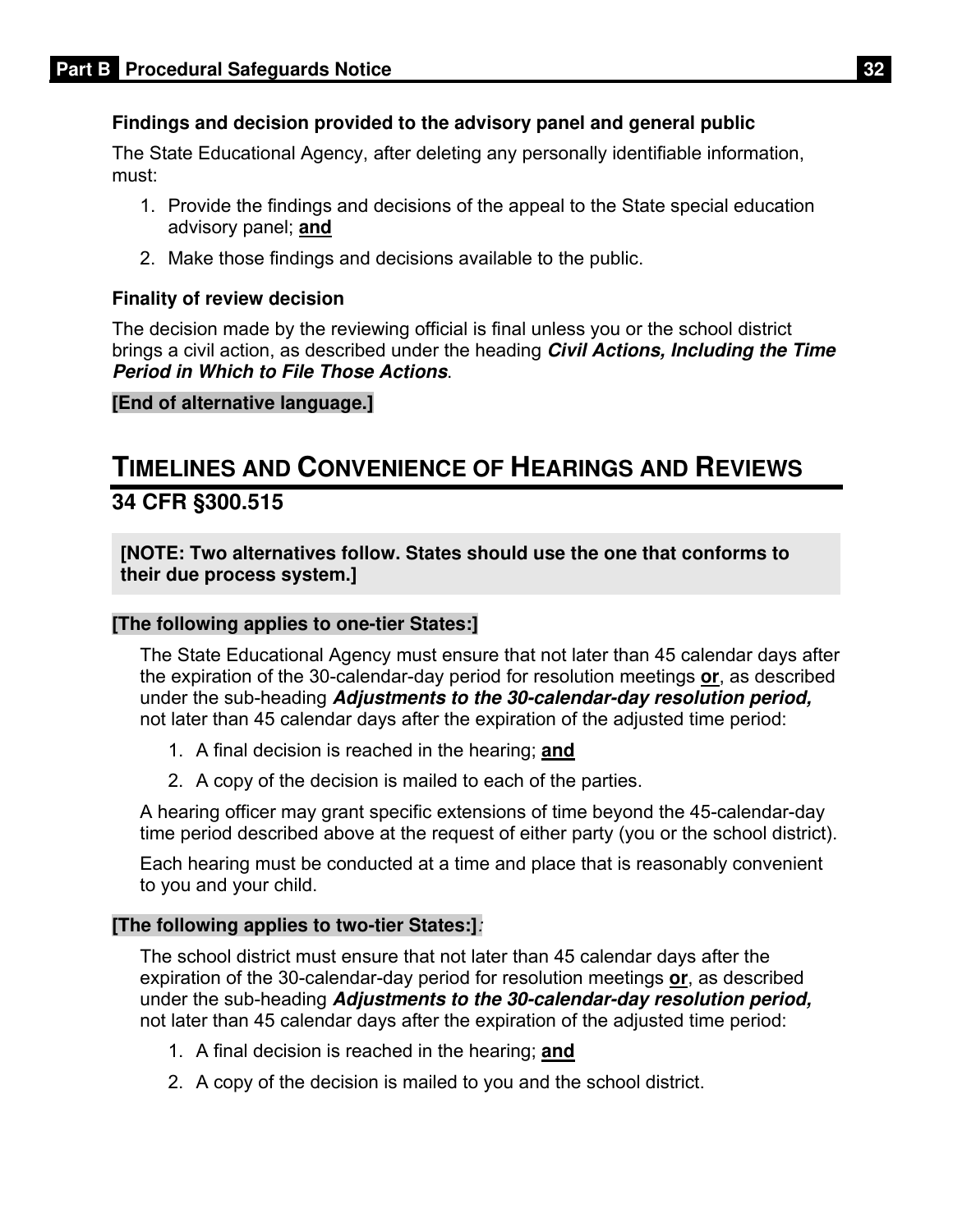#### <span id="page-36-0"></span>**Findings and decision provided to the advisory panel and general public**

The State Educational Agency, after deleting any personally identifiable information, must:

- 1. Provide the findings and decisions of the appeal to the State special education advisory panel; **and**
- 2. Make those findings and decisions available to the public.

#### **Finality of review decision**

The decision made by the reviewing official is final unless you or the school district brings a civil action, as described under the heading *Civil Actions, Including the Time Period in Which to File Those Actions*.

#### **[End of alternative language.]**

## **TIMELINES AND CONVENIENCE OF HEARINGS AND REVIEWS 34 CFR §300.515**

**[NOTE: Two alternatives follow. States should use the one that conforms to their due process system.]** 

#### **[The following applies to one-tier States:]**

The State Educational Agency must ensure that not later than 45 calendar days after the expiration of the 30-calendar-day period for resolution meetings **or**, as described under the sub-heading *Adjustments to the 30-calendar-day resolution period,* not later than 45 calendar days after the expiration of the adjusted time period:

- 1. A final decision is reached in the hearing; **and**
- 2. A copy of the decision is mailed to each of the parties.

A hearing officer may grant specific extensions of time beyond the 45-calendar-day time period described above at the request of either party (you or the school district).

Each hearing must be conducted at a time and place that is reasonably convenient to you and your child.

#### **[The following applies to two-tier States:]***:*

The school district must ensure that not later than 45 calendar days after the expiration of the 30-calendar-day period for resolution meetings **or**, as described under the sub-heading *Adjustments to the 30-calendar-day resolution period,* not later than 45 calendar days after the expiration of the adjusted time period:

- 1. A final decision is reached in the hearing; **and**
- 2. A copy of the decision is mailed to you and the school district.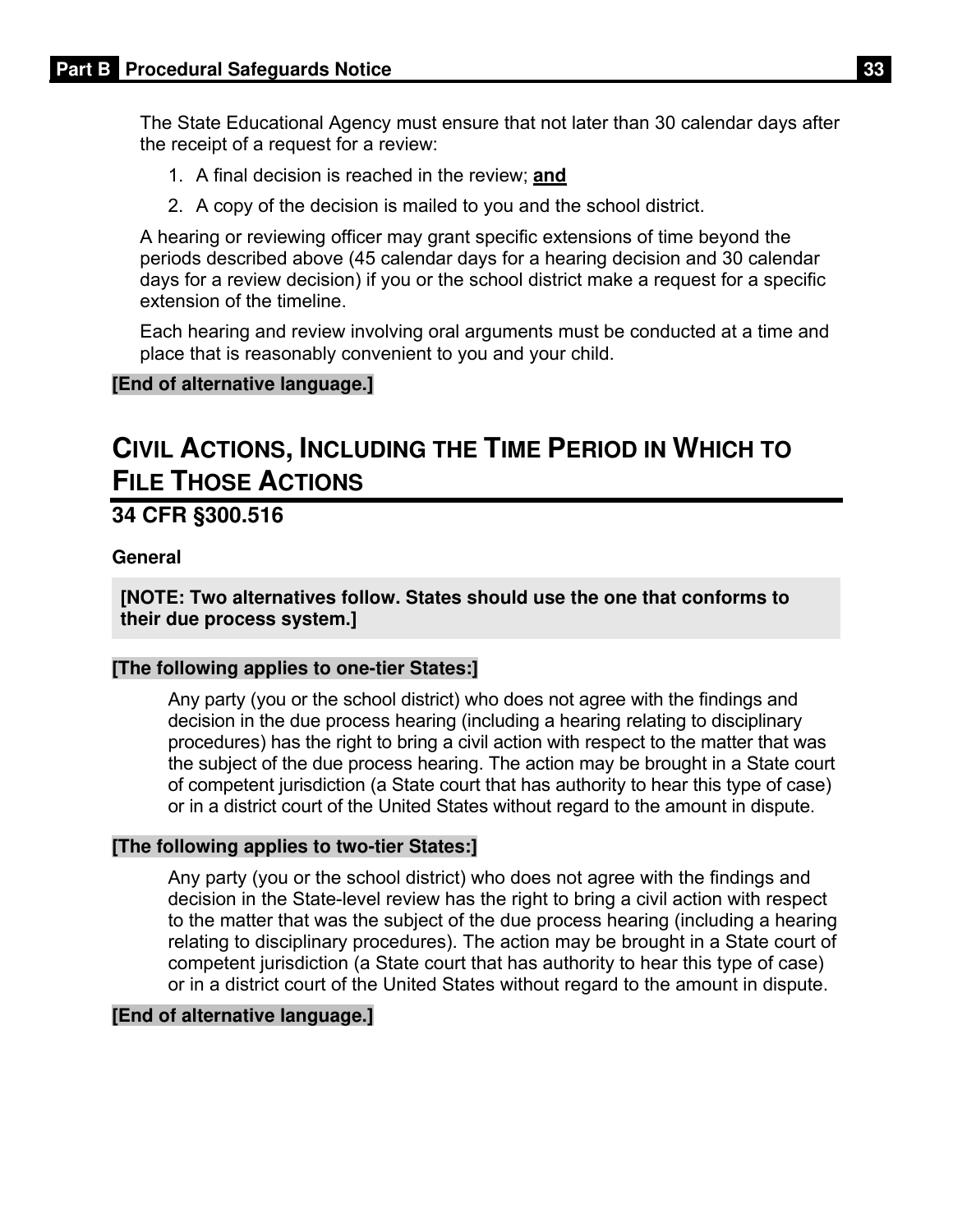<span id="page-37-0"></span>The State Educational Agency must ensure that not later than 30 calendar days after the receipt of a request for a review:

- 1. A final decision is reached in the review; **and**
- 2. A copy of the decision is mailed to you and the school district.

A hearing or reviewing officer may grant specific extensions of time beyond the periods described above (45 calendar days for a hearing decision and 30 calendar days for a review decision) if you or the school district make a request for a specific extension of the timeline.

Each hearing and review involving oral arguments must be conducted at a time and place that is reasonably convenient to you and your child.

#### **[End of alternative language.]**

## **CIVIL ACTIONS, INCLUDING THE TIME PERIOD IN WHICH TO FILE THOSE ACTIONS**

### **34 CFR §300.516**

#### **General**

**[NOTE: Two alternatives follow. States should use the one that conforms to their due process system.]** 

#### **[The following applies to one-tier States:]**

Any party (you or the school district) who does not agree with the findings and decision in the due process hearing (including a hearing relating to disciplinary procedures) has the right to bring a civil action with respect to the matter that was the subject of the due process hearing. The action may be brought in a State court of competent jurisdiction (a State court that has authority to hear this type of case) or in a district court of the United States without regard to the amount in dispute.

#### **[The following applies to two-tier States:]**

Any party (you or the school district) who does not agree with the findings and decision in the State-level review has the right to bring a civil action with respect to the matter that was the subject of the due process hearing (including a hearing relating to disciplinary procedures). The action may be brought in a State court of competent jurisdiction (a State court that has authority to hear this type of case) or in a district court of the United States without regard to the amount in dispute.

#### **[End of alternative language.]**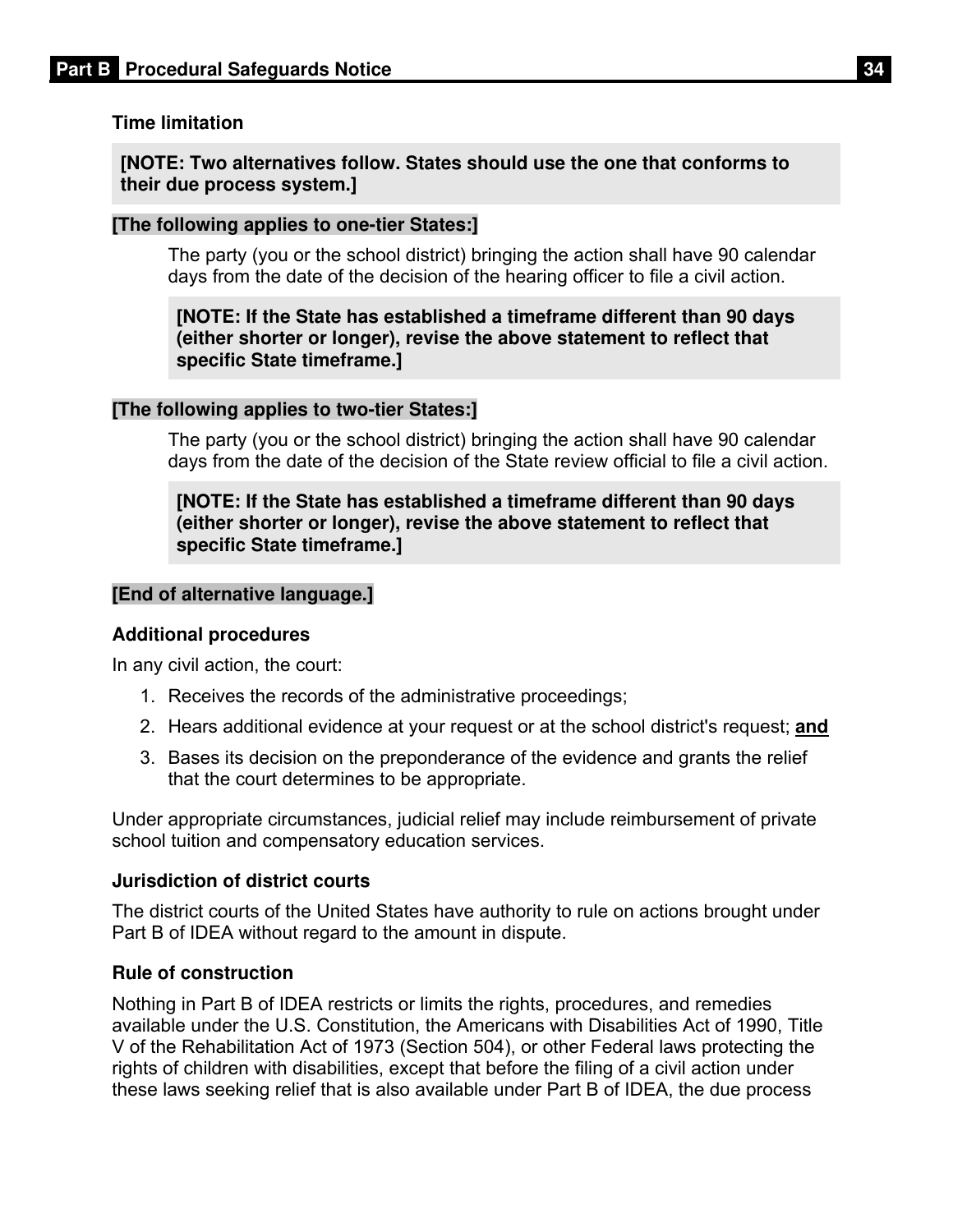#### **Time limitation**

**[NOTE: Two alternatives follow. States should use the one that conforms to their due process system.]** 

#### **[The following applies to one-tier States:]**

The party (you or the school district) bringing the action shall have 90 calendar days from the date of the decision of the hearing officer to file a civil action.

#### **[NOTE: If the State has established a timeframe different than 90 days (either shorter or longer), revise the above statement to reflect that specific State timeframe.]**

#### **[The following applies to two-tier States:]**

The party (you or the school district) bringing the action shall have 90 calendar days from the date of the decision of the State review official to file a civil action.

**[NOTE: If the State has established a timeframe different than 90 days (either shorter or longer), revise the above statement to reflect that specific State timeframe.]** 

#### **[End of alternative language.]**

#### **Additional procedures**

In any civil action, the court:

- 1. Receives the records of the administrative proceedings;
- 2. Hears additional evidence at your request or at the school district's request; **and**
- 3. Bases its decision on the preponderance of the evidence and grants the relief that the court determines to be appropriate.

Under appropriate circumstances, judicial relief may include reimbursement of private school tuition and compensatory education services.

#### **Jurisdiction of district courts**

The district courts of the United States have authority to rule on actions brought under Part B of IDEA without regard to the amount in dispute.

#### **Rule of construction**

Nothing in Part B of IDEA restricts or limits the rights, procedures, and remedies available under the U.S. Constitution, the Americans with Disabilities Act of 1990, Title V of the Rehabilitation Act of 1973 (Section 504), or other Federal laws protecting the rights of children with disabilities, except that before the filing of a civil action under these laws seeking relief that is also available under Part B of IDEA, the due process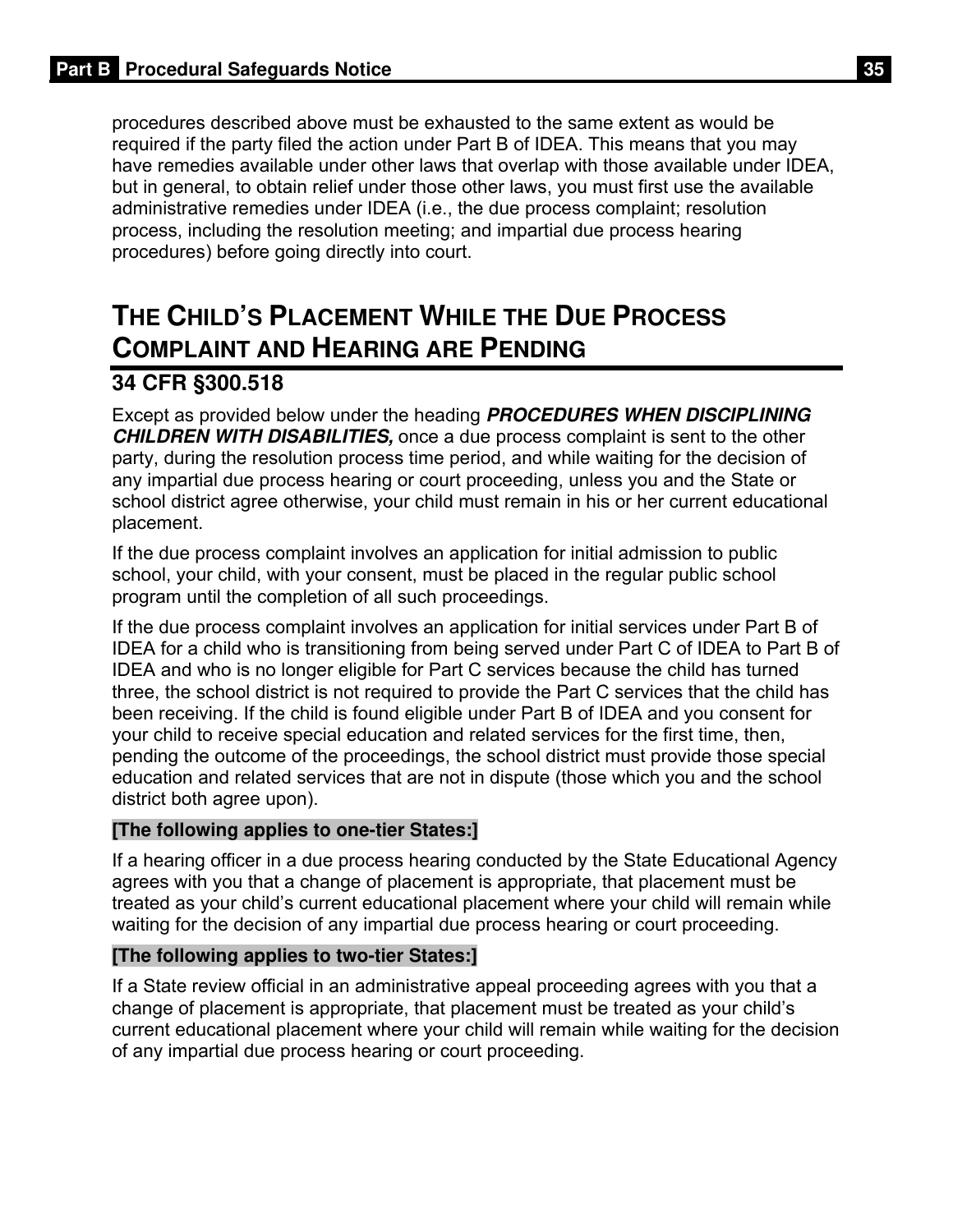<span id="page-39-0"></span>procedures described above must be exhausted to the same extent as would be required if the party filed the action under Part B of IDEA. This means that you may have remedies available under other laws that overlap with those available under IDEA, but in general, to obtain relief under those other laws, you must first use the available administrative remedies under IDEA (i.e., the due process complaint; resolution process, including the resolution meeting; and impartial due process hearing procedures) before going directly into court.

## **THE CHILD'S PLACEMENT WHILE THE DUE PROCESS COMPLAINT AND HEARING ARE PENDING**

## **34 CFR §300.518**

Except as provided below under the heading *PROCEDURES WHEN DISCIPLINING CHILDREN WITH DISABILITIES,* once a due process complaint is sent to the other party, during the resolution process time period, and while waiting for the decision of any impartial due process hearing or court proceeding, unless you and the State or school district agree otherwise, your child must remain in his or her current educational placement.

If the due process complaint involves an application for initial admission to public school, your child, with your consent, must be placed in the regular public school program until the completion of all such proceedings.

If the due process complaint involves an application for initial services under Part B of IDEA for a child who is transitioning from being served under Part C of IDEA to Part B of IDEA and who is no longer eligible for Part C services because the child has turned three, the school district is not required to provide the Part C services that the child has been receiving. If the child is found eligible under Part B of IDEA and you consent for your child to receive special education and related services for the first time, then, pending the outcome of the proceedings, the school district must provide those special education and related services that are not in dispute (those which you and the school district both agree upon).

#### **[The following applies to one-tier States:]**

If a hearing officer in a due process hearing conducted by the State Educational Agency agrees with you that a change of placement is appropriate, that placement must be treated as your child's current educational placement where your child will remain while waiting for the decision of any impartial due process hearing or court proceeding.

#### **[The following applies to two-tier States:]**

If a State review official in an administrative appeal proceeding agrees with you that a change of placement is appropriate, that placement must be treated as your child's current educational placement where your child will remain while waiting for the decision of any impartial due process hearing or court proceeding.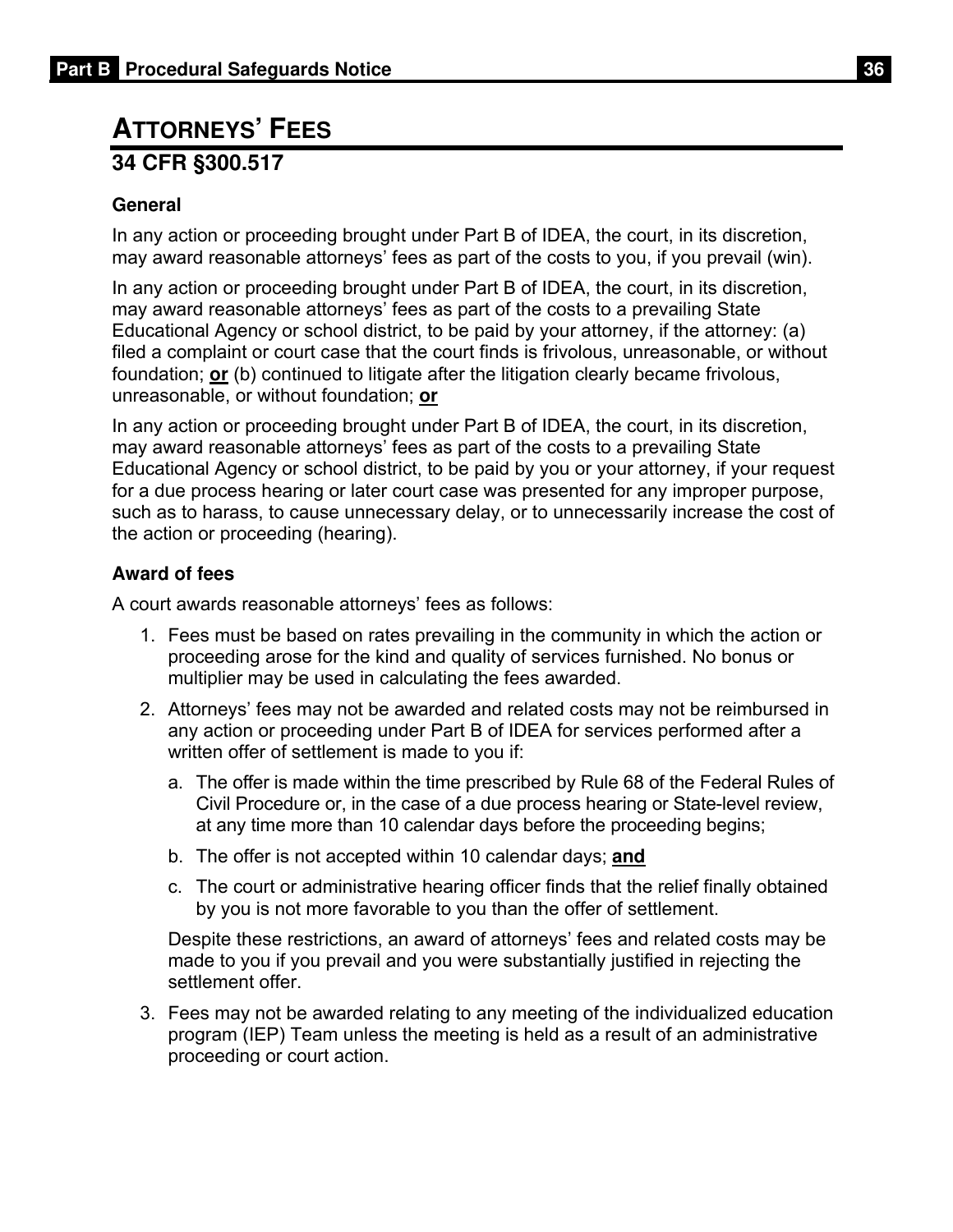## <span id="page-40-0"></span>**ATTORNEYS' FEES**

### **34 CFR §300.517**

#### **General**

In any action or proceeding brought under Part B of IDEA, the court, in its discretion, may award reasonable attorneys' fees as part of the costs to you, if you prevail (win).

In any action or proceeding brought under Part B of IDEA, the court, in its discretion, may award reasonable attorneys' fees as part of the costs to a prevailing State Educational Agency or school district, to be paid by your attorney, if the attorney: (a) filed a complaint or court case that the court finds is frivolous, unreasonable, or without foundation; **or** (b) continued to litigate after the litigation clearly became frivolous, unreasonable, or without foundation; **or**

In any action or proceeding brought under Part B of IDEA, the court, in its discretion, may award reasonable attorneys' fees as part of the costs to a prevailing State Educational Agency or school district, to be paid by you or your attorney, if your request for a due process hearing or later court case was presented for any improper purpose, such as to harass, to cause unnecessary delay, or to unnecessarily increase the cost of the action or proceeding (hearing).

#### **Award of fees**

A court awards reasonable attorneys' fees as follows:

- 1. Fees must be based on rates prevailing in the community in which the action or proceeding arose for the kind and quality of services furnished. No bonus or multiplier may be used in calculating the fees awarded.
- 2. Attorneys' fees may not be awarded and related costs may not be reimbursed in any action or proceeding under Part B of IDEA for services performed after a written offer of settlement is made to you if:
	- a. The offer is made within the time prescribed by Rule 68 of the Federal Rules of Civil Procedure or, in the case of a due process hearing or State-level review, at any time more than 10 calendar days before the proceeding begins;
	- b. The offer is not accepted within 10 calendar days; **and**
	- c. The court or administrative hearing officer finds that the relief finally obtained by you is not more favorable to you than the offer of settlement.

Despite these restrictions, an award of attorneys' fees and related costs may be made to you if you prevail and you were substantially justified in rejecting the settlement offer.

3. Fees may not be awarded relating to any meeting of the individualized education program (IEP) Team unless the meeting is held as a result of an administrative proceeding or court action.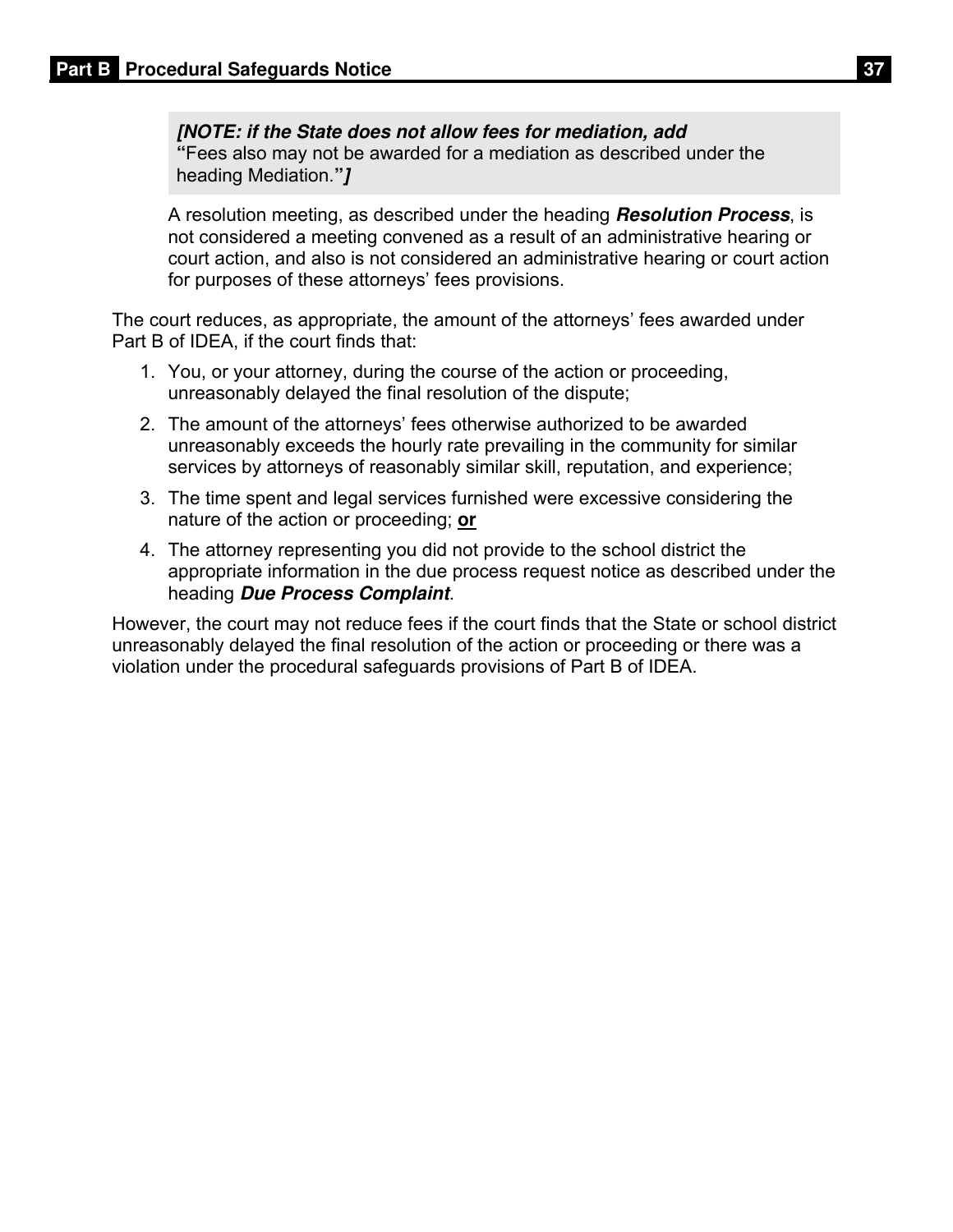#### *[NOTE: if the State does not allow fees for mediation, add*

**"**Fees also may not be awarded for a mediation as described under the heading Mediation.**"***]* 

A resolution meeting, as described under the heading *Resolution Process*, is not considered a meeting convened as a result of an administrative hearing or court action, and also is not considered an administrative hearing or court action for purposes of these attorneys' fees provisions.

The court reduces, as appropriate, the amount of the attorneys' fees awarded under Part B of IDEA, if the court finds that:

- 1. You, or your attorney, during the course of the action or proceeding, unreasonably delayed the final resolution of the dispute;
- 2. The amount of the attorneys' fees otherwise authorized to be awarded unreasonably exceeds the hourly rate prevailing in the community for similar services by attorneys of reasonably similar skill, reputation, and experience;
- 3. The time spent and legal services furnished were excessive considering the nature of the action or proceeding; **or**
- 4. The attorney representing you did not provide to the school district the appropriate information in the due process request notice as described under the heading *Due Process Complaint*.

However, the court may not reduce fees if the court finds that the State or school district unreasonably delayed the final resolution of the action or proceeding or there was a violation under the procedural safeguards provisions of Part B of IDEA.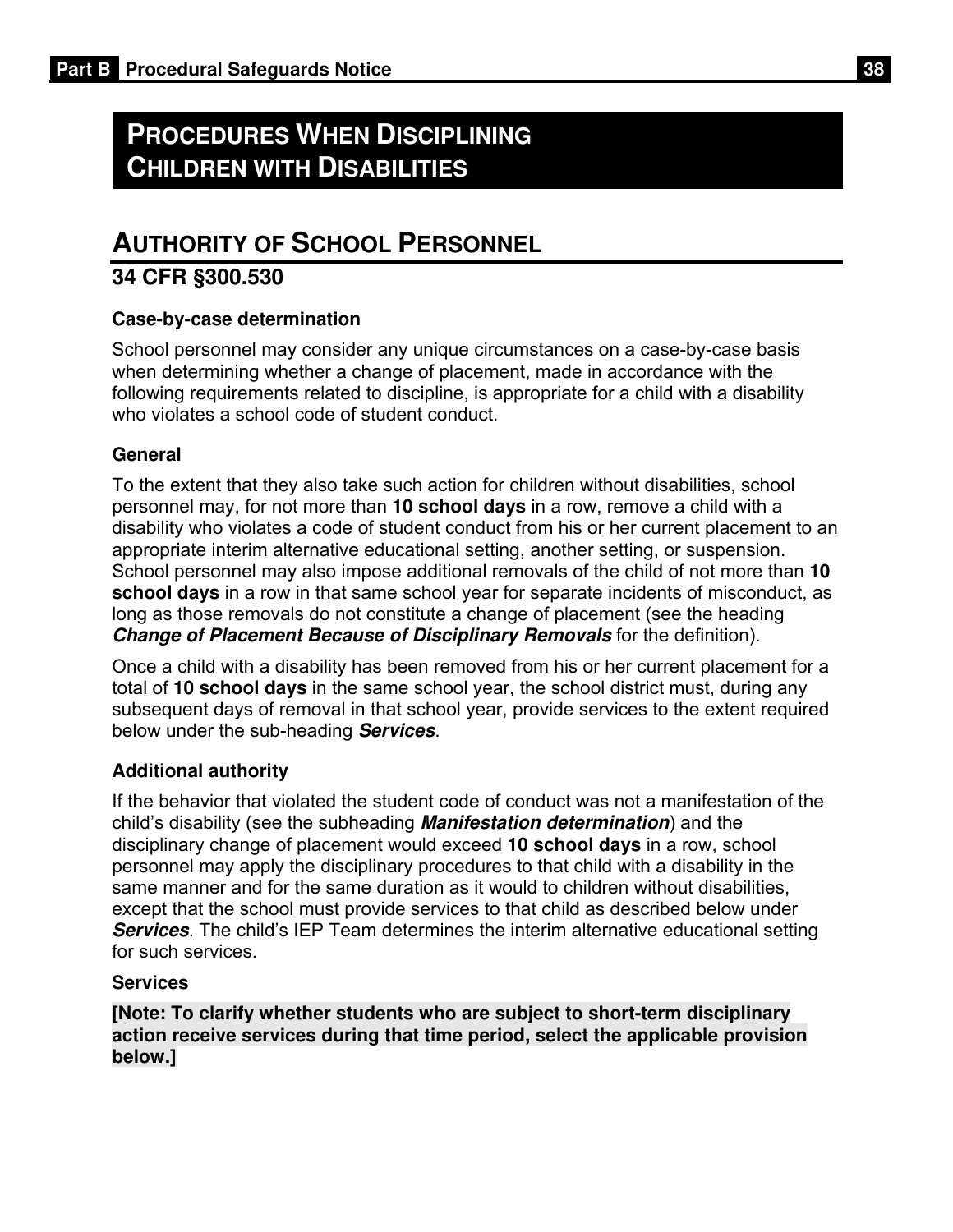## <span id="page-42-0"></span>**PROCEDURES WHEN DISCIPLINING CHILDREN WITH DISABILITIES**

## **AUTHORITY OF SCHOOL PERSONNEL**

### **34 CFR §300.530**

#### **Case-by-case determination**

School personnel may consider any unique circumstances on a case-by-case basis when determining whether a change of placement, made in accordance with the following requirements related to discipline, is appropriate for a child with a disability who violates a school code of student conduct.

#### **General**

To the extent that they also take such action for children without disabilities, school personnel may, for not more than **10 school days** in a row, remove a child with a disability who violates a code of student conduct from his or her current placement to an appropriate interim alternative educational setting, another setting, or suspension. School personnel may also impose additional removals of the child of not more than **10 school days** in a row in that same school year for separate incidents of misconduct, as long as those removals do not constitute a change of placement (see the heading *Change of Placement Because of Disciplinary Removals* for the definition).

Once a child with a disability has been removed from his or her current placement for a total of **10 school days** in the same school year, the school district must, during any subsequent days of removal in that school year, provide services to the extent required below under the sub-heading *Services*.

#### **Additional authority**

If the behavior that violated the student code of conduct was not a manifestation of the child's disability (see the subheading *Manifestation determination*) and the disciplinary change of placement would exceed **10 school days** in a row, school personnel may apply the disciplinary procedures to that child with a disability in the same manner and for the same duration as it would to children without disabilities, except that the school must provide services to that child as described below under *Services*. The child's IEP Team determines the interim alternative educational setting for such services.

#### **Services**

**[Note: To clarify whether students who are subject to short-term disciplinary action receive services during that time period, select the applicable provision below.]**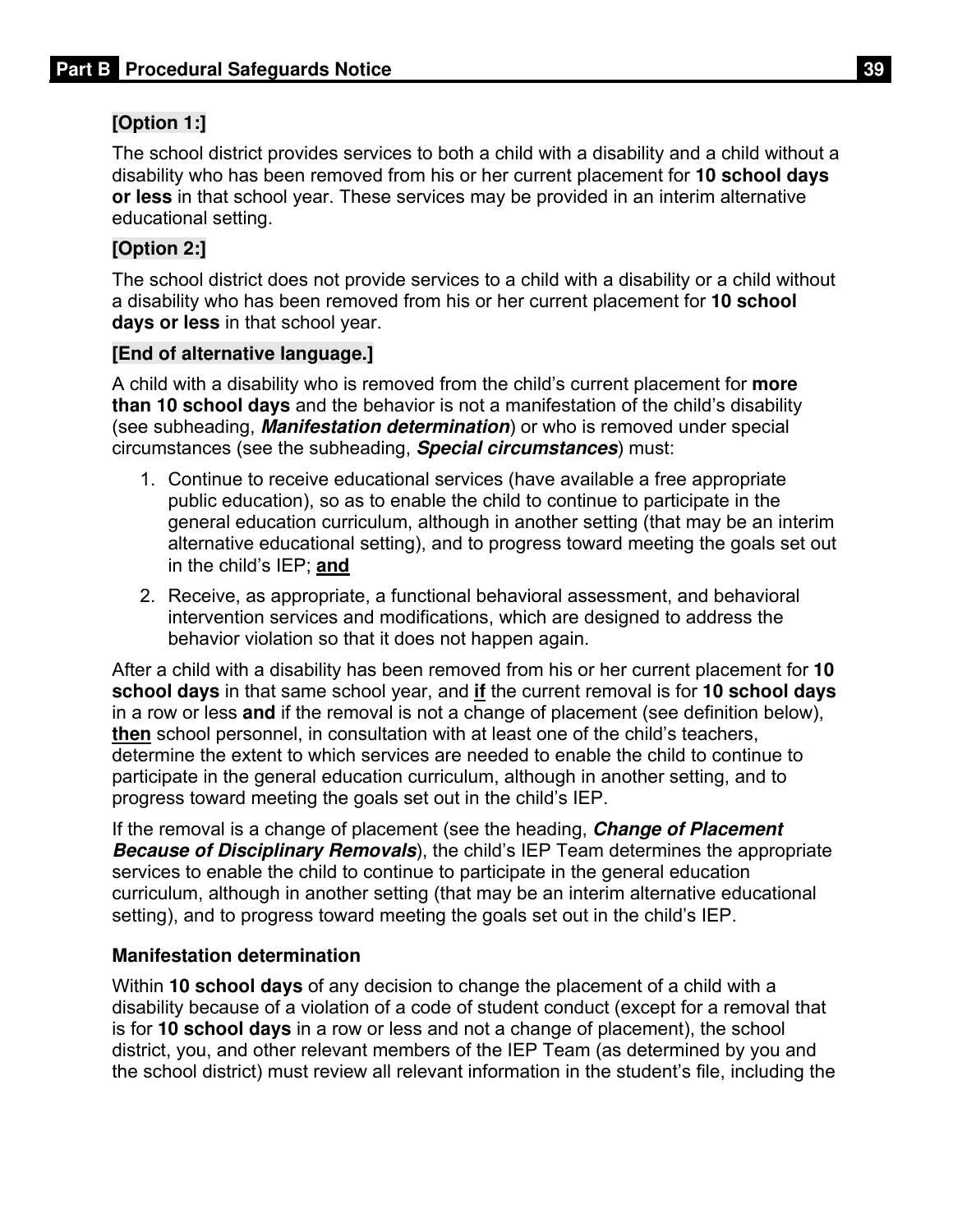### **[Option 1:]**

The school district provides services to both a child with a disability and a child without a disability who has been removed from his or her current placement for **10 school days or less** in that school year. These services may be provided in an interim alternative educational setting.

### **[Option 2:]**

The school district does not provide services to a child with a disability or a child without a disability who has been removed from his or her current placement for **10 school days or less** in that school year.

### **[End of alternative language.]**

A child with a disability who is removed from the child's current placement for **more than 10 school days** and the behavior is not a manifestation of the child's disability (see subheading, *Manifestation determination*) or who is removed under special circumstances (see the subheading, *Special circumstances*) must:

- 1. Continue to receive educational services (have available a free appropriate public education), so as to enable the child to continue to participate in the general education curriculum, although in another setting (that may be an interim alternative educational setting), and to progress toward meeting the goals set out in the child's IEP; **and**
- 2. Receive, as appropriate, a functional behavioral assessment, and behavioral intervention services and modifications, which are designed to address the behavior violation so that it does not happen again.

After a child with a disability has been removed from his or her current placement for **10 school days** in that same school year, and **if** the current removal is for **10 school days** in a row or less **and** if the removal is not a change of placement (see definition below), **then** school personnel, in consultation with at least one of the child's teachers, determine the extent to which services are needed to enable the child to continue to participate in the general education curriculum, although in another setting, and to progress toward meeting the goals set out in the child's IEP.

If the removal is a change of placement (see the heading, *Change of Placement Because of Disciplinary Removals*), the child's IEP Team determines the appropriate services to enable the child to continue to participate in the general education curriculum, although in another setting (that may be an interim alternative educational setting), and to progress toward meeting the goals set out in the child's IEP.

### **Manifestation determination**

Within **10 school days** of any decision to change the placement of a child with a disability because of a violation of a code of student conduct (except for a removal that is for **10 school days** in a row or less and not a change of placement), the school district, you, and other relevant members of the IEP Team (as determined by you and the school district) must review all relevant information in the student's file, including the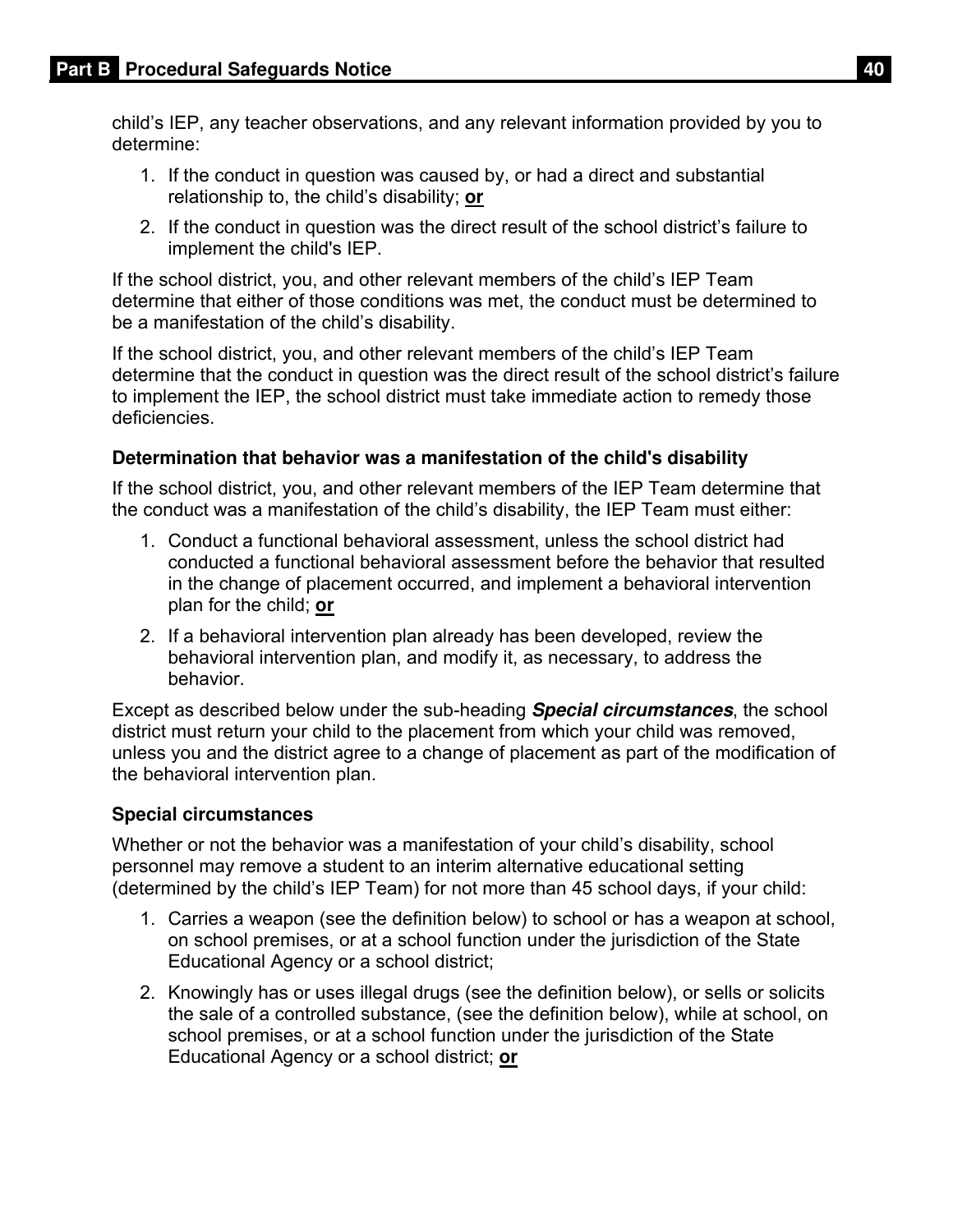child's IEP, any teacher observations, and any relevant information provided by you to determine:

- 1. If the conduct in question was caused by, or had a direct and substantial relationship to, the child's disability; **or**
- 2. If the conduct in question was the direct result of the school district's failure to implement the child's IEP.

If the school district, you, and other relevant members of the child's IEP Team determine that either of those conditions was met, the conduct must be determined to be a manifestation of the child's disability.

If the school district, you, and other relevant members of the child's IEP Team determine that the conduct in question was the direct result of the school district's failure to implement the IEP, the school district must take immediate action to remedy those deficiencies.

#### **Determination that behavior was a manifestation of the child's disability**

If the school district, you, and other relevant members of the IEP Team determine that the conduct was a manifestation of the child's disability, the IEP Team must either:

- 1. Conduct a functional behavioral assessment, unless the school district had conducted a functional behavioral assessment before the behavior that resulted in the change of placement occurred, and implement a behavioral intervention plan for the child; **or**
- 2. If a behavioral intervention plan already has been developed, review the behavioral intervention plan, and modify it, as necessary, to address the behavior.

Except as described below under the sub-heading *Special circumstances*, the school district must return your child to the placement from which your child was removed, unless you and the district agree to a change of placement as part of the modification of the behavioral intervention plan.

### **Special circumstances**

Whether or not the behavior was a manifestation of your child's disability, school personnel may remove a student to an interim alternative educational setting (determined by the child's IEP Team) for not more than 45 school days, if your child:

- 1. Carries a weapon (see the definition below) to school or has a weapon at school, on school premises, or at a school function under the jurisdiction of the State Educational Agency or a school district;
- 2. Knowingly has or uses illegal drugs (see the definition below), or sells or solicits the sale of a controlled substance, (see the definition below), while at school, on school premises, or at a school function under the jurisdiction of the State Educational Agency or a school district; **or**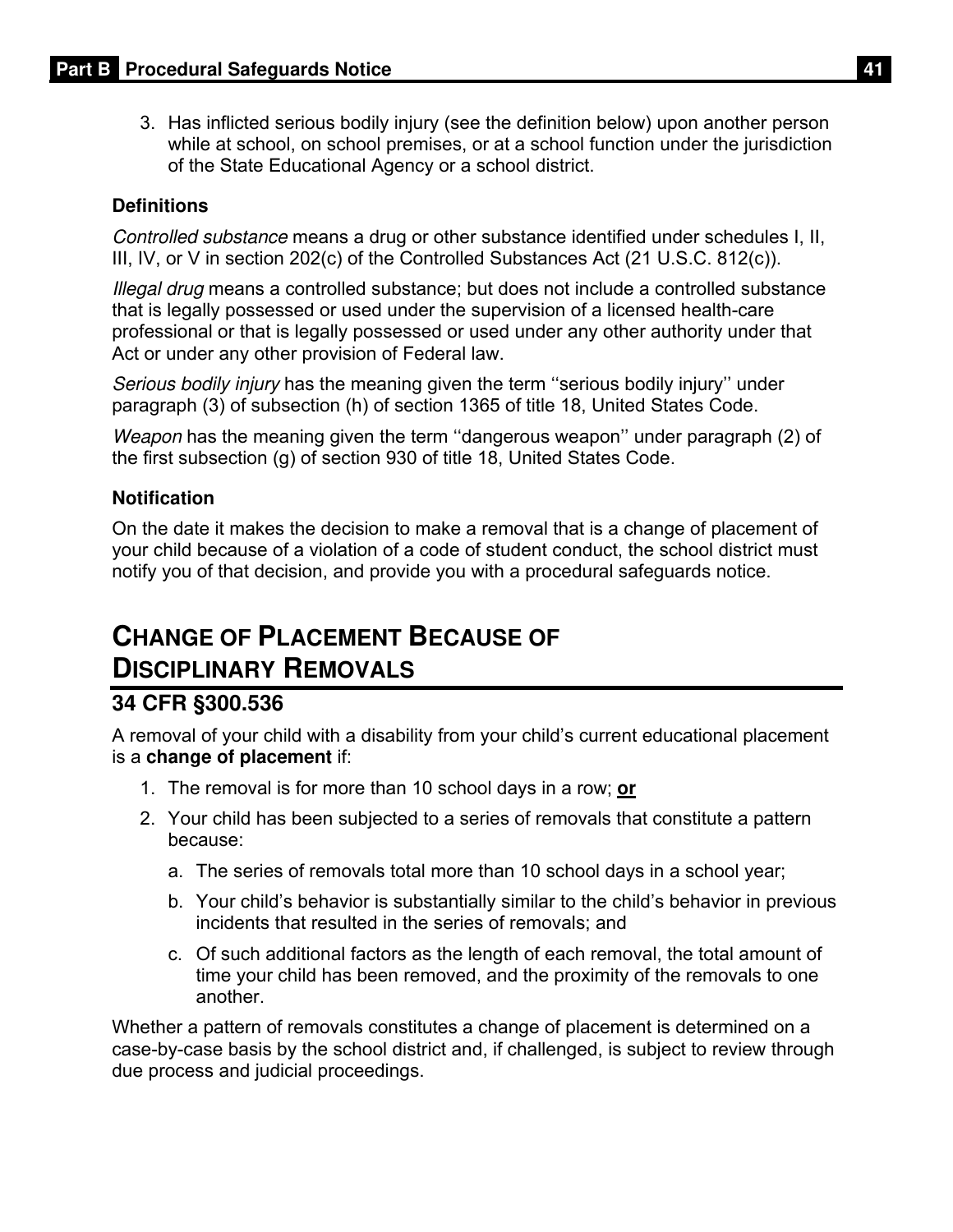<span id="page-45-0"></span>3. Has inflicted serious bodily injury (see the definition below) upon another person while at school, on school premises, or at a school function under the jurisdiction of the State Educational Agency or a school district.

### **Definitions**

*Controlled substance* means a drug or other substance identified under schedules I, II, III, IV, or V in section 202(c) of the Controlled Substances Act (21 U.S.C. 812(c)).

*Illegal drug* means a controlled substance; but does not include a controlled substance that is legally possessed or used under the supervision of a licensed health-care professional or that is legally possessed or used under any other authority under that Act or under any other provision of Federal law.

*Serious bodily injury* has the meaning given the term ''serious bodily injury'' under paragraph (3) of subsection (h) of section 1365 of title 18, United States Code.

*Weapon* has the meaning given the term "dangerous weapon" under paragraph (2) of the first subsection (g) of section 930 of title 18, United States Code.

### **Notification**

On the date it makes the decision to make a removal that is a change of placement of your child because of a violation of a code of student conduct, the school district must notify you of that decision, and provide you with a procedural safeguards notice.

## **CHANGE OF PLACEMENT BECAUSE OF DISCIPLINARY REMOVALS**

### **34 CFR §300.536**

A removal of your child with a disability from your child's current educational placement is a **change of placement** if:

- 1. The removal is for more than 10 school days in a row; **or**
- 2. Your child has been subjected to a series of removals that constitute a pattern because:
	- a. The series of removals total more than 10 school days in a school year;
	- b. Your child's behavior is substantially similar to the child's behavior in previous incidents that resulted in the series of removals; and
	- c. Of such additional factors as the length of each removal, the total amount of time your child has been removed, and the proximity of the removals to one another.

Whether a pattern of removals constitutes a change of placement is determined on a case-by-case basis by the school district and, if challenged, is subject to review through due process and judicial proceedings.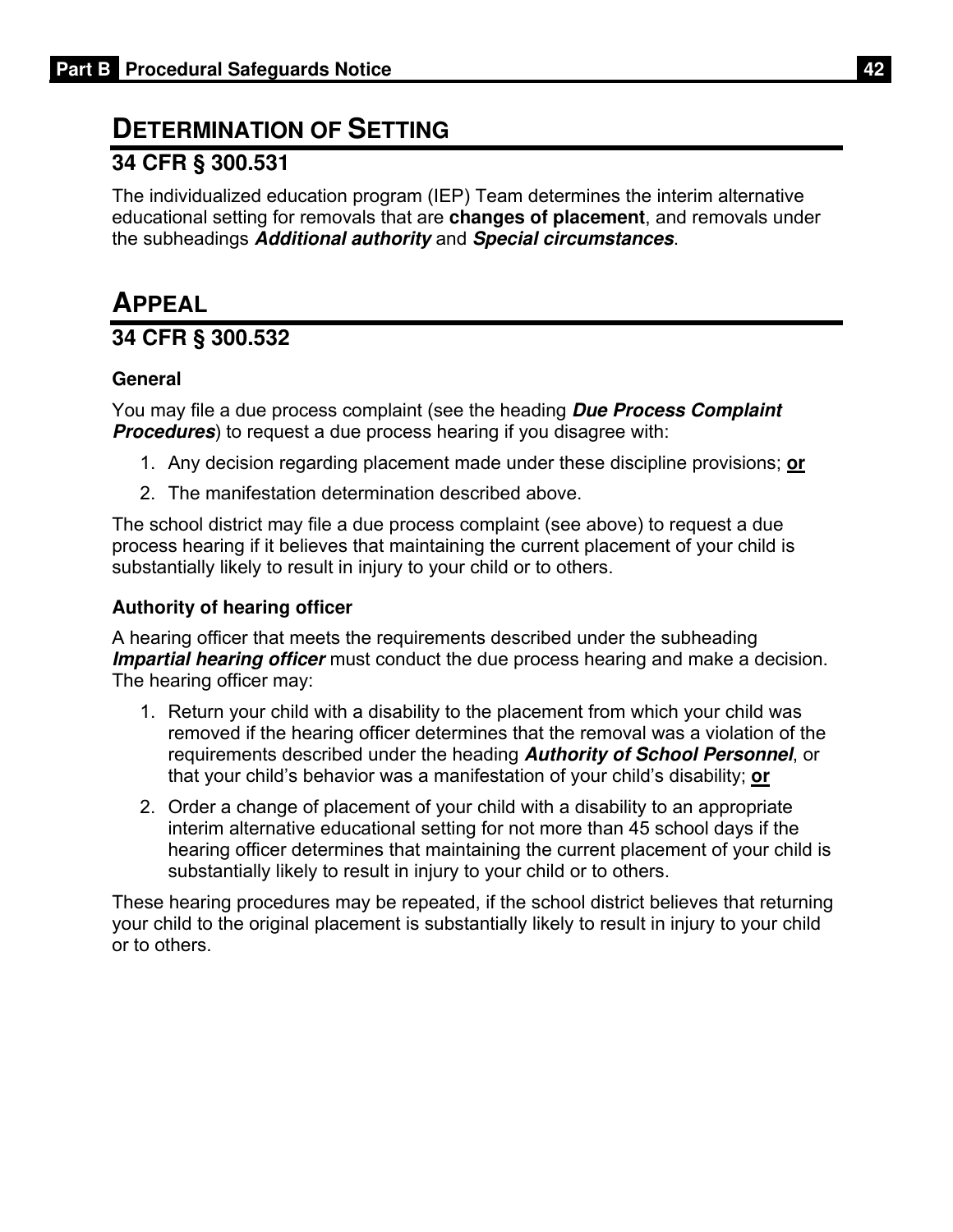## <span id="page-46-0"></span>**DETERMINATION OF SETTING**

### **34 CFR § 300.531**

The individualized education program (IEP) Team determines the interim alternative educational setting for removals that are **changes of placement**, and removals under the subheadings *Additional authority* and *Special circumstances*.

## **APPEAL**

#### **34 CFR § 300.532**

#### **General**

You may file a due process complaint (see the heading *Due Process Complaint*  **Procedures**) to request a due process hearing if you disagree with:

- 1. Any decision regarding placement made under these discipline provisions; **or**
- 2. The manifestation determination described above.

The school district may file a due process complaint (see above) to request a due process hearing if it believes that maintaining the current placement of your child is substantially likely to result in injury to your child or to others.

#### **Authority of hearing officer**

A hearing officer that meets the requirements described under the subheading *Impartial hearing officer* must conduct the due process hearing and make a decision. The hearing officer may:

- 1. Return your child with a disability to the placement from which your child was removed if the hearing officer determines that the removal was a violation of the requirements described under the heading *Authority of School Personnel*, or that your child's behavior was a manifestation of your child's disability; **or**
- 2. Order a change of placement of your child with a disability to an appropriate interim alternative educational setting for not more than 45 school days if the hearing officer determines that maintaining the current placement of your child is substantially likely to result in injury to your child or to others.

These hearing procedures may be repeated, if the school district believes that returning your child to the original placement is substantially likely to result in injury to your child or to others.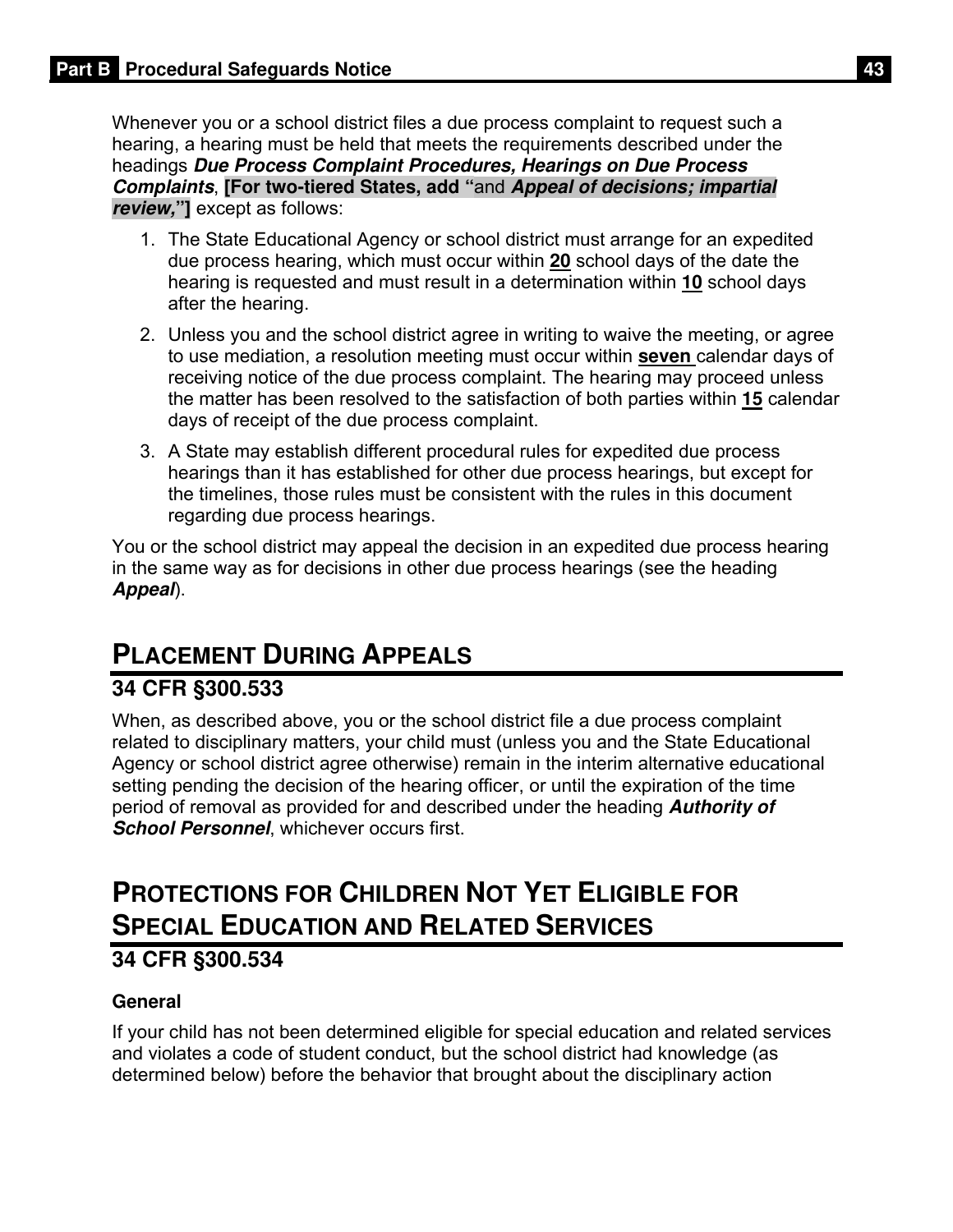<span id="page-47-0"></span>Whenever you or a school district files a due process complaint to request such a hearing, a hearing must be held that meets the requirements described under the headings *Due Process Complaint Procedures, Hearings on Due Process Complaints*, **[For two-tiered States, add "**and *Appeal of decisions; impartial review,***"]** except as follows:

- 1. The State Educational Agency or school district must arrange for an expedited due process hearing, which must occur within **20** school days of the date the hearing is requested and must result in a determination within **10** school days after the hearing.
- 2. Unless you and the school district agree in writing to waive the meeting, or agree to use mediation, a resolution meeting must occur within **seven** calendar days of receiving notice of the due process complaint. The hearing may proceed unless the matter has been resolved to the satisfaction of both parties within **15** calendar days of receipt of the due process complaint.
- 3. A State may establish different procedural rules for expedited due process hearings than it has established for other due process hearings, but except for the timelines, those rules must be consistent with the rules in this document regarding due process hearings.

You or the school district may appeal the decision in an expedited due process hearing in the same way as for decisions in other due process hearings (see the heading *Appeal*).

## **PLACEMENT DURING APPEALS**

## **34 CFR §300.533**

When, as described above, you or the school district file a due process complaint related to disciplinary matters, your child must (unless you and the State Educational Agency or school district agree otherwise) remain in the interim alternative educational setting pending the decision of the hearing officer, or until the expiration of the time period of removal as provided for and described under the heading *Authority of School Personnel*, whichever occurs first.

## **PROTECTIONS FOR CHILDREN NOT YET ELIGIBLE FOR SPECIAL EDUCATION AND RELATED SERVICES**

## **34 CFR §300.534**

### **General**

If your child has not been determined eligible for special education and related services and violates a code of student conduct, but the school district had knowledge (as determined below) before the behavior that brought about the disciplinary action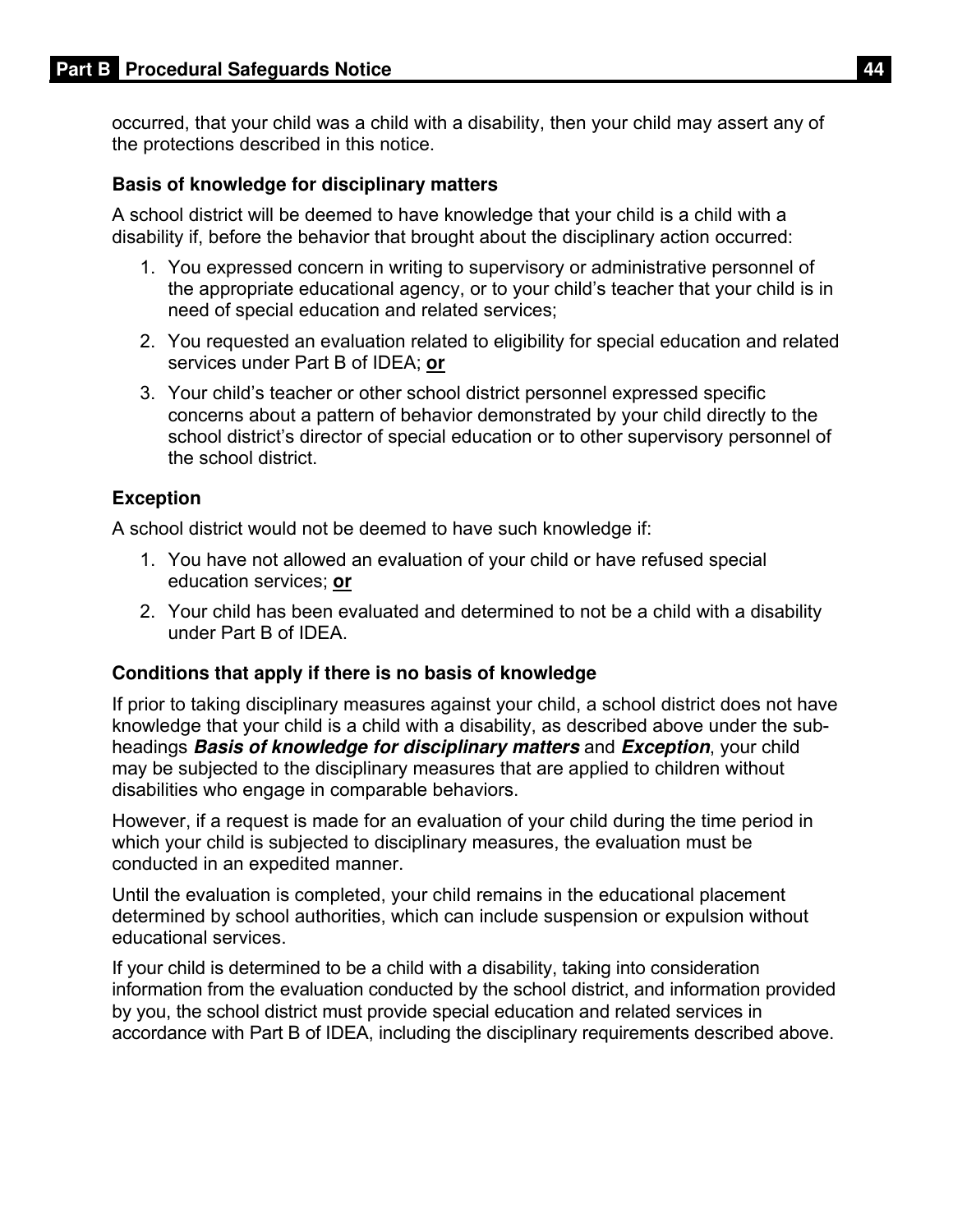occurred, that your child was a child with a disability, then your child may assert any of the protections described in this notice.

#### **Basis of knowledge for disciplinary matters**

A school district will be deemed to have knowledge that your child is a child with a disability if, before the behavior that brought about the disciplinary action occurred:

- 1. You expressed concern in writing to supervisory or administrative personnel of the appropriate educational agency, or to your child's teacher that your child is in need of special education and related services;
- 2. You requested an evaluation related to eligibility for special education and related services under Part B of IDEA; **or**
- 3. Your child's teacher or other school district personnel expressed specific concerns about a pattern of behavior demonstrated by your child directly to the school district's director of special education or to other supervisory personnel of the school district.

#### **Exception**

A school district would not be deemed to have such knowledge if:

- 1. You have not allowed an evaluation of your child or have refused special education services; **or**
- 2. Your child has been evaluated and determined to not be a child with a disability under Part B of IDEA.

### **Conditions that apply if there is no basis of knowledge**

If prior to taking disciplinary measures against your child, a school district does not have knowledge that your child is a child with a disability, as described above under the subheadings *Basis of knowledge for disciplinary matters* and *Exception*, your child may be subjected to the disciplinary measures that are applied to children without disabilities who engage in comparable behaviors.

However, if a request is made for an evaluation of your child during the time period in which your child is subjected to disciplinary measures, the evaluation must be conducted in an expedited manner.

Until the evaluation is completed, your child remains in the educational placement determined by school authorities, which can include suspension or expulsion without educational services.

If your child is determined to be a child with a disability, taking into consideration information from the evaluation conducted by the school district, and information provided by you, the school district must provide special education and related services in accordance with Part B of IDEA, including the disciplinary requirements described above.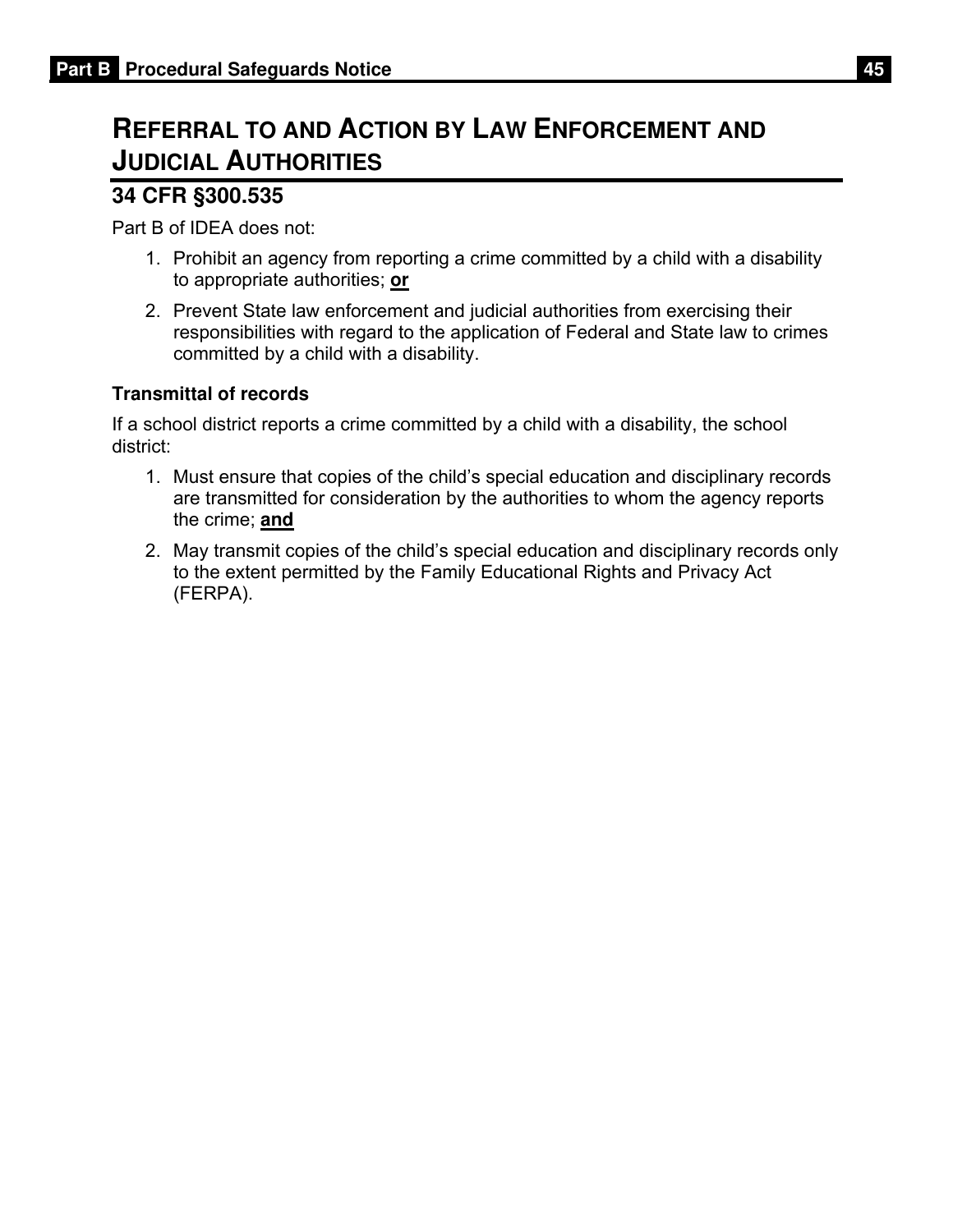## <span id="page-49-0"></span>**REFERRAL TO AND ACTION BY LAW ENFORCEMENT AND JUDICIAL AUTHORITIES**

## **34 CFR §300.535**

Part B of IDEA does not:

- 1. Prohibit an agency from reporting a crime committed by a child with a disability to appropriate authorities; **or**
- 2. Prevent State law enforcement and judicial authorities from exercising their responsibilities with regard to the application of Federal and State law to crimes committed by a child with a disability.

### **Transmittal of records**

If a school district reports a crime committed by a child with a disability, the school district:

- 1. Must ensure that copies of the child's special education and disciplinary records are transmitted for consideration by the authorities to whom the agency reports the crime; **and**
- 2. May transmit copies of the child's special education and disciplinary records only to the extent permitted by the Family Educational Rights and Privacy Act (FERPA).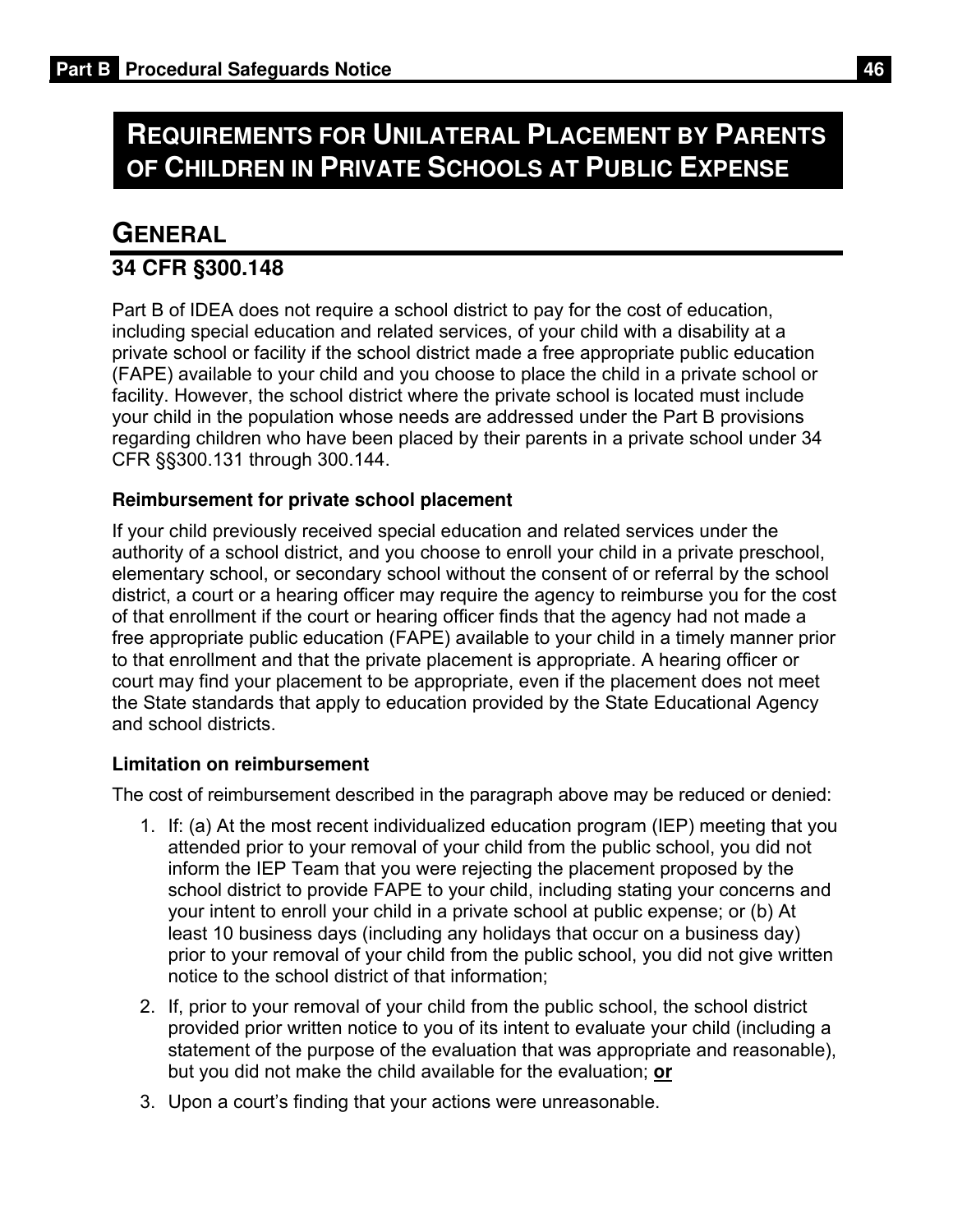## <span id="page-50-0"></span>**REQUIREMENTS FOR UNILATERAL PLACEMENT BY PARENTS OF CHILDREN IN PRIVATE SCHOOLS AT PUBLIC EXPENSE**

## **GENERAL**

## **34 CFR §300.148**

Part B of IDEA does not require a school district to pay for the cost of education, including special education and related services, of your child with a disability at a private school or facility if the school district made a free appropriate public education (FAPE) available to your child and you choose to place the child in a private school or facility. However, the school district where the private school is located must include your child in the population whose needs are addressed under the Part B provisions regarding children who have been placed by their parents in a private school under 34 CFR §§300.131 through 300.144.

#### **Reimbursement for private school placement**

If your child previously received special education and related services under the authority of a school district, and you choose to enroll your child in a private preschool, elementary school, or secondary school without the consent of or referral by the school district, a court or a hearing officer may require the agency to reimburse you for the cost of that enrollment if the court or hearing officer finds that the agency had not made a free appropriate public education (FAPE) available to your child in a timely manner prior to that enrollment and that the private placement is appropriate. A hearing officer or court may find your placement to be appropriate, even if the placement does not meet the State standards that apply to education provided by the State Educational Agency and school districts.

#### **Limitation on reimbursement**

The cost of reimbursement described in the paragraph above may be reduced or denied:

- 1. If: (a) At the most recent individualized education program (IEP) meeting that you attended prior to your removal of your child from the public school, you did not inform the IEP Team that you were rejecting the placement proposed by the school district to provide FAPE to your child, including stating your concerns and your intent to enroll your child in a private school at public expense; or (b) At least 10 business days (including any holidays that occur on a business day) prior to your removal of your child from the public school, you did not give written notice to the school district of that information;
- 2. If, prior to your removal of your child from the public school, the school district provided prior written notice to you of its intent to evaluate your child (including a statement of the purpose of the evaluation that was appropriate and reasonable), but you did not make the child available for the evaluation; **or**
- 3. Upon a court's finding that your actions were unreasonable.